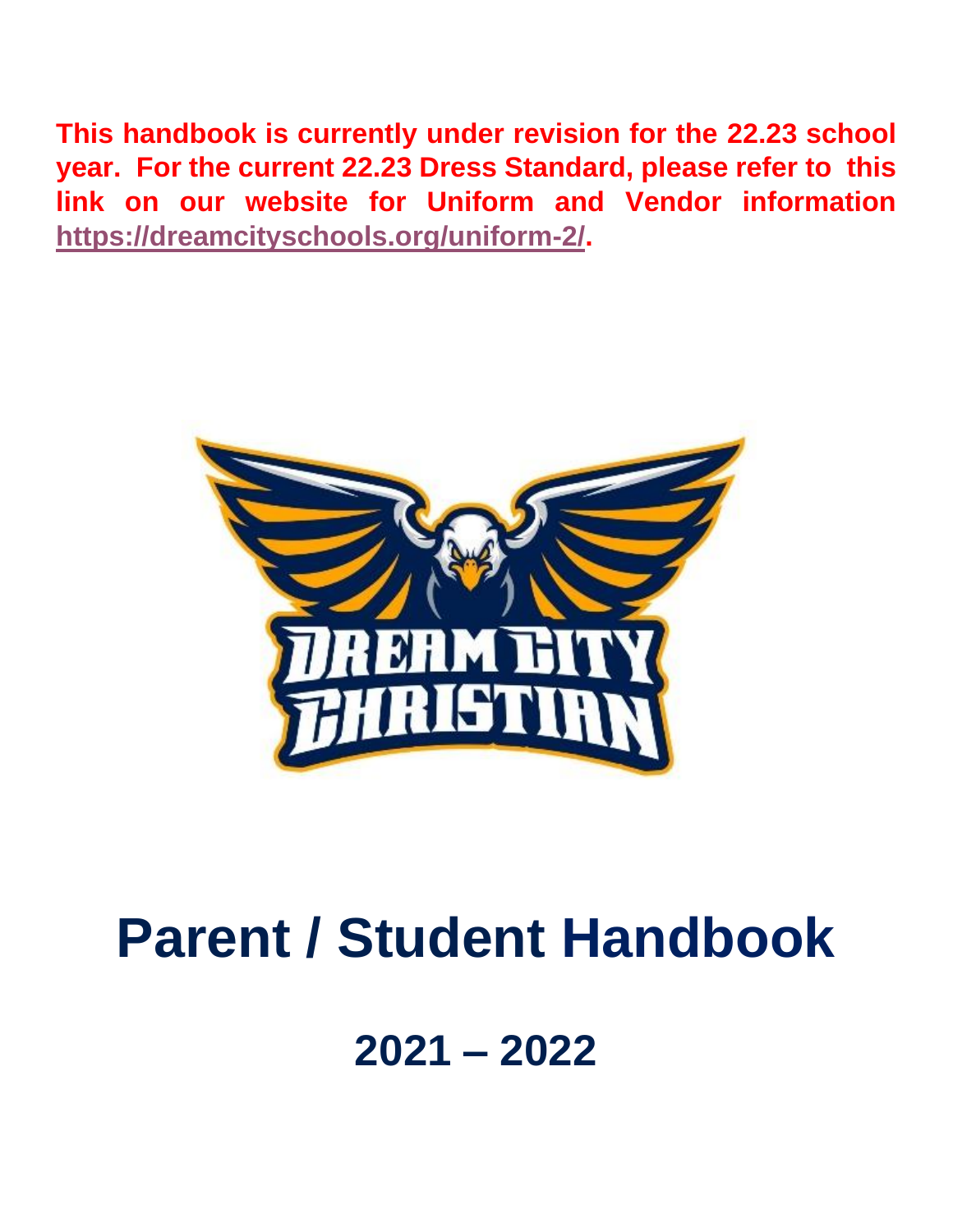**This handbook is currently under revision for the 22.23 school year. For the current 22.23 Dress Standard, please refer to this link on our website for Uniform and Vendor information [https://dreamcityschools.org/uniform-2/.](https://dreamcityschools.org/uniform-2/)**



## **Parent / Student Handbook**

## **2021 – 2022**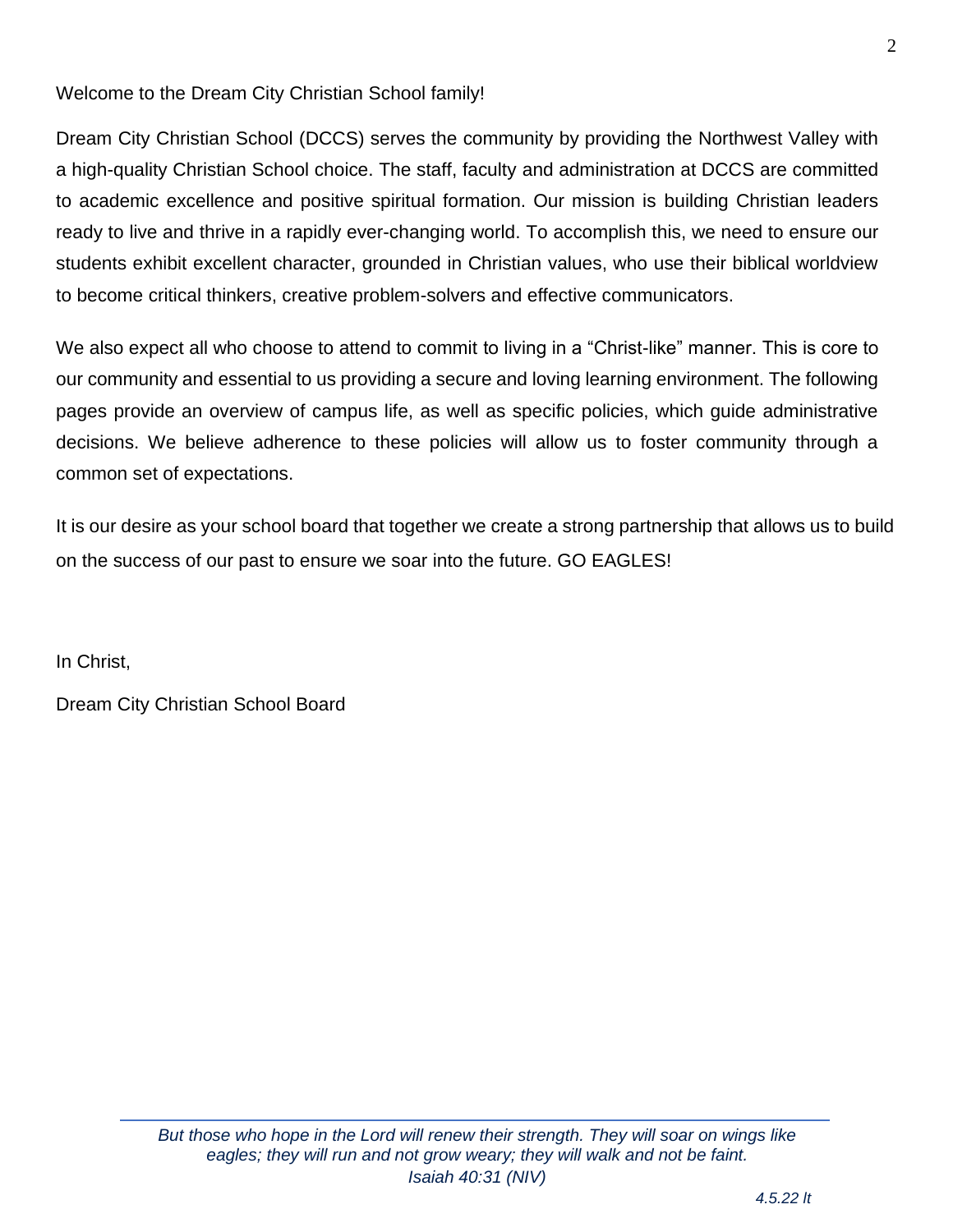Welcome to the Dream City Christian School family!

Dream City Christian School (DCCS) serves the community by providing the Northwest Valley with a high-quality Christian School choice. The staff, faculty and administration at DCCS are committed to academic excellence and positive spiritual formation. Our mission is building Christian leaders ready to live and thrive in a rapidly ever-changing world. To accomplish this, we need to ensure our students exhibit excellent character, grounded in Christian values, who use their biblical worldview to become critical thinkers, creative problem-solvers and effective communicators.

We also expect all who choose to attend to commit to living in a "Christ-like" manner. This is core to our community and essential to us providing a secure and loving learning environment. The following pages provide an overview of campus life, as well as specific policies, which guide administrative decisions. We believe adherence to these policies will allow us to foster community through a common set of expectations.

It is our desire as your school board that together we create a strong partnership that allows us to build on the success of our past to ensure we soar into the future. GO EAGLES!

In Christ,

Dream City Christian School Board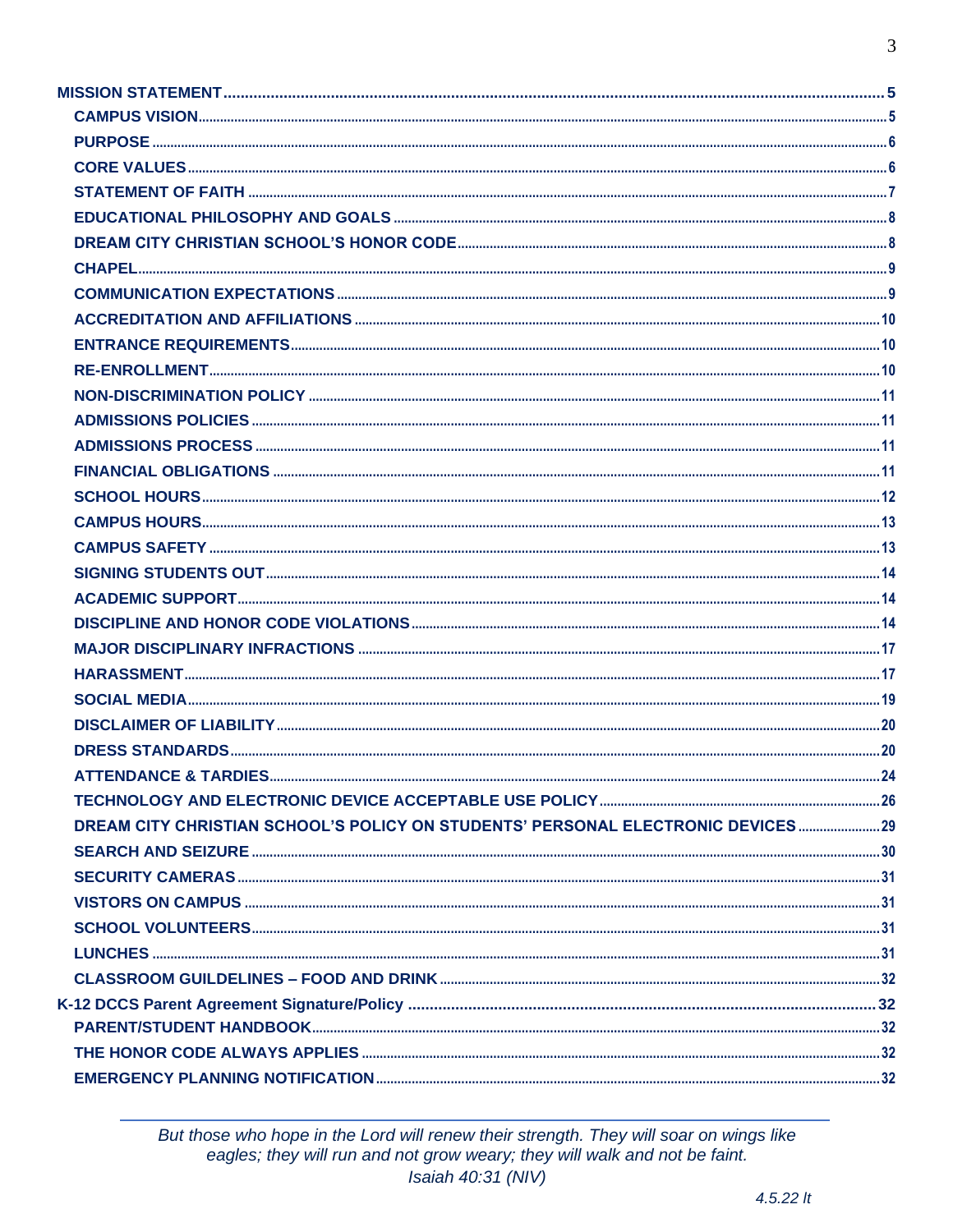| ATTENDANCE & TARDIES                                                             | -24 |
|----------------------------------------------------------------------------------|-----|
|                                                                                  |     |
| DREAM CITY CHRISTIAN SCHOOL'S POLICY ON STUDENTS' PERSONAL ELECTRONIC DEVICES 29 |     |
|                                                                                  |     |
|                                                                                  |     |
|                                                                                  |     |
|                                                                                  |     |
|                                                                                  |     |
|                                                                                  |     |
|                                                                                  |     |
|                                                                                  |     |
|                                                                                  |     |
|                                                                                  |     |

But those who hope in the Lord will renew their strength. They will soar on wings like<br>eagles; they will run and not grow weary; they will walk and not be faint.<br>Isaiah 40:31 (NIV)

 $4.5.22$  It

 $\overline{3}$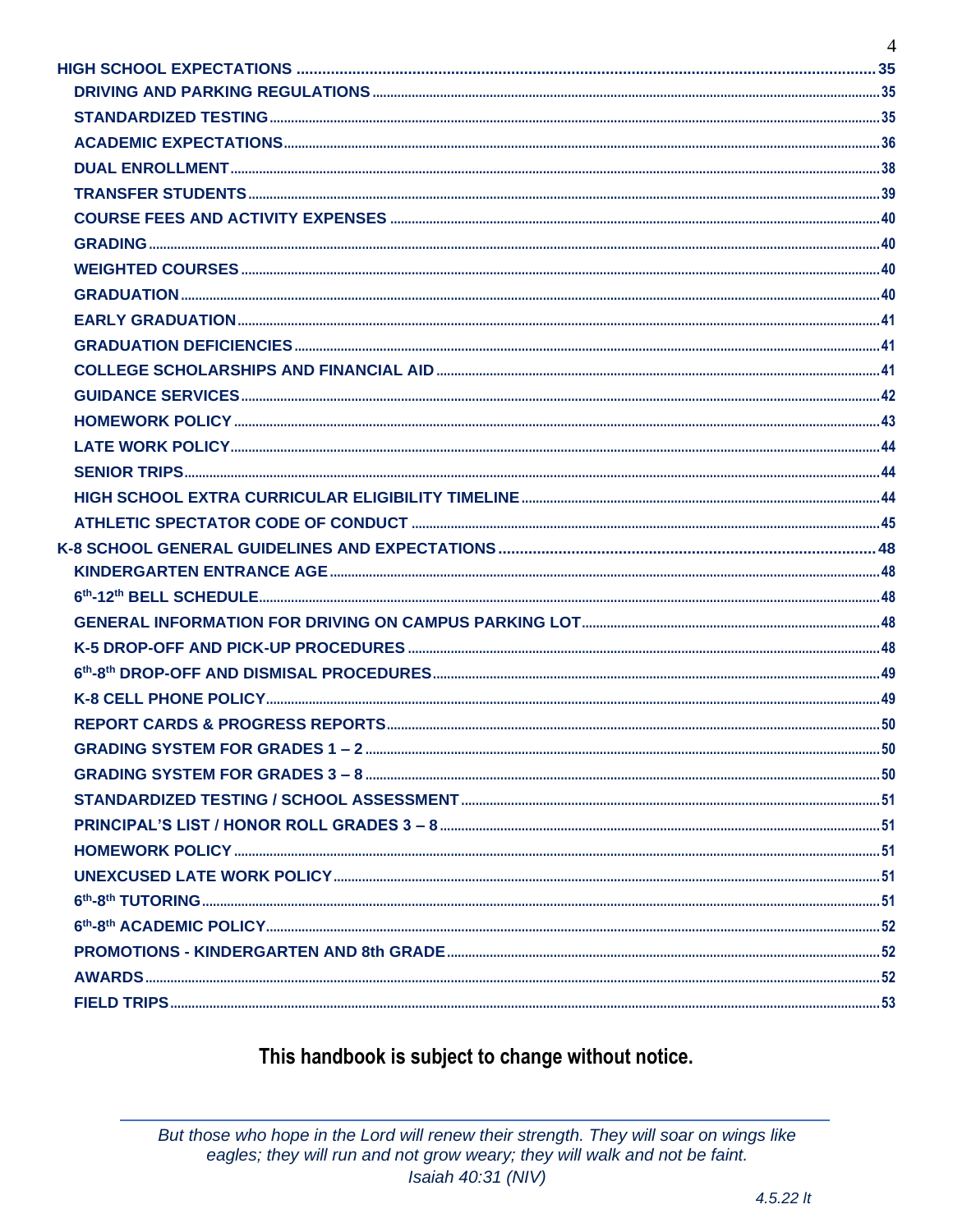| $\overline{4}$ |
|----------------|
|                |
|                |
|                |
|                |
|                |
|                |
|                |
|                |
|                |
|                |
|                |
|                |
|                |
|                |
|                |
|                |
|                |
|                |
|                |
|                |
|                |
|                |
|                |
|                |
|                |
|                |
|                |
|                |
|                |
|                |
|                |
|                |
|                |
|                |
|                |
|                |
|                |
|                |

## This handbook is subject to change without notice.

But those who hope in the Lord will renew their strength. They will soar on wings like eagles; they will run and not grow weary; they will walk and not be faint. Isaiah 40:31 (NIV)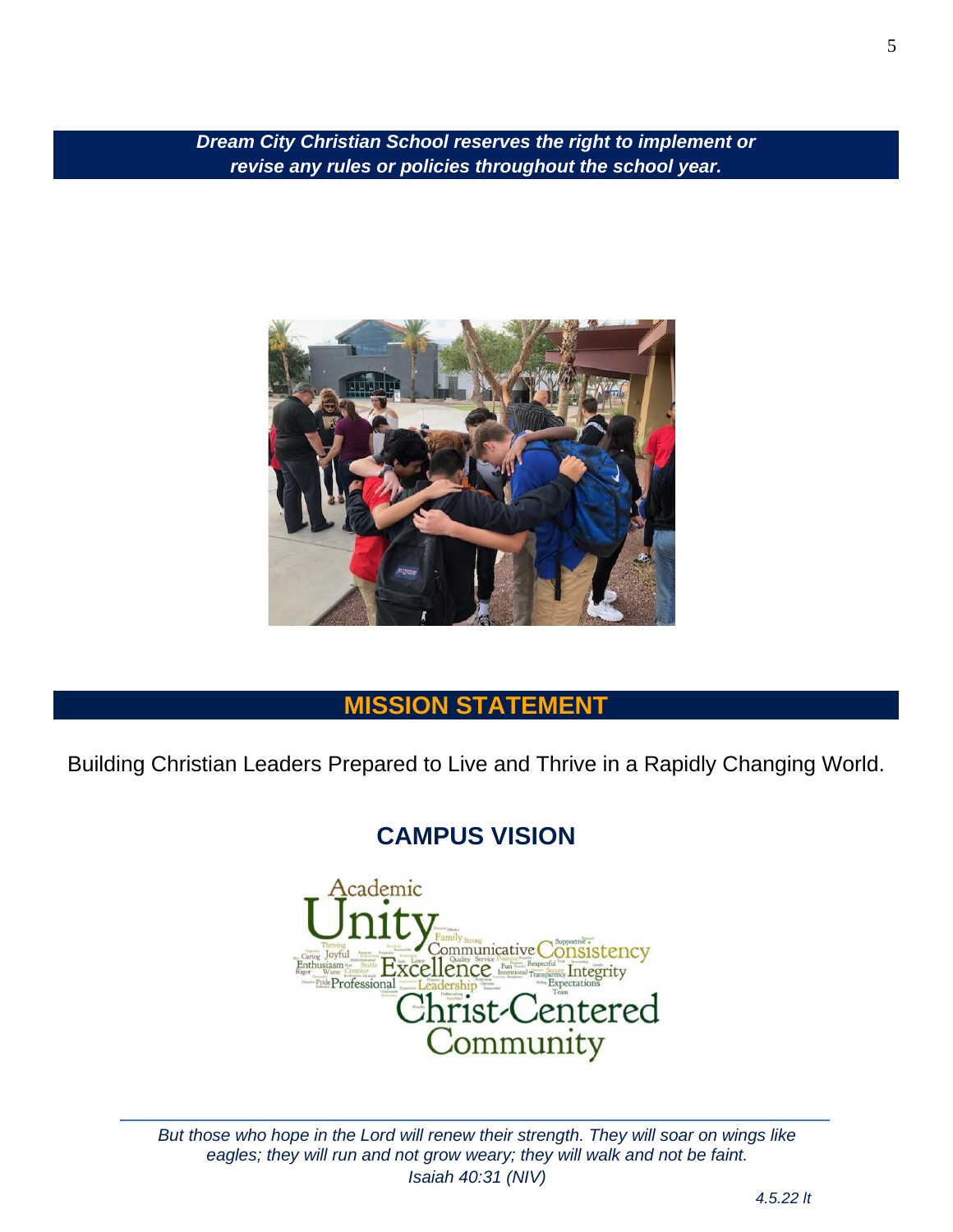*Dream City Christian School reserves the right to implement or revise any rules or policies throughout the school year.*



## **MISSION STATEMENT**

<span id="page-4-1"></span><span id="page-4-0"></span>Building Christian Leaders Prepared to Live and Thrive in a Rapidly Changing World.

## **CAMPUS VISION**



*But those who hope in the Lord will renew their strength. They will soar on wings like eagles; they will run and not grow weary; they will walk and not be faint. Isaiah 40:31 (NIV)*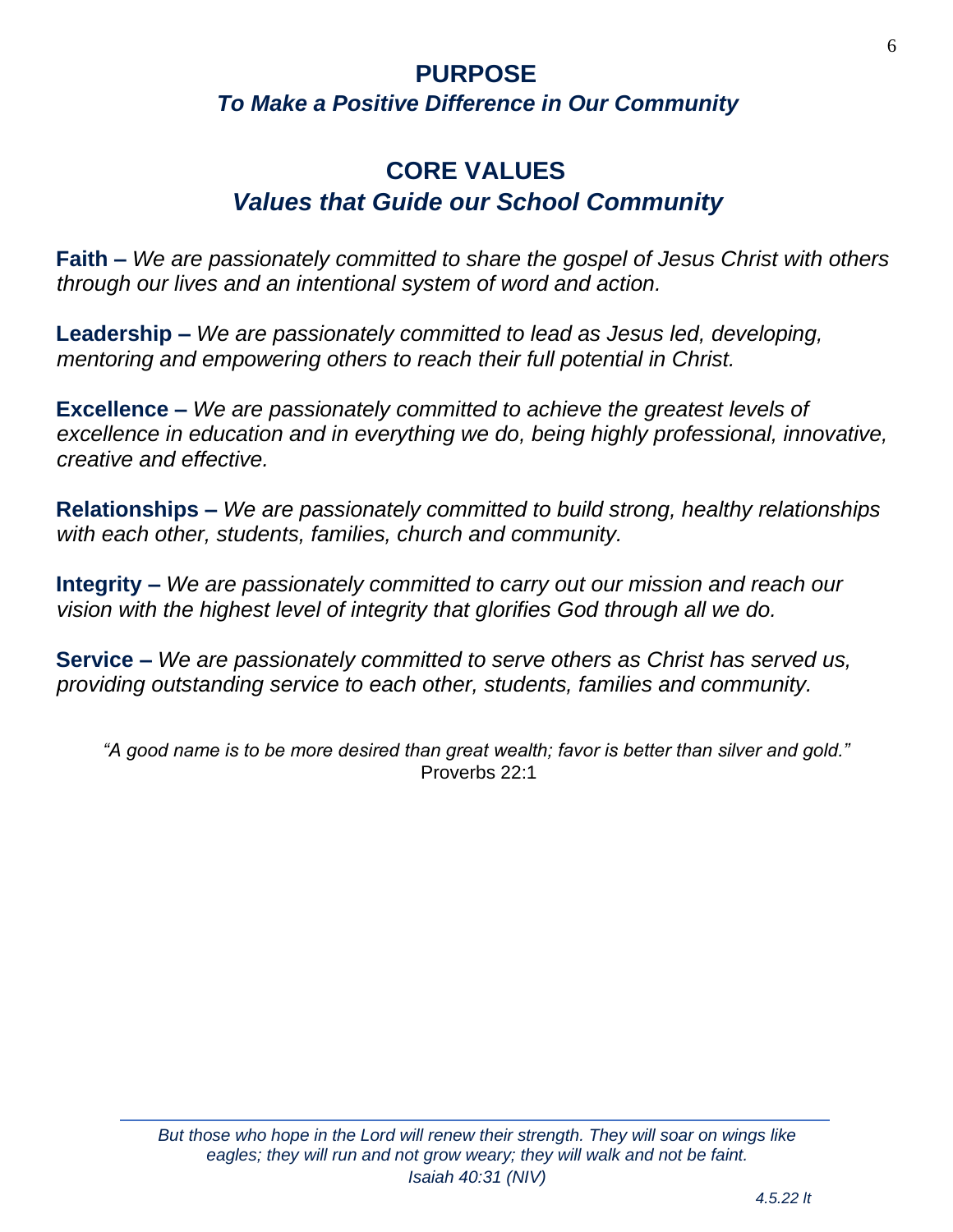### <span id="page-5-0"></span>**PURPOSE** *To Make a Positive Difference in Our Community*

## **CORE VALUES** *Values that Guide our School Community*

<span id="page-5-1"></span>**Faith –** *We are passionately committed to share the gospel of Jesus Christ with others through our lives and an intentional system of word and action.*

**Leadership –** *We are passionately committed to lead as Jesus led, developing, mentoring and empowering others to reach their full potential in Christ.*

**Excellence –** *We are passionately committed to achieve the greatest levels of excellence in education and in everything we do, being highly professional, innovative, creative and effective.*

**Relationships –** *We are passionately committed to build strong, healthy relationships with each other, students, families, church and community.*

**Integrity –** *We are passionately committed to carry out our mission and reach our vision with the highest level of integrity that glorifies God through all we do.*

**Service –** *We are passionately committed to serve others as Christ has served us, providing outstanding service to each other, students, families and community.*

*"A good name is to be more desired than great wealth; favor is better than silver and gold."* Proverbs 22:1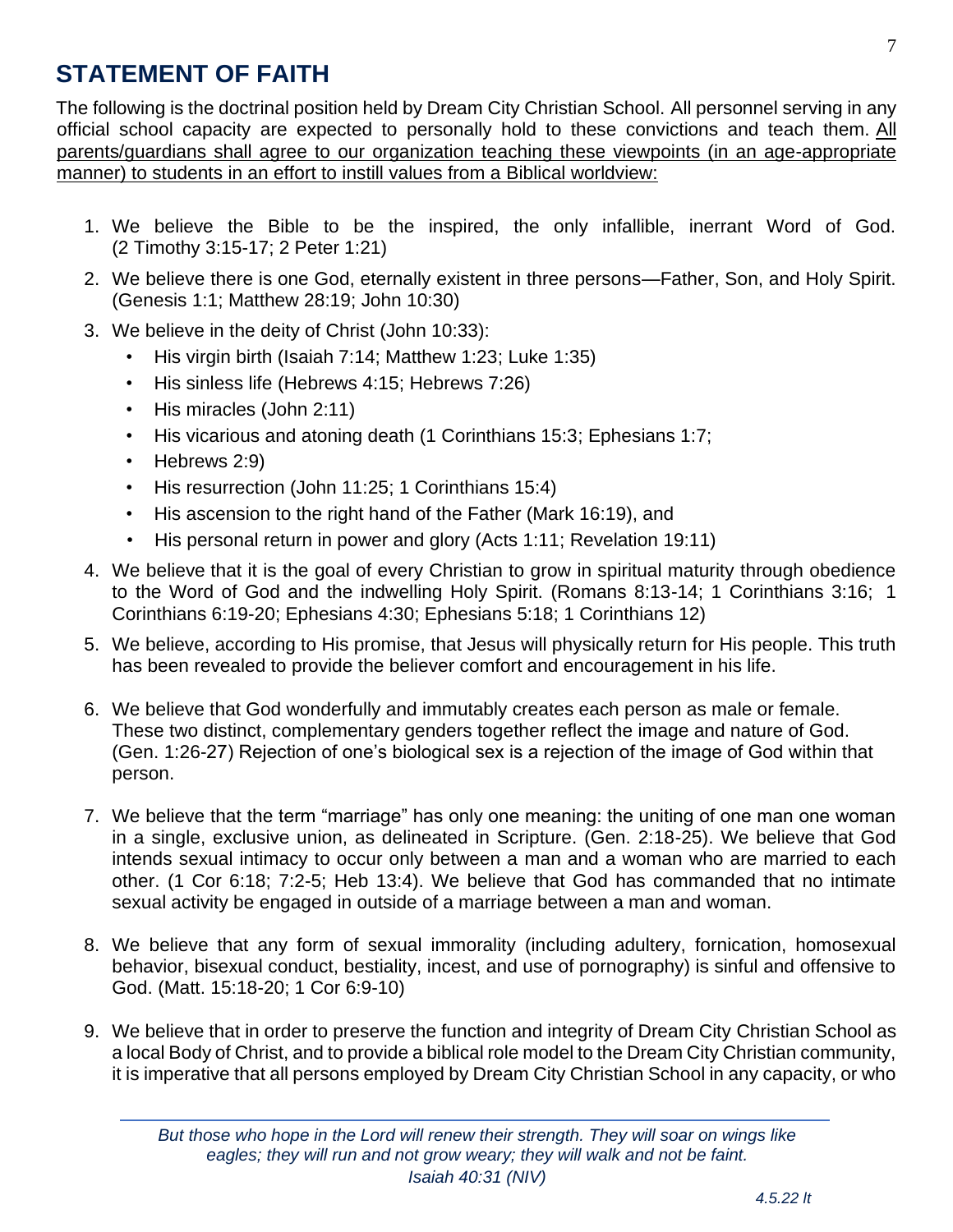## <span id="page-6-0"></span>**STATEMENT OF FAITH**

The following is the doctrinal position held by Dream City Christian School. All personnel serving in any official school capacity are expected to personally hold to these convictions and teach them. All parents/guardians shall agree to our organization teaching these viewpoints (in an age-appropriate manner) to students in an effort to instill values from a Biblical worldview:

- 1. We believe the Bible to be the inspired, the only infallible, inerrant Word of God. (2 Timothy 3:15-17; 2 Peter 1:21)
- 2. We believe there is one God, eternally existent in three persons—Father, Son, and Holy Spirit. (Genesis 1:1; Matthew 28:19; John 10:30)
- 3. We believe in the deity of Christ (John 10:33):
	- His virgin birth (Isaiah 7:14; Matthew 1:23; Luke 1:35)
	- His sinless life (Hebrews 4:15; Hebrews 7:26)
	- His miracles (John 2:11)
	- His vicarious and atoning death (1 Corinthians 15:3; Ephesians 1:7;
	- Hebrews 2:9)
	- His resurrection (John 11:25; 1 Corinthians 15:4)
	- His ascension to the right hand of the Father (Mark 16:19), and
	- His personal return in power and glory (Acts 1:11; Revelation 19:11)
- 4. We believe that it is the goal of every Christian to grow in spiritual maturity through obedience to the Word of God and the indwelling Holy Spirit. (Romans 8:13-14; 1 Corinthians 3:16; 1 Corinthians 6:19-20; Ephesians 4:30; Ephesians 5:18; 1 Corinthians 12)
- 5. We believe, according to His promise, that Jesus will physically return for His people. This truth has been revealed to provide the believer comfort and encouragement in his life.
- 6. We believe that God wonderfully and immutably creates each person as male or female. These two distinct, complementary genders together reflect the image and nature of God. (Gen. 1:26-27) Rejection of one's biological sex is a rejection of the image of God within that person.
- 7. We believe that the term "marriage" has only one meaning: the uniting of one man one woman in a single, exclusive union, as delineated in Scripture. (Gen. 2:18-25). We believe that God intends sexual intimacy to occur only between a man and a woman who are married to each other. (1 Cor 6:18; 7:2-5; Heb 13:4). We believe that God has commanded that no intimate sexual activity be engaged in outside of a marriage between a man and woman.
- 8. We believe that any form of sexual immorality (including adultery, fornication, homosexual behavior, bisexual conduct, bestiality, incest, and use of pornography) is sinful and offensive to God. (Matt. 15:18-20; 1 Cor 6:9-10)
- 9. We believe that in order to preserve the function and integrity of Dream City Christian School as a local Body of Christ, and to provide a biblical role model to the Dream City Christian community, it is imperative that all persons employed by Dream City Christian School in any capacity, or who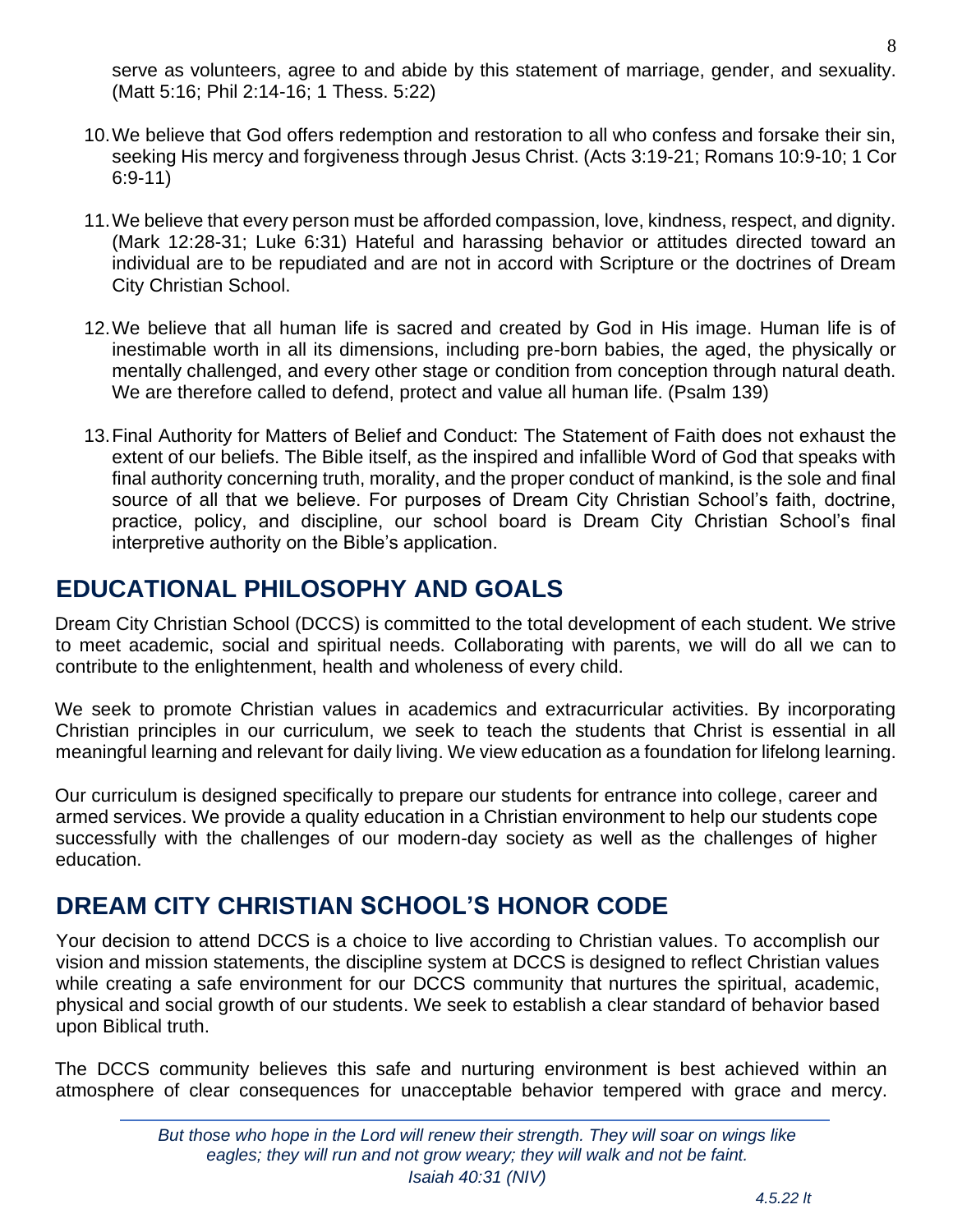serve as volunteers, agree to and abide by this statement of marriage, gender, and sexuality. (Matt 5:16; Phil 2:14-16; 1 Thess. 5:22)

- 10.We believe that God offers redemption and restoration to all who confess and forsake their sin, seeking His mercy and forgiveness through Jesus Christ. (Acts 3:19-21; Romans 10:9-10; 1 Cor 6:9-11)
- 11.We believe that every person must be afforded compassion, love, kindness, respect, and dignity. (Mark 12:28-31; Luke 6:31) Hateful and harassing behavior or attitudes directed toward an individual are to be repudiated and are not in accord with Scripture or the doctrines of Dream City Christian School.
- 12.We believe that all human life is sacred and created by God in His image. Human life is of inestimable worth in all its dimensions, including pre-born babies, the aged, the physically or mentally challenged, and every other stage or condition from conception through natural death. We are therefore called to defend, protect and value all human life. (Psalm 139)
- 13.Final Authority for Matters of Belief and Conduct: The Statement of Faith does not exhaust the extent of our beliefs. The Bible itself, as the inspired and infallible Word of God that speaks with final authority concerning truth, morality, and the proper conduct of mankind, is the sole and final source of all that we believe. For purposes of Dream City Christian School's faith, doctrine, practice, policy, and discipline, our school board is Dream City Christian School's final interpretive authority on the Bible's application.

## <span id="page-7-0"></span>**EDUCATIONAL PHILOSOPHY AND GOALS**

Dream City Christian School (DCCS) is committed to the total development of each student. We strive to meet academic, social and spiritual needs. Collaborating with parents, we will do all we can to contribute to the enlightenment, health and wholeness of every child.

We seek to promote Christian values in academics and extracurricular activities. By incorporating Christian principles in our curriculum, we seek to teach the students that Christ is essential in all meaningful learning and relevant for daily living. We view education as a foundation for lifelong learning.

Our curriculum is designed specifically to prepare our students for entrance into college, career and armed services. We provide a quality education in a Christian environment to help our students cope successfully with the challenges of our modern-day society as well as the challenges of higher education.

## <span id="page-7-1"></span>**DREAM CITY CHRISTIAN SCHOOL'S HONOR CODE**

Your decision to attend DCCS is a choice to live according to Christian values. To accomplish our vision and mission statements, the discipline system at DCCS is designed to reflect Christian values while creating a safe environment for our DCCS community that nurtures the spiritual, academic, physical and social growth of our students. We seek to establish a clear standard of behavior based upon Biblical truth.

The DCCS community believes this safe and nurturing environment is best achieved within an atmosphere of clear consequences for unacceptable behavior tempered with grace and mercy.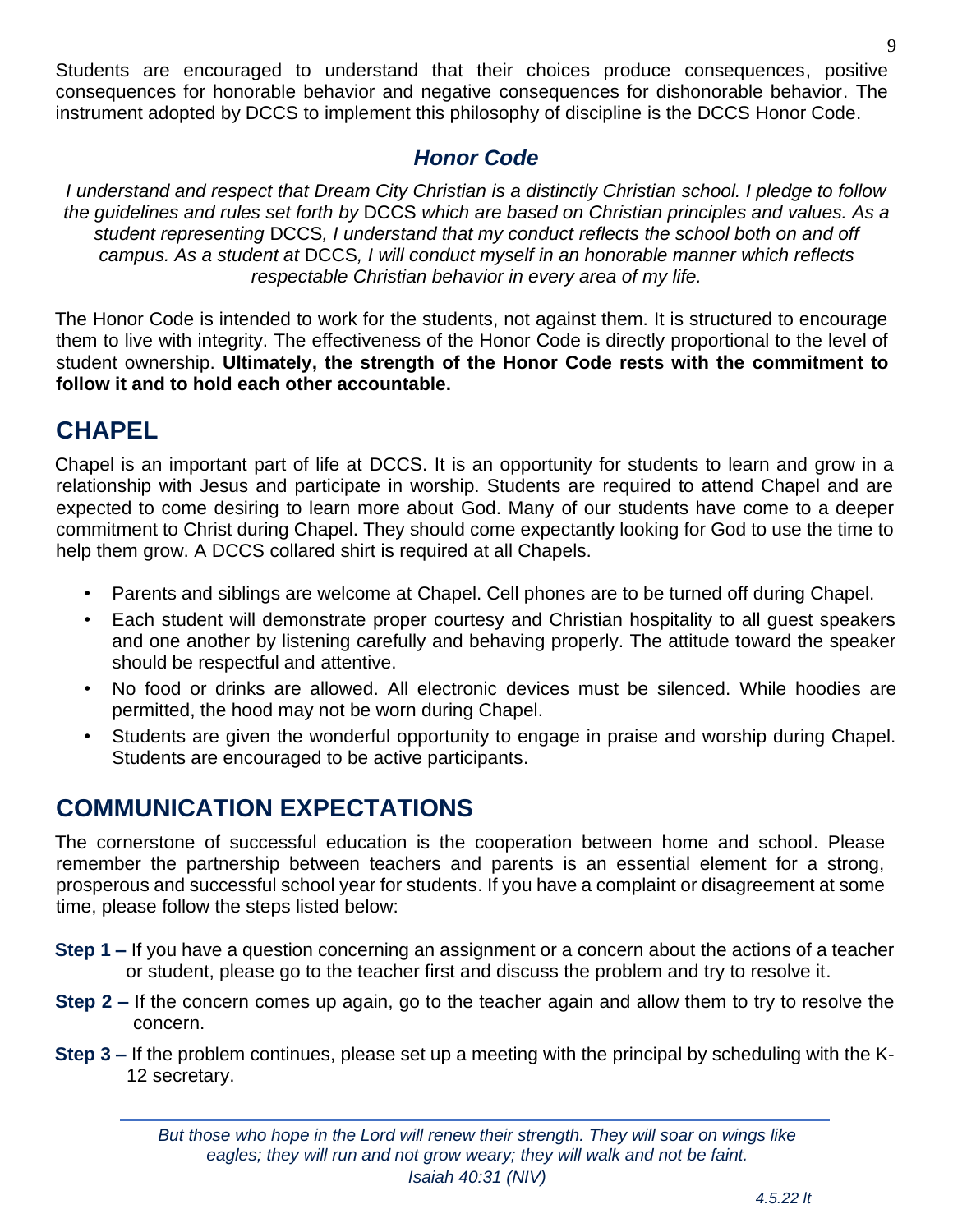Students are encouraged to understand that their choices produce consequences, positive consequences for honorable behavior and negative consequences for dishonorable behavior. The instrument adopted by DCCS to implement this philosophy of discipline is the DCCS Honor Code.

#### *Honor Code*

*I understand and respect that Dream City Christian is a distinctly Christian school. I pledge to follow the guidelines and rules set forth by* DCCS *which are based on Christian principles and values. As a student representing* DCCS*, I understand that my conduct reflects the school both on and off campus. As a student at* DCCS*, I will conduct myself in an honorable manner which reflects respectable Christian behavior in every area of my life.* 

The Honor Code is intended to work for the students, not against them. It is structured to encourage them to live with integrity. The effectiveness of the Honor Code is directly proportional to the level of student ownership. **Ultimately, the strength of the Honor Code rests with the commitment to follow it and to hold each other accountable.**

## <span id="page-8-0"></span>**CHAPEL**

Chapel is an important part of life at DCCS. It is an opportunity for students to learn and grow in a relationship with Jesus and participate in worship. Students are required to attend Chapel and are expected to come desiring to learn more about God. Many of our students have come to a deeper commitment to Christ during Chapel. They should come expectantly looking for God to use the time to help them grow. A DCCS collared shirt is required at all Chapels.

- Parents and siblings are welcome at Chapel. Cell phones are to be turned off during Chapel.
- Each student will demonstrate proper courtesy and Christian hospitality to all guest speakers and one another by listening carefully and behaving properly. The attitude toward the speaker should be respectful and attentive.
- No food or drinks are allowed. All electronic devices must be silenced. While hoodies are permitted, the hood may not be worn during Chapel.
- Students are given the wonderful opportunity to engage in praise and worship during Chapel. Students are encouraged to be active participants.

## <span id="page-8-1"></span>**COMMUNICATION EXPECTATIONS**

The cornerstone of successful education is the cooperation between home and school. Please remember the partnership between teachers and parents is an essential element for a strong, prosperous and successful school year for students. If you have a complaint or disagreement at some time, please follow the steps listed below:

- **Step 1 –** If you have a question concerning an assignment or a concern about the actions of a teacher or student, please go to the teacher first and discuss the problem and try to resolve it.
- **Step 2 –** If the concern comes up again, go to the teacher again and allow them to try to resolve the concern.
- **Step 3 –** If the problem continues, please set up a meeting with the principal by scheduling with the K-12 secretary.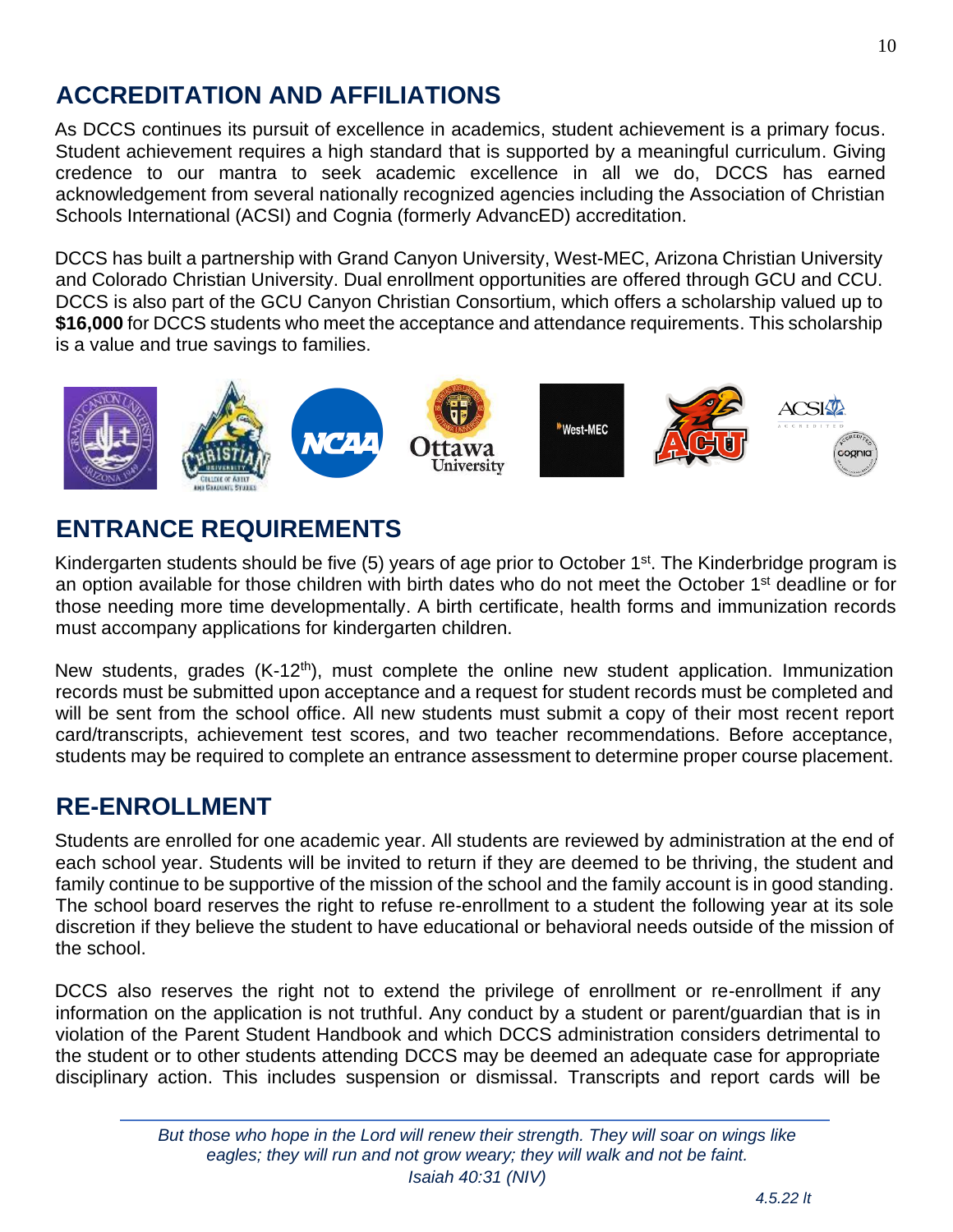## <span id="page-9-0"></span>**ACCREDITATION AND AFFILIATIONS**

As DCCS continues its pursuit of excellence in academics, student achievement is a primary focus. Student achievement requires a high standard that is supported by a meaningful curriculum. Giving credence to our mantra to seek academic excellence in all we do, DCCS has earned acknowledgement from several nationally recognized agencies including the Association of Christian Schools International (ACSI) and Cognia (formerly AdvancED) accreditation.

DCCS has built a partnership with Grand Canyon University, West-MEC, Arizona Christian University and Colorado Christian University. Dual enrollment opportunities are offered through GCU and CCU. DCCS is also part of the GCU Canyon Christian Consortium, which offers a scholarship valued up to **\$16,000** for DCCS students who meet the acceptance and attendance requirements. This scholarship is a value and true savings to families.



## <span id="page-9-1"></span>**ENTRANCE REQUIREMENTS**

Kindergarten students should be five (5) years of age prior to October 1<sup>st</sup>. The Kinderbridge program is an option available for those children with birth dates who do not meet the October 1<sup>st</sup> deadline or for those needing more time developmentally. A birth certificate, health forms and immunization records must accompany applications for kindergarten children.

New students, grades (K-12<sup>th</sup>), must complete the online new student application. Immunization records must be submitted upon acceptance and a request for student records must be completed and will be sent from the school office. All new students must submit a copy of their most recent report card/transcripts, achievement test scores, and two teacher recommendations. Before acceptance, students may be required to complete an entrance assessment to determine proper course placement.

## <span id="page-9-2"></span>**RE-ENROLLMENT**

Students are enrolled for one academic year. All students are reviewed by administration at the end of each school year. Students will be invited to return if they are deemed to be thriving, the student and family continue to be supportive of the mission of the school and the family account is in good standing. The school board reserves the right to refuse re-enrollment to a student the following year at its sole discretion if they believe the student to have educational or behavioral needs outside of the mission of the school.

DCCS also reserves the right not to extend the privilege of enrollment or re-enrollment if any information on the application is not truthful. Any conduct by a student or parent/guardian that is in violation of the Parent Student Handbook and which DCCS administration considers detrimental to the student or to other students attending DCCS may be deemed an adequate case for appropriate disciplinary action. This includes suspension or dismissal. Transcripts and report cards will be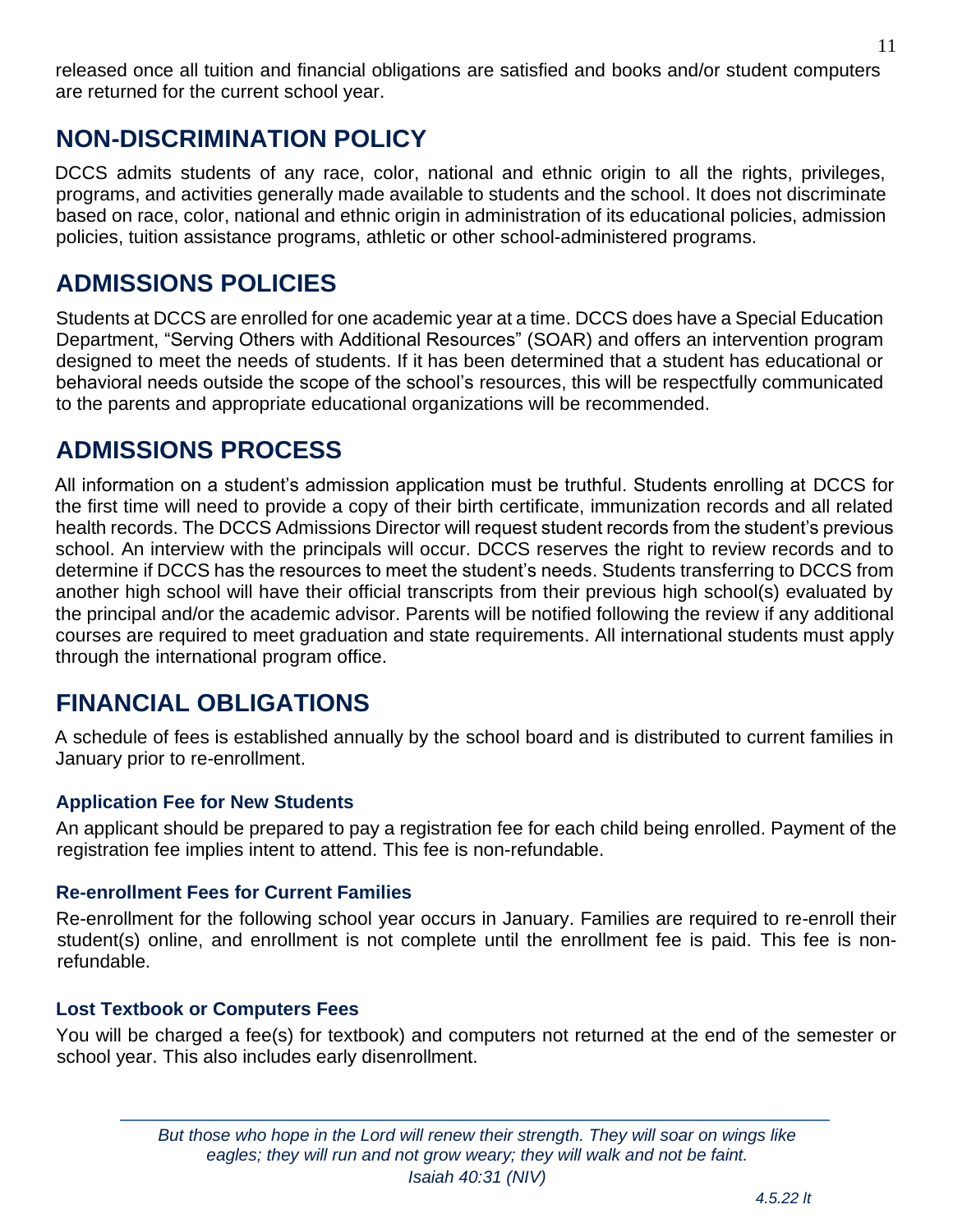released once all tuition and financial obligations are satisfied and books and/or student computers are returned for the current school year.

## <span id="page-10-0"></span>**NON-DISCRIMINATION POLICY**

DCCS admits students of any race, color, national and ethnic origin to all the rights, privileges, programs, and activities generally made available to students and the school. It does not discriminate based on race, color, national and ethnic origin in administration of its educational policies, admission policies, tuition assistance programs, athletic or other school-administered programs.

## <span id="page-10-1"></span>**ADMISSIONS POLICIES**

Students at DCCS are enrolled for one academic year at a time. DCCS does have a Special Education Department, "Serving Others with Additional Resources" (SOAR) and offers an intervention program designed to meet the needs of students. If it has been determined that a student has educational or behavioral needs outside the scope of the school's resources, this will be respectfully communicated to the parents and appropriate educational organizations will be recommended.

## <span id="page-10-2"></span>**ADMISSIONS PROCESS**

All information on a student's admission application must be truthful. Students enrolling at DCCS for the first time will need to provide a copy of their birth certificate, immunization records and all related health records. The DCCS Admissions Director will request student records from the student's previous school. An interview with the principals will occur. DCCS reserves the right to review records and to determine if DCCS has the resources to meet the student's needs. Students transferring to DCCS from another high school will have their official transcripts from their previous high school(s) evaluated by the principal and/or the academic advisor. Parents will be notified following the review if any additional courses are required to meet graduation and state requirements. All international students must apply through the international program office.

## <span id="page-10-3"></span>**FINANCIAL OBLIGATIONS**

A schedule of fees is established annually by the school board and is distributed to current families in January prior to re-enrollment.

#### **Application Fee for New Students**

An applicant should be prepared to pay a registration fee for each child being enrolled. Payment of the registration fee implies intent to attend. This fee is non-refundable.

#### **Re-enrollment Fees for Current Families**

Re-enrollment for the following school year occurs in January. Families are required to re-enroll their student(s) online, and enrollment is not complete until the enrollment fee is paid. This fee is nonrefundable.

#### **Lost Textbook or Computers Fees**

You will be charged a fee(s) for textbook) and computers not returned at the end of the semester or school year. This also includes early disenrollment.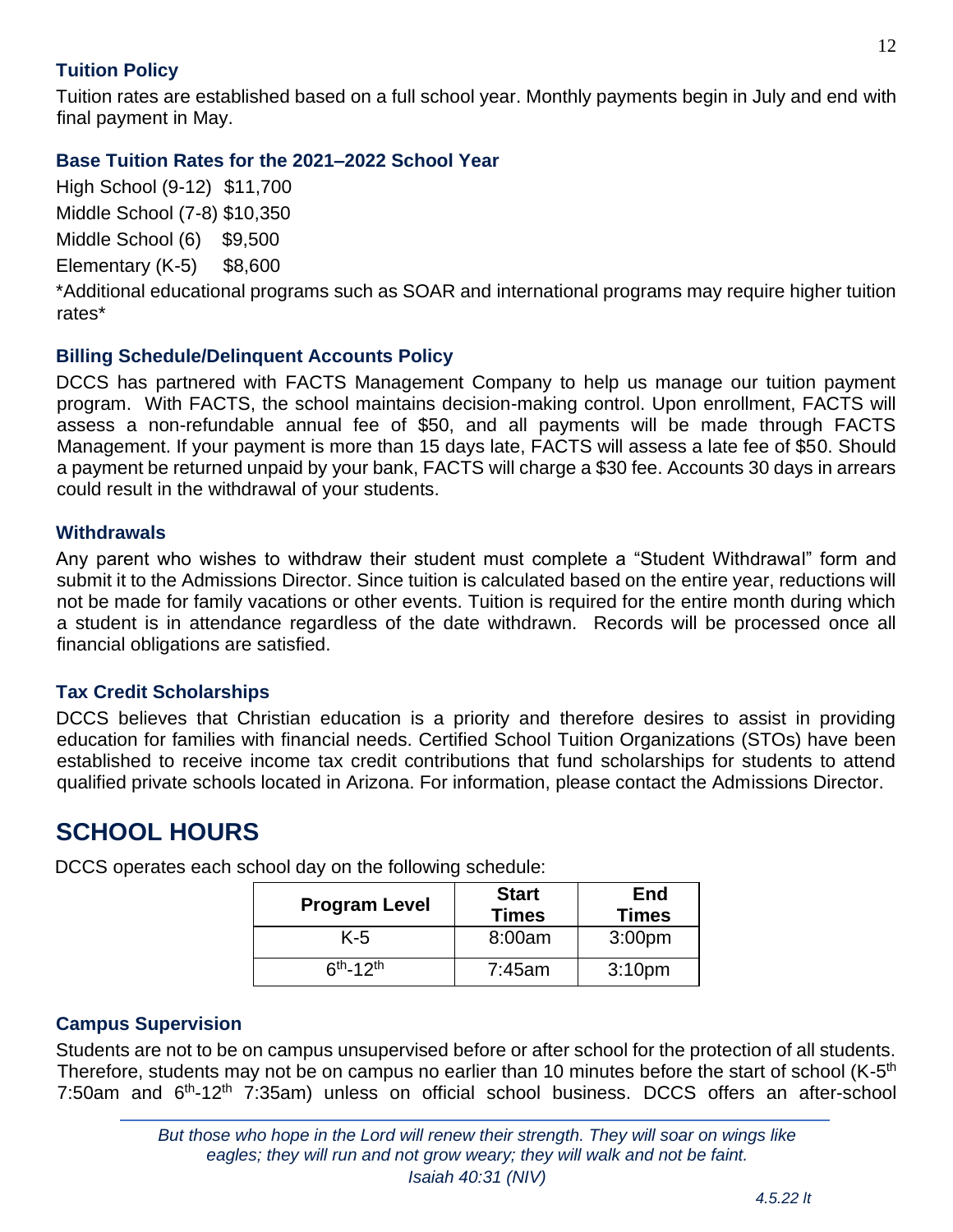#### **Tuition Policy**

Tuition rates are established based on a full school year. Monthly payments begin in July and end with final payment in May.

#### **Base Tuition Rates for the 2021–2022 School Year**

High School (9-12) \$11,700 Middle School (7-8) \$10,350 Middle School (6) \$9,500 Elementary (K-5) \$8,600

\*Additional educational programs such as SOAR and international programs may require higher tuition rates\*

#### **Billing Schedule/Delinquent Accounts Policy**

DCCS has partnered with FACTS Management Company to help us manage our tuition payment program. With FACTS, the school maintains decision-making control. Upon enrollment, FACTS will assess a non-refundable annual fee of \$50, and all payments will be made through FACTS Management. If your payment is more than 15 days late, FACTS will assess a late fee of \$50. Should a payment be returned unpaid by your bank, FACTS will charge a \$30 fee. Accounts 30 days in arrears could result in the withdrawal of your students.

#### **Withdrawals**

Any parent who wishes to withdraw their student must complete a "Student Withdrawal" form and submit it to the Admissions Director. Since tuition is calculated based on the entire year, reductions will not be made for family vacations or other events. Tuition is required for the entire month during which a student is in attendance regardless of the date withdrawn. Records will be processed once all financial obligations are satisfied.

#### **Tax Credit Scholarships**

DCCS believes that Christian education is a priority and therefore desires to assist in providing education for families with financial needs. Certified School Tuition Organizations (STOs) have been established to receive income tax credit contributions that fund scholarships for students to attend qualified private schools located in Arizona. For information, please contact the Admissions Director.

## <span id="page-11-0"></span>**SCHOOL HOURS**

| <b>Program Level</b> | <b>Start</b><br><b>Times</b> | <b>End</b><br><b>Times</b> |
|----------------------|------------------------------|----------------------------|
| K-5                  | 8:00am                       | 3:00 <sub>pm</sub>         |
| $6th - 12th$         | 7:45am                       | 3:10 <sub>pm</sub>         |

DCCS operates each school day on the following schedule:

#### **Campus Supervision**

Students are not to be on campus unsupervised before or after school for the protection of all students. Therefore, students may not be on campus no earlier than 10 minutes before the start of school (K-5<sup>th</sup> 7:50am and 6<sup>th</sup>-12<sup>th</sup> 7:35am) unless on official school business. DCCS offers an after-school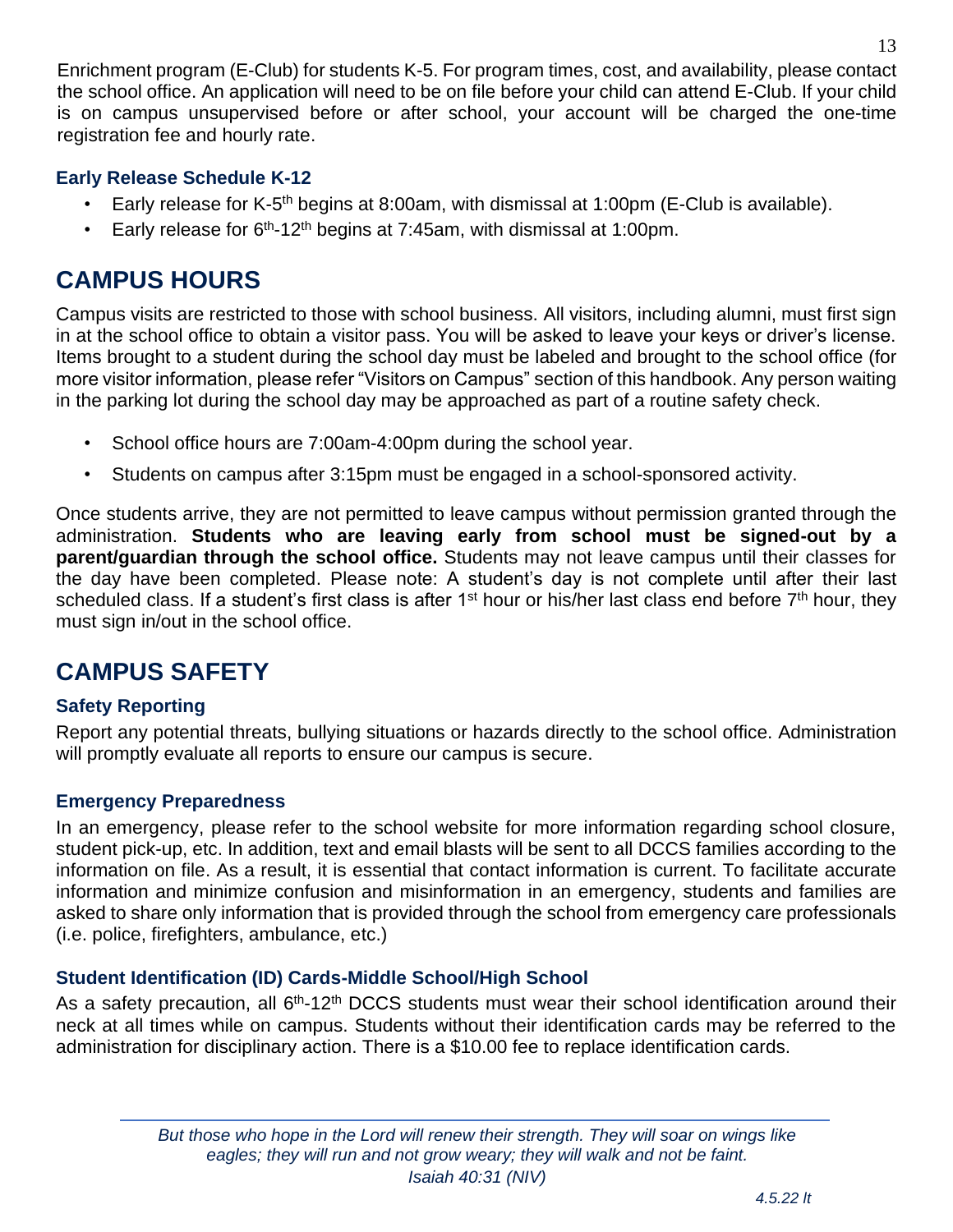Enrichment program (E-Club) for students K-5. For program times, cost, and availability, please contact the school office. An application will need to be on file before your child can attend E-Club. If your child is on campus unsupervised before or after school, your account will be charged the one-time registration fee and hourly rate.

#### **Early Release Schedule K-12**

- Early release for K-5<sup>th</sup> begins at 8:00am, with dismissal at 1:00pm (E-Club is available).
- Early release for  $6<sup>th</sup>$ -12<sup>th</sup> begins at 7:45am, with dismissal at 1:00pm.

## <span id="page-12-0"></span>**CAMPUS HOURS**

Campus visits are restricted to those with school business. All visitors, including alumni, must first sign in at the school office to obtain a visitor pass. You will be asked to leave your keys or driver's license. Items brought to a student during the school day must be labeled and brought to the school office (for more visitor information, please refer "Visitors on Campus" section of this handbook. Any person waiting in the parking lot during the school day may be approached as part of a routine safety check.

- School office hours are 7:00am-4:00pm during the school year.
- Students on campus after 3:15pm must be engaged in a school-sponsored activity.

Once students arrive, they are not permitted to leave campus without permission granted through the administration. **Students who are leaving early from school must be signed-out by a parent/guardian through the school office.** Students may not leave campus until their classes for the day have been completed. Please note: A student's day is not complete until after their last scheduled class. If a student's first class is after 1<sup>st</sup> hour or his/her last class end before 7<sup>th</sup> hour, they must sign in/out in the school office.

## <span id="page-12-1"></span>**CAMPUS SAFETY**

#### **Safety Reporting**

Report any potential threats, bullying situations or hazards directly to the school office. Administration will promptly evaluate all reports to ensure our campus is secure.

#### **Emergency Preparedness**

In an emergency, please refer to the school website for more information regarding school closure, student pick-up, etc. In addition, text and email blasts will be sent to all DCCS families according to the information on file. As a result, it is essential that contact information is current. To facilitate accurate information and minimize confusion and misinformation in an emergency, students and families are asked to share only information that is provided through the school from emergency care professionals (i.e. police, firefighters, ambulance, etc.)

#### **Student Identification (ID) Cards-Middle School/High School**

As a safety precaution, all 6<sup>th</sup>-12<sup>th</sup> DCCS students must wear their school identification around their neck at all times while on campus. Students without their identification cards may be referred to the administration for disciplinary action. There is a \$10.00 fee to replace identification cards.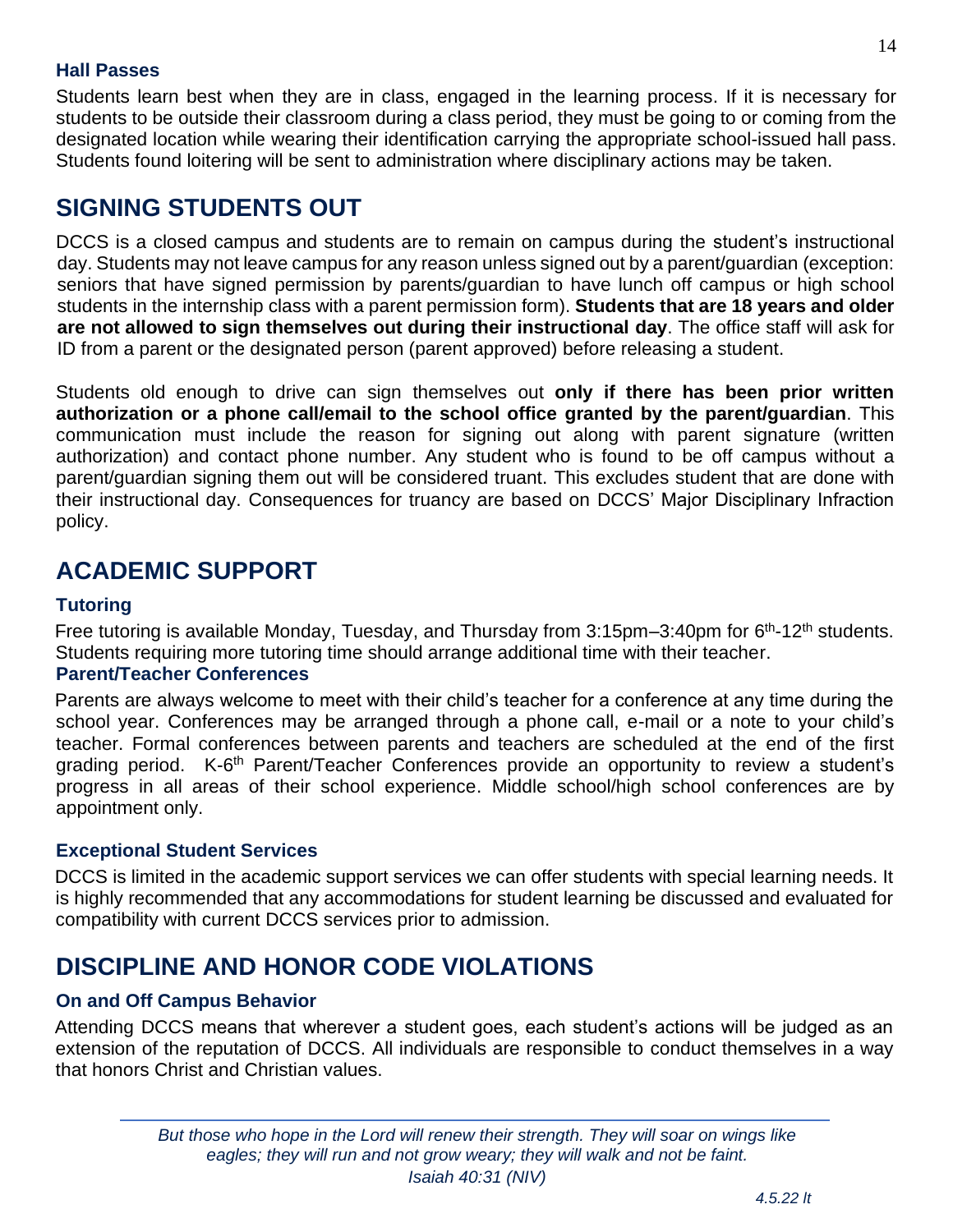#### **Hall Passes**

Students learn best when they are in class, engaged in the learning process. If it is necessary for students to be outside their classroom during a class period, they must be going to or coming from the designated location while wearing their identification carrying the appropriate school-issued hall pass. Students found loitering will be sent to administration where disciplinary actions may be taken.

## <span id="page-13-0"></span>**SIGNING STUDENTS OUT**

DCCS is a closed campus and students are to remain on campus during the student's instructional day. Students may not leave campus for any reason unless signed out by a parent/guardian (exception: seniors that have signed permission by parents/guardian to have lunch off campus or high school students in the internship class with a parent permission form). **Students that are 18 years and older are not allowed to sign themselves out during their instructional day**. The office staff will ask for ID from a parent or the designated person (parent approved) before releasing a student.

Students old enough to drive can sign themselves out **only if there has been prior written authorization or a phone call/email to the school office granted by the parent/guardian**. This communication must include the reason for signing out along with parent signature (written authorization) and contact phone number. Any student who is found to be off campus without a parent/guardian signing them out will be considered truant. This excludes student that are done with their instructional day. Consequences for truancy are based on DCCS' Major Disciplinary Infraction policy.

## <span id="page-13-1"></span>**ACADEMIC SUPPORT**

#### **Tutoring**

Free tutoring is available Monday, Tuesday, and Thursday from  $3:15$ pm $-3:40$ pm for  $6<sup>th</sup>$ -12<sup>th</sup> students. Students requiring more tutoring time should arrange additional time with their teacher.

#### **Parent/Teacher Conferences**

Parents are always welcome to meet with their child's teacher for a conference at any time during the school year. Conferences may be arranged through a phone call, e-mail or a note to your child's teacher. Formal conferences between parents and teachers are scheduled at the end of the first grading period. K-6<sup>th</sup> Parent/Teacher Conferences provide an opportunity to review a student's progress in all areas of their school experience. Middle school/high school conferences are by appointment only.

#### **Exceptional Student Services**

DCCS is limited in the academic support services we can offer students with special learning needs. It is highly recommended that any accommodations for student learning be discussed and evaluated for compatibility with current DCCS services prior to admission.

## <span id="page-13-2"></span>**DISCIPLINE AND HONOR CODE VIOLATIONS**

#### **On and Off Campus Behavior**

Attending DCCS means that wherever a student goes, each student's actions will be judged as an extension of the reputation of DCCS. All individuals are responsible to conduct themselves in a way that honors Christ and Christian values.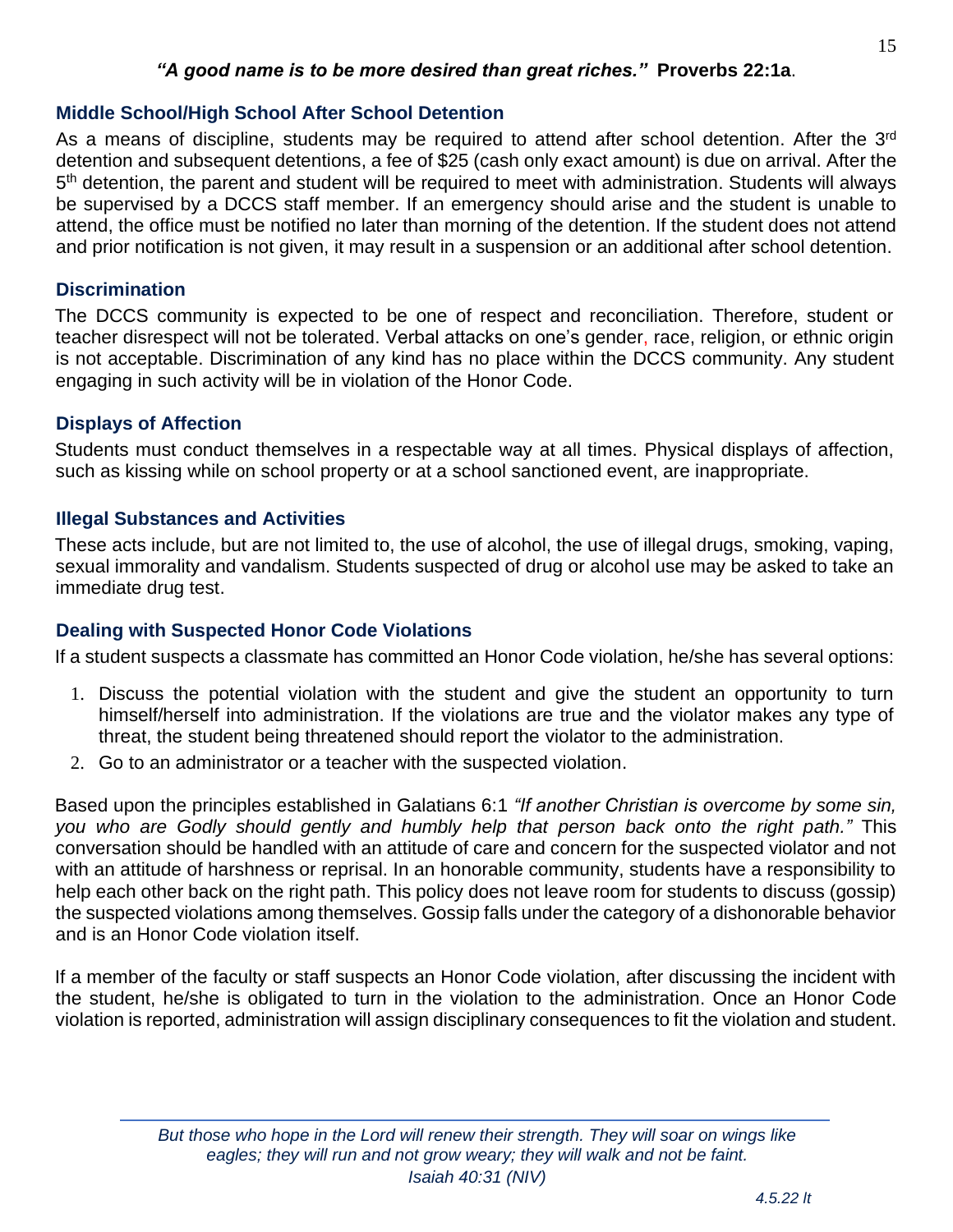#### *"A good name is to be more desired than great riches."* **Proverbs 22:1a**.

#### **Middle School/High School After School Detention**

As a means of discipline, students may be required to attend after school detention. After the 3<sup>rd</sup> detention and subsequent detentions, a fee of \$25 (cash only exact amount) is due on arrival. After the 5<sup>th</sup> detention, the parent and student will be required to meet with administration. Students will always be supervised by a DCCS staff member. If an emergency should arise and the student is unable to attend, the office must be notified no later than morning of the detention. If the student does not attend and prior notification is not given, it may result in a suspension or an additional after school detention.

#### **Discrimination**

The DCCS community is expected to be one of respect and reconciliation. Therefore, student or teacher disrespect will not be tolerated. Verbal attacks on one's gender, race, religion, or ethnic origin is not acceptable. Discrimination of any kind has no place within the DCCS community. Any student engaging in such activity will be in violation of the Honor Code.

#### **Displays of Affection**

Students must conduct themselves in a respectable way at all times. Physical displays of affection, such as kissing while on school property or at a school sanctioned event, are inappropriate.

#### **Illegal Substances and Activities**

These acts include, but are not limited to, the use of alcohol, the use of illegal drugs, smoking, vaping, sexual immorality and vandalism. Students suspected of drug or alcohol use may be asked to take an immediate drug test.

#### **Dealing with Suspected Honor Code Violations**

If a student suspects a classmate has committed an Honor Code violation, he/she has several options:

- 1. Discuss the potential violation with the student and give the student an opportunity to turn himself/herself into administration. If the violations are true and the violator makes any type of threat, the student being threatened should report the violator to the administration.
- 2. Go to an administrator or a teacher with the suspected violation.

Based upon the principles established in Galatians 6:1 *"If another Christian is overcome by some sin, you who are Godly should gently and humbly help that person back onto the right path."* This conversation should be handled with an attitude of care and concern for the suspected violator and not with an attitude of harshness or reprisal. In an honorable community, students have a responsibility to help each other back on the right path. This policy does not leave room for students to discuss (gossip) the suspected violations among themselves. Gossip falls under the category of a dishonorable behavior and is an Honor Code violation itself.

If a member of the faculty or staff suspects an Honor Code violation, after discussing the incident with the student, he/she is obligated to turn in the violation to the administration. Once an Honor Code violation is reported, administration will assign disciplinary consequences to fit the violation and student.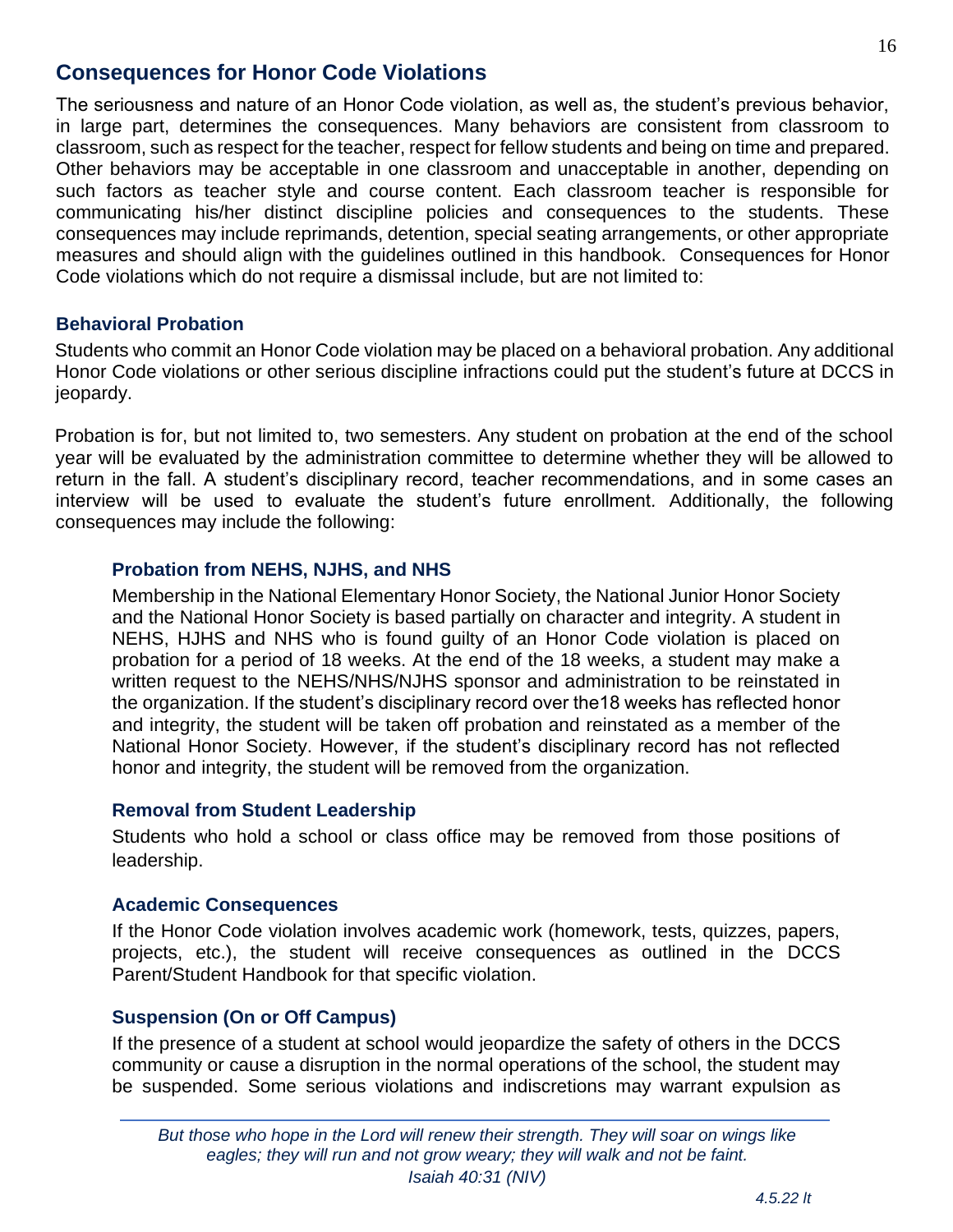#### **Consequences for Honor Code Violations**

The seriousness and nature of an Honor Code violation, as well as, the student's previous behavior, in large part, determines the consequences. Many behaviors are consistent from classroom to classroom, such as respect for the teacher, respect for fellow students and being on time and prepared. Other behaviors may be acceptable in one classroom and unacceptable in another, depending on such factors as teacher style and course content. Each classroom teacher is responsible for communicating his/her distinct discipline policies and consequences to the students. These consequences may include reprimands, detention, special seating arrangements, or other appropriate measures and should align with the guidelines outlined in this handbook. Consequences for Honor Code violations which do not require a dismissal include, but are not limited to:

#### **Behavioral Probation**

Students who commit an Honor Code violation may be placed on a behavioral probation. Any additional Honor Code violations or other serious discipline infractions could put the student's future at DCCS in jeopardy.

Probation is for, but not limited to, two semesters. Any student on probation at the end of the school year will be evaluated by the administration committee to determine whether they will be allowed to return in the fall. A student's disciplinary record, teacher recommendations, and in some cases an interview will be used to evaluate the student's future enrollment*.* Additionally, the following consequences may include the following:

#### **Probation from NEHS, NJHS, and NHS**

Membership in the National Elementary Honor Society, the National Junior Honor Society and the National Honor Society is based partially on character and integrity. A student in NEHS, HJHS and NHS who is found guilty of an Honor Code violation is placed on probation for a period of 18 weeks. At the end of the 18 weeks, a student may make a written request to the NEHS/NHS/NJHS sponsor and administration to be reinstated in the organization. If the student's disciplinary record over the18 weeks has reflected honor and integrity, the student will be taken off probation and reinstated as a member of the National Honor Society. However, if the student's disciplinary record has not reflected honor and integrity, the student will be removed from the organization.

#### **Removal from Student Leadership**

Students who hold a school or class office may be removed from those positions of leadership.

#### **Academic Consequences**

If the Honor Code violation involves academic work (homework, tests, quizzes, papers, projects, etc.), the student will receive consequences as outlined in the DCCS Parent/Student Handbook for that specific violation.

#### **Suspension (On or Off Campus)**

If the presence of a student at school would jeopardize the safety of others in the DCCS community or cause a disruption in the normal operations of the school, the student may be suspended. Some serious violations and indiscretions may warrant expulsion as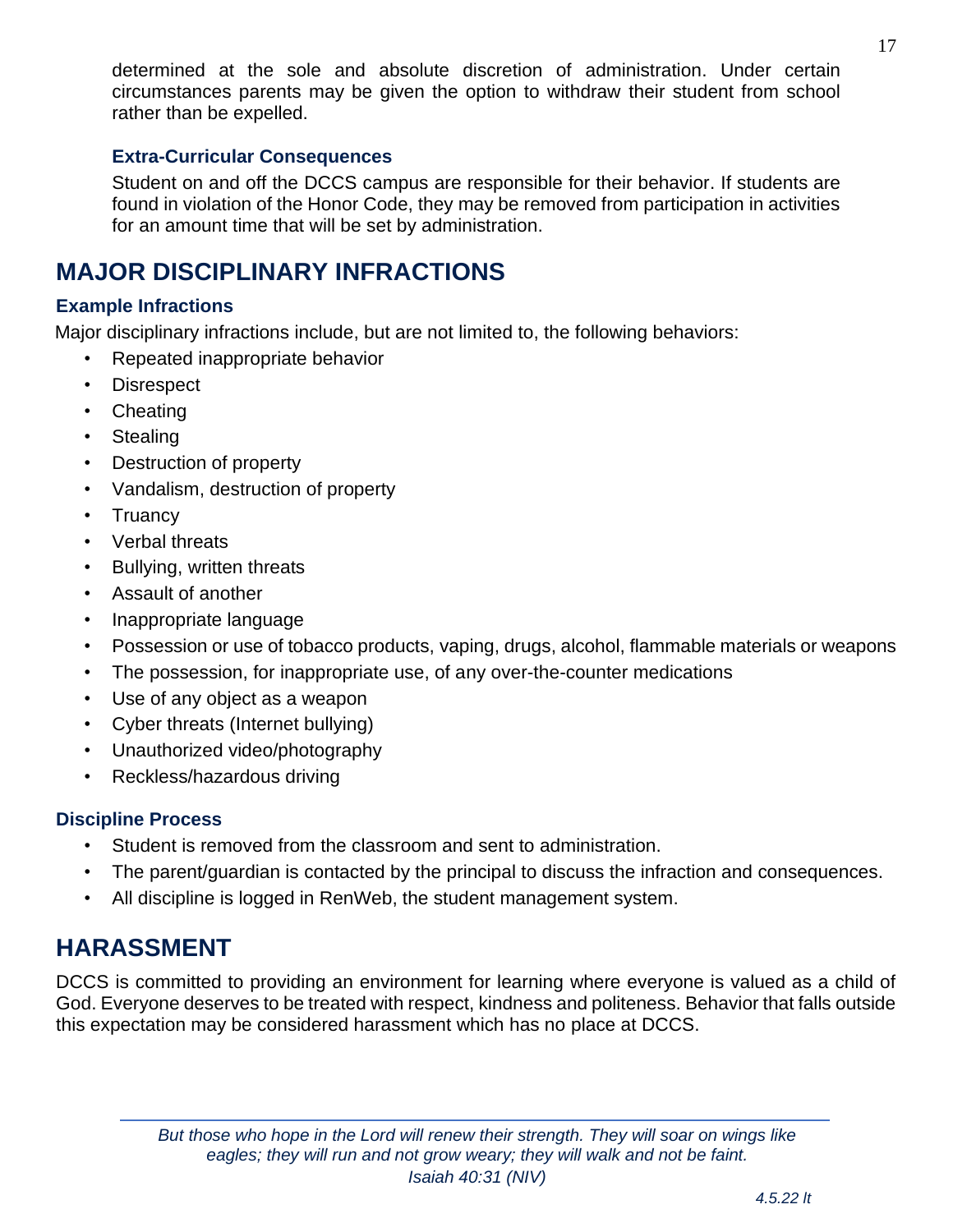#### **Extra-Curricular Consequences**

Student on and off the DCCS campus are responsible for their behavior. If students are found in violation of the Honor Code, they may be removed from participation in activities for an amount time that will be set by administration.

## <span id="page-16-0"></span>**MAJOR DISCIPLINARY INFRACTIONS**

#### **Example Infractions**

Major disciplinary infractions include, but are not limited to, the following behaviors:

- Repeated inappropriate behavior
- Disrespect
- Cheating
- **Stealing**
- Destruction of property
- Vandalism, destruction of property
- Truancy
- Verbal threats
- Bullying, written threats
- Assault of another
- Inappropriate language
- Possession or use of tobacco products, vaping, drugs, alcohol, flammable materials or weapons
- The possession, for inappropriate use, of any over-the-counter medications
- Use of any object as a weapon
- Cyber threats (Internet bullying)
- Unauthorized video/photography
- Reckless/hazardous driving

#### **Discipline Process**

- Student is removed from the classroom and sent to administration.
- The parent/guardian is contacted by the principal to discuss the infraction and consequences.
- All discipline is logged in RenWeb, the student management system.

## <span id="page-16-1"></span>**HARASSMENT**

DCCS is committed to providing an environment for learning where everyone is valued as a child of God. Everyone deserves to be treated with respect, kindness and politeness. Behavior that falls outside this expectation may be considered harassment which has no place at DCCS.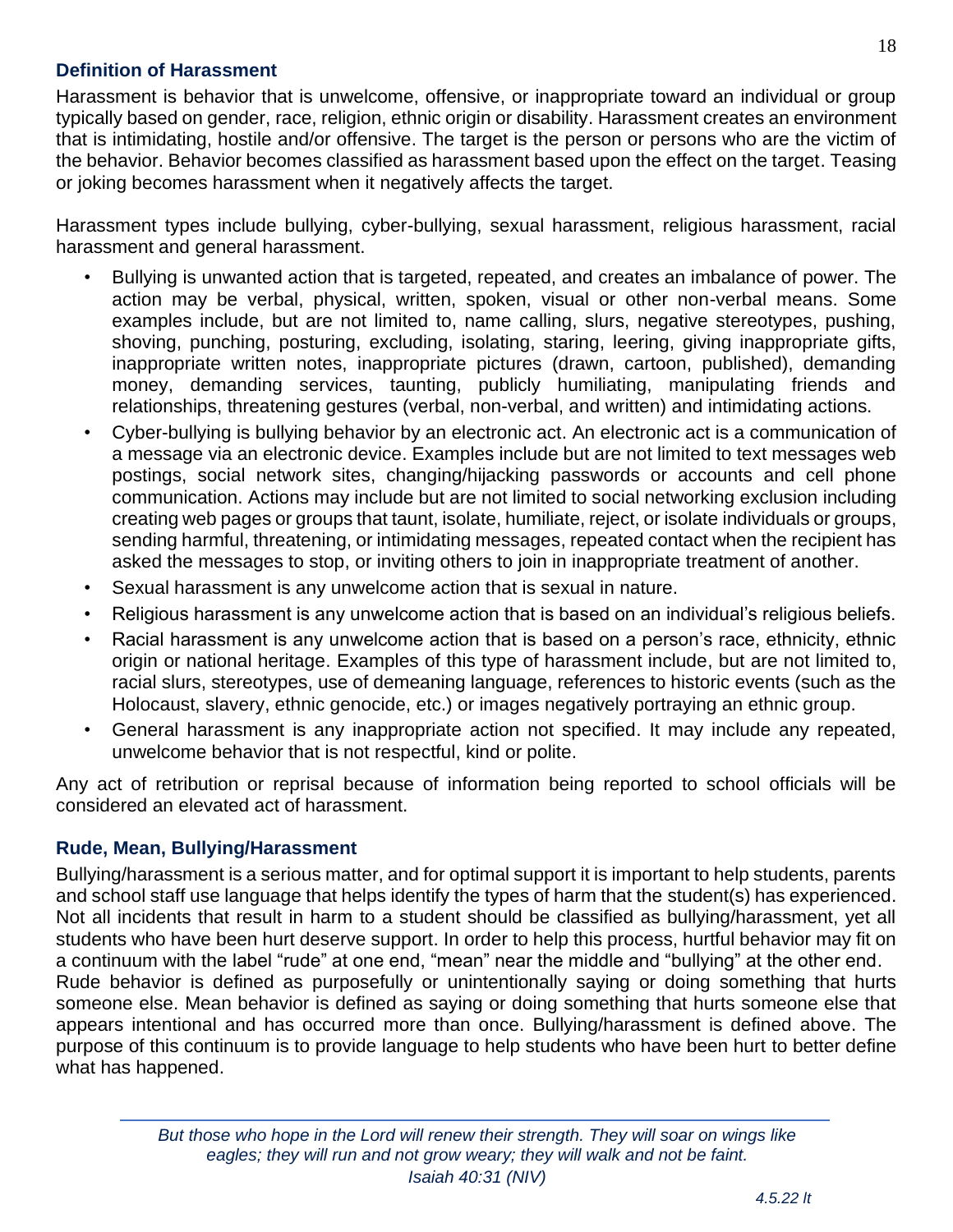#### **Definition of Harassment**

Harassment is behavior that is unwelcome, offensive, or inappropriate toward an individual or group typically based on gender, race, religion, ethnic origin or disability. Harassment creates an environment that is intimidating, hostile and/or offensive. The target is the person or persons who are the victim of the behavior. Behavior becomes classified as harassment based upon the effect on the target. Teasing or joking becomes harassment when it negatively affects the target.

Harassment types include bullying, cyber-bullying, sexual harassment, religious harassment, racial harassment and general harassment.

- Bullying is unwanted action that is targeted, repeated, and creates an imbalance of power. The action may be verbal, physical, written, spoken, visual or other non-verbal means. Some examples include, but are not limited to, name calling, slurs, negative stereotypes, pushing, shoving, punching, posturing, excluding, isolating, staring, leering, giving inappropriate gifts, inappropriate written notes, inappropriate pictures (drawn, cartoon, published), demanding money, demanding services, taunting, publicly humiliating, manipulating friends and relationships, threatening gestures (verbal, non-verbal, and written) and intimidating actions.
- Cyber-bullying is bullying behavior by an electronic act. An electronic act is a communication of a message via an electronic device. Examples include but are not limited to text messages web postings, social network sites, changing/hijacking passwords or accounts and cell phone communication. Actions may include but are not limited to social networking exclusion including creating web pages or groups that taunt, isolate, humiliate, reject, or isolate individuals or groups, sending harmful, threatening, or intimidating messages, repeated contact when the recipient has asked the messages to stop, or inviting others to join in inappropriate treatment of another.
- Sexual harassment is any unwelcome action that is sexual in nature.
- Religious harassment is any unwelcome action that is based on an individual's religious beliefs.
- Racial harassment is any unwelcome action that is based on a person's race, ethnicity, ethnic origin or national heritage. Examples of this type of harassment include, but are not limited to, racial slurs, stereotypes, use of demeaning language, references to historic events (such as the Holocaust, slavery, ethnic genocide, etc.) or images negatively portraying an ethnic group.
- General harassment is any inappropriate action not specified. It may include any repeated, unwelcome behavior that is not respectful, kind or polite.

Any act of retribution or reprisal because of information being reported to school officials will be considered an elevated act of harassment.

#### **Rude, Mean, Bullying/Harassment**

Bullying/harassment is a serious matter, and for optimal support it is important to help students, parents and school staff use language that helps identify the types of harm that the student(s) has experienced. Not all incidents that result in harm to a student should be classified as bullying/harassment, yet all students who have been hurt deserve support. In order to help this process, hurtful behavior may fit on a continuum with the label "rude" at one end, "mean" near the middle and "bullying" at the other end. Rude behavior is defined as purposefully or unintentionally saying or doing something that hurts someone else. Mean behavior is defined as saying or doing something that hurts someone else that appears intentional and has occurred more than once. Bullying/harassment is defined above. The purpose of this continuum is to provide language to help students who have been hurt to better define what has happened.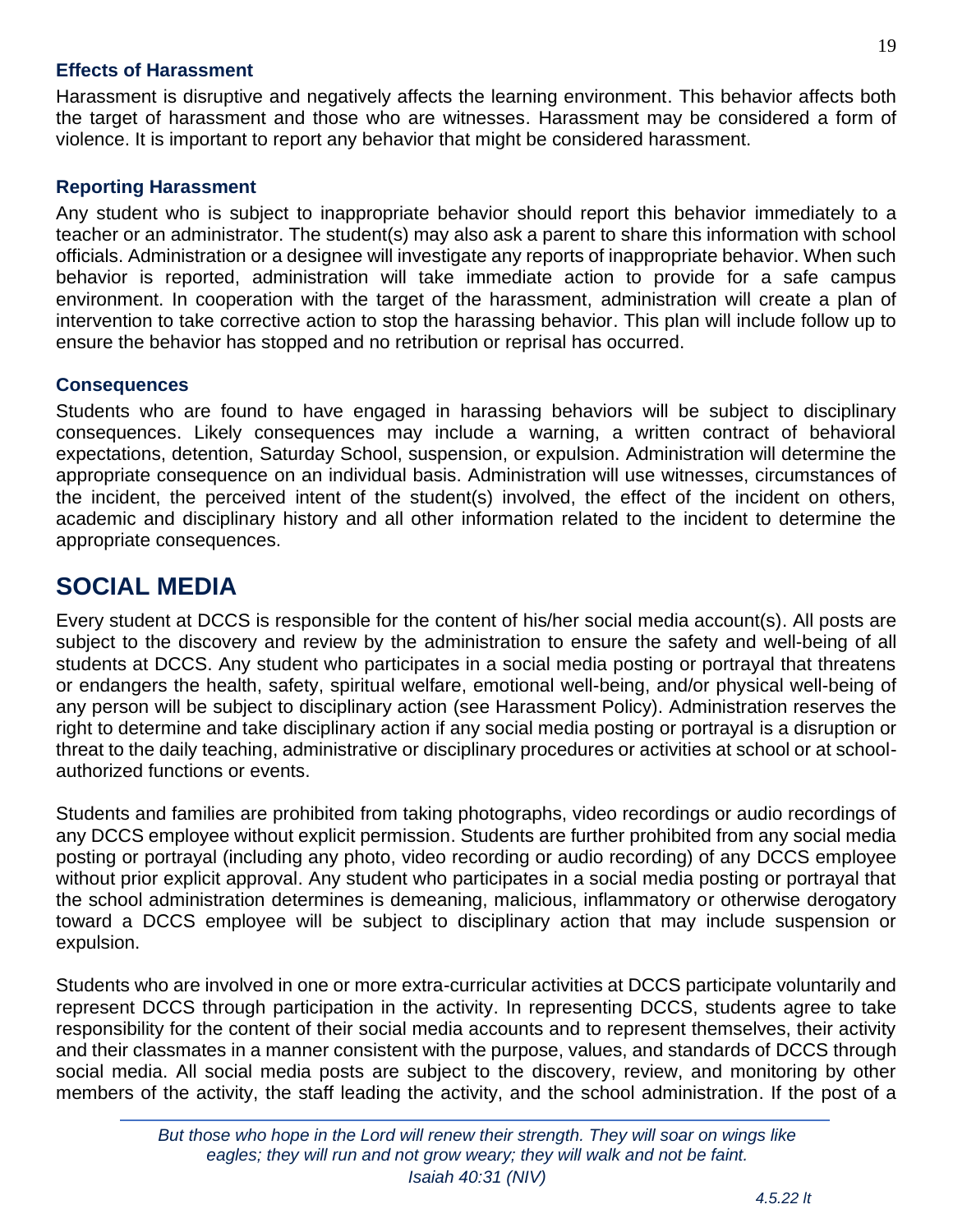#### **Effects of Harassment**

Harassment is disruptive and negatively affects the learning environment. This behavior affects both the target of harassment and those who are witnesses. Harassment may be considered a form of violence. It is important to report any behavior that might be considered harassment.

#### **Reporting Harassment**

Any student who is subject to inappropriate behavior should report this behavior immediately to a teacher or an administrator. The student(s) may also ask a parent to share this information with school officials. Administration or a designee will investigate any reports of inappropriate behavior. When such behavior is reported, administration will take immediate action to provide for a safe campus environment. In cooperation with the target of the harassment, administration will create a plan of intervention to take corrective action to stop the harassing behavior. This plan will include follow up to ensure the behavior has stopped and no retribution or reprisal has occurred.

#### **Consequences**

Students who are found to have engaged in harassing behaviors will be subject to disciplinary consequences. Likely consequences may include a warning, a written contract of behavioral expectations, detention, Saturday School, suspension, or expulsion. Administration will determine the appropriate consequence on an individual basis. Administration will use witnesses, circumstances of the incident, the perceived intent of the student(s) involved, the effect of the incident on others, academic and disciplinary history and all other information related to the incident to determine the appropriate consequences.

## <span id="page-18-0"></span>**SOCIAL MEDIA**

Every student at DCCS is responsible for the content of his/her social media account(s). All posts are subject to the discovery and review by the administration to ensure the safety and well-being of all students at DCCS. Any student who participates in a social media posting or portrayal that threatens or endangers the health, safety, spiritual welfare, emotional well-being, and/or physical well-being of any person will be subject to disciplinary action (see Harassment Policy). Administration reserves the right to determine and take disciplinary action if any social media posting or portrayal is a disruption or threat to the daily teaching, administrative or disciplinary procedures or activities at school or at schoolauthorized functions or events.

Students and families are prohibited from taking photographs, video recordings or audio recordings of any DCCS employee without explicit permission. Students are further prohibited from any social media posting or portrayal (including any photo, video recording or audio recording) of any DCCS employee without prior explicit approval. Any student who participates in a social media posting or portrayal that the school administration determines is demeaning, malicious, inflammatory or otherwise derogatory toward a DCCS employee will be subject to disciplinary action that may include suspension or expulsion.

Students who are involved in one or more extra-curricular activities at DCCS participate voluntarily and represent DCCS through participation in the activity. In representing DCCS, students agree to take responsibility for the content of their social media accounts and to represent themselves, their activity and their classmates in a manner consistent with the purpose, values, and standards of DCCS through social media. All social media posts are subject to the discovery, review, and monitoring by other members of the activity, the staff leading the activity, and the school administration. If the post of a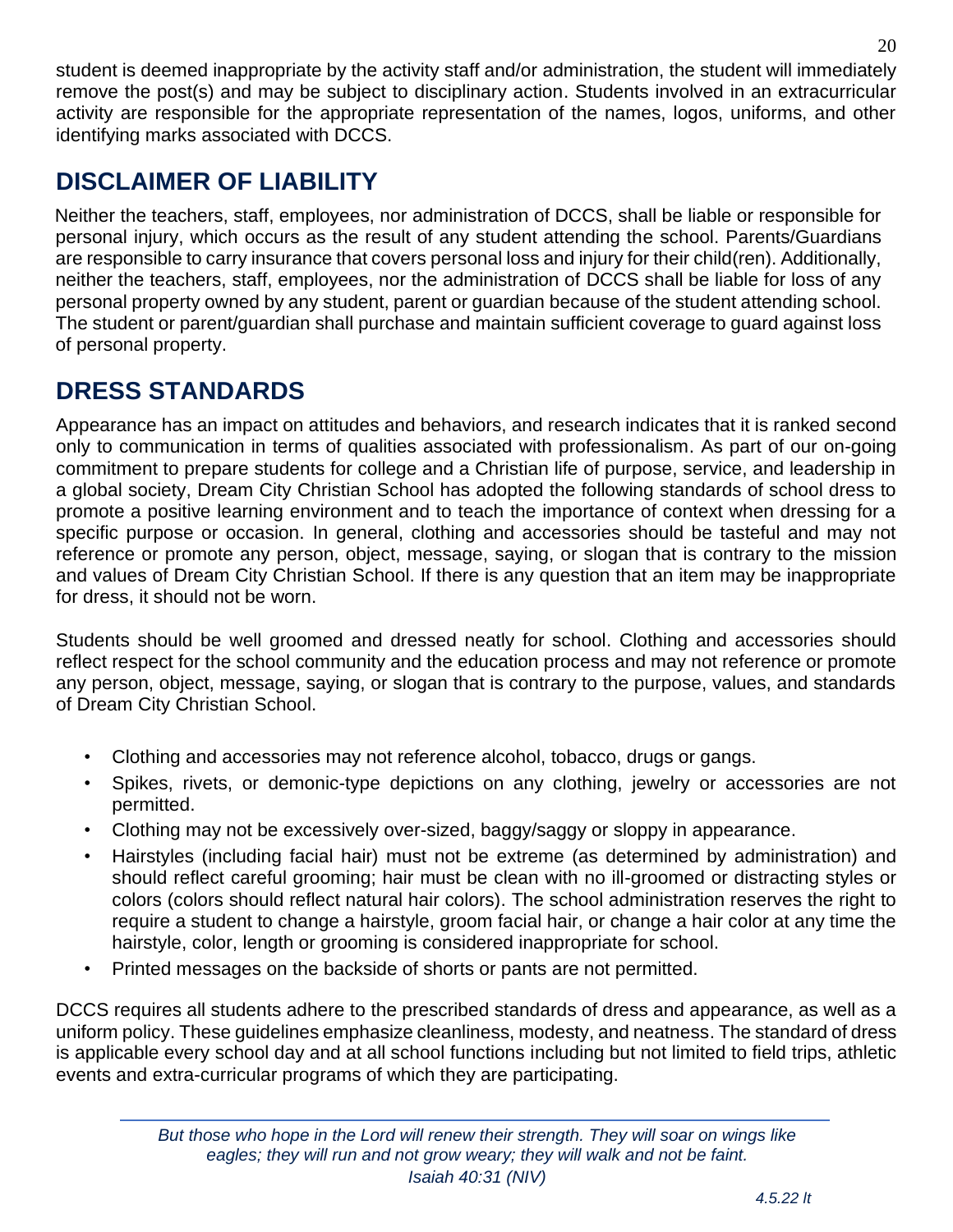student is deemed inappropriate by the activity staff and/or administration, the student will immediately remove the post(s) and may be subject to disciplinary action. Students involved in an extracurricular activity are responsible for the appropriate representation of the names, logos, uniforms, and other identifying marks associated with DCCS.

## <span id="page-19-0"></span>**DISCLAIMER OF LIABILITY**

Neither the teachers, staff, employees, nor administration of DCCS, shall be liable or responsible for personal injury, which occurs as the result of any student attending the school. Parents/Guardians are responsible to carry insurance that covers personal loss and injury for their child(ren). Additionally, neither the teachers, staff, employees, nor the administration of DCCS shall be liable for loss of any personal property owned by any student, parent or guardian because of the student attending school. The student or parent/guardian shall purchase and maintain sufficient coverage to guard against loss of personal property.

## <span id="page-19-1"></span>**DRESS STANDARDS**

Appearance has an impact on attitudes and behaviors, and research indicates that it is ranked second only to communication in terms of qualities associated with professionalism. As part of our on-going commitment to prepare students for college and a Christian life of purpose, service, and leadership in a global society, Dream City Christian School has adopted the following standards of school dress to promote a positive learning environment and to teach the importance of context when dressing for a specific purpose or occasion. In general, clothing and accessories should be tasteful and may not reference or promote any person, object, message, saying, or slogan that is contrary to the mission and values of Dream City Christian School. If there is any question that an item may be inappropriate for dress, it should not be worn.

Students should be well groomed and dressed neatly for school. Clothing and accessories should reflect respect for the school community and the education process and may not reference or promote any person, object, message, saying, or slogan that is contrary to the purpose, values, and standards of Dream City Christian School.

- Clothing and accessories may not reference alcohol, tobacco, drugs or gangs.
- Spikes, rivets, or demonic-type depictions on any clothing, jewelry or accessories are not permitted.
- Clothing may not be excessively over-sized, baggy/saggy or sloppy in appearance.
- Hairstyles (including facial hair) must not be extreme (as determined by administration) and should reflect careful grooming; hair must be clean with no ill-groomed or distracting styles or colors (colors should reflect natural hair colors). The school administration reserves the right to require a student to change a hairstyle, groom facial hair, or change a hair color at any time the hairstyle, color, length or grooming is considered inappropriate for school.
- Printed messages on the backside of shorts or pants are not permitted.

DCCS requires all students adhere to the prescribed standards of dress and appearance, as well as a uniform policy. These guidelines emphasize cleanliness, modesty, and neatness. The standard of dress is applicable every school day and at all school functions including but not limited to field trips, athletic events and extra-curricular programs of which they are participating.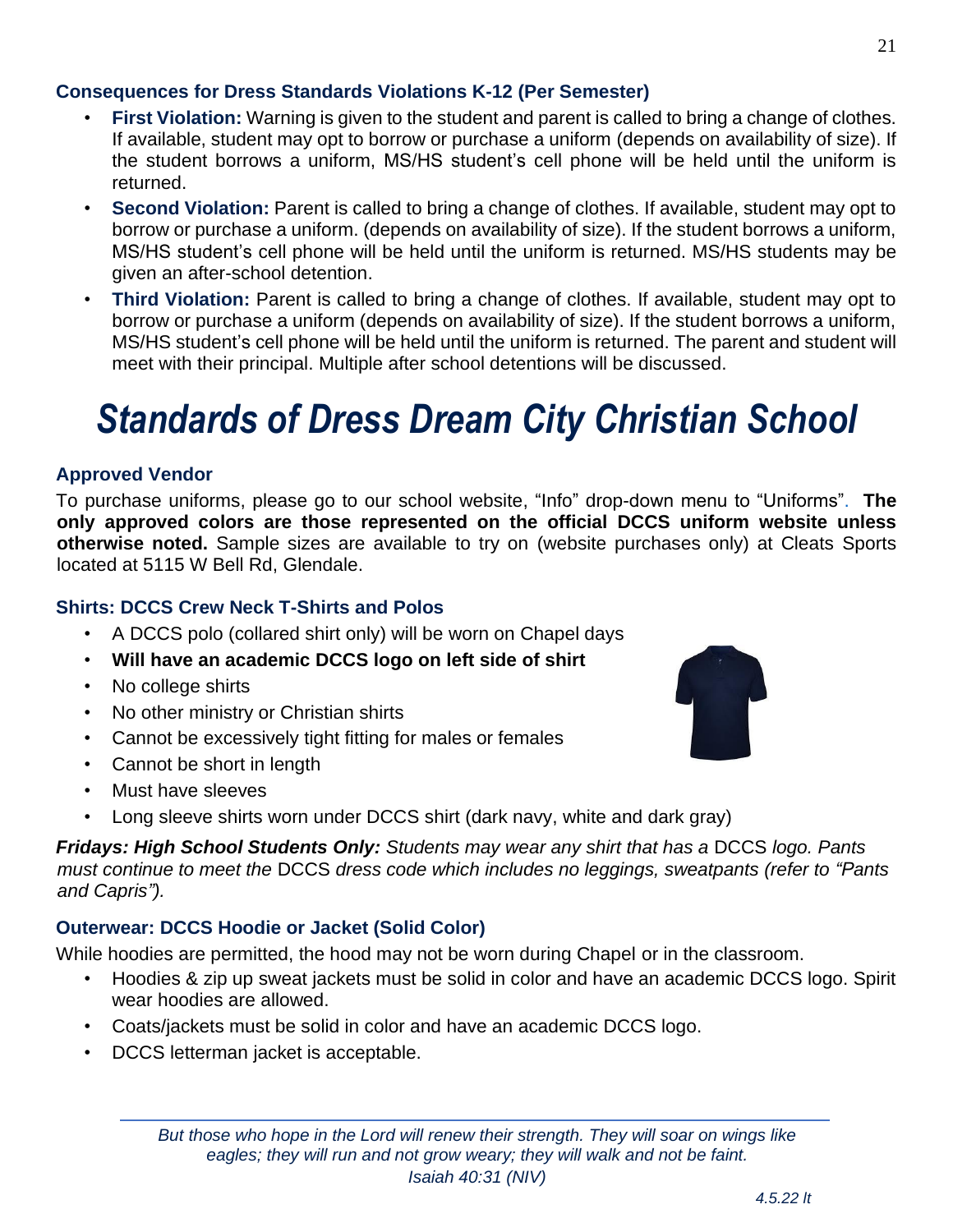#### **Consequences for Dress Standards Violations K-12 (Per Semester)**

- **First Violation:** Warning is given to the student and parent is called to bring a change of clothes. If available, student may opt to borrow or purchase a uniform (depends on availability of size). If the student borrows a uniform, MS/HS student's cell phone will be held until the uniform is returned.
- **Second Violation:** Parent is called to bring a change of clothes. If available, student may opt to borrow or purchase a uniform. (depends on availability of size). If the student borrows a uniform, MS/HS student's cell phone will be held until the uniform is returned. MS/HS students may be given an after-school detention.
- **Third Violation:** Parent is called to bring a change of clothes. If available, student may opt to borrow or purchase a uniform (depends on availability of size). If the student borrows a uniform, MS/HS student's cell phone will be held until the uniform is returned. The parent and student will meet with their principal. Multiple after school detentions will be discussed.

## *Standards of Dress Dream City Christian School*

### **Approved Vendor**

[To](http://expressionsquincy.com/index.php?route=product/category&path=73_156) purchase uniforms, please go to our school website, "Info" drop-down menu to "Uniforms". **The only approved colors are those represented on the official DCCS uniform website unless otherwise noted.** Sample sizes are available to try on (website purchases only) at Cleats Sports located at 5115 W Bell Rd, Glendale.

### **Shirts: DCCS Crew Neck T-Shirts and Polos**

- A DCCS polo (collared shirt only) will be worn on Chapel days
- **Will have an academic DCCS logo on left side of shirt**
- No college shirts
- No other ministry or Christian shirts
- Cannot be excessively tight fitting for males or females
- Cannot be short in length
- Must have sleeves
- Long sleeve shirts worn under DCCS shirt (dark navy, white and dark gray)

*Fridays: High School Students Only: Students may wear any shirt that has a* DCCS *logo. Pants must continue to meet the* DCCS *dress code which includes no leggings, sweatpants (refer to "Pants and Capris").* 

### **Outerwear: DCCS Hoodie or Jacket (Solid Color)**

While hoodies are permitted, the hood may not be worn during Chapel or in the classroom.

- Hoodies & zip up sweat jackets must be solid in color and have an academic DCCS logo. Spirit wear hoodies are allowed.
- Coats/jackets must be solid in color and have an academic DCCS logo.
- DCCS letterman jacket is acceptable.

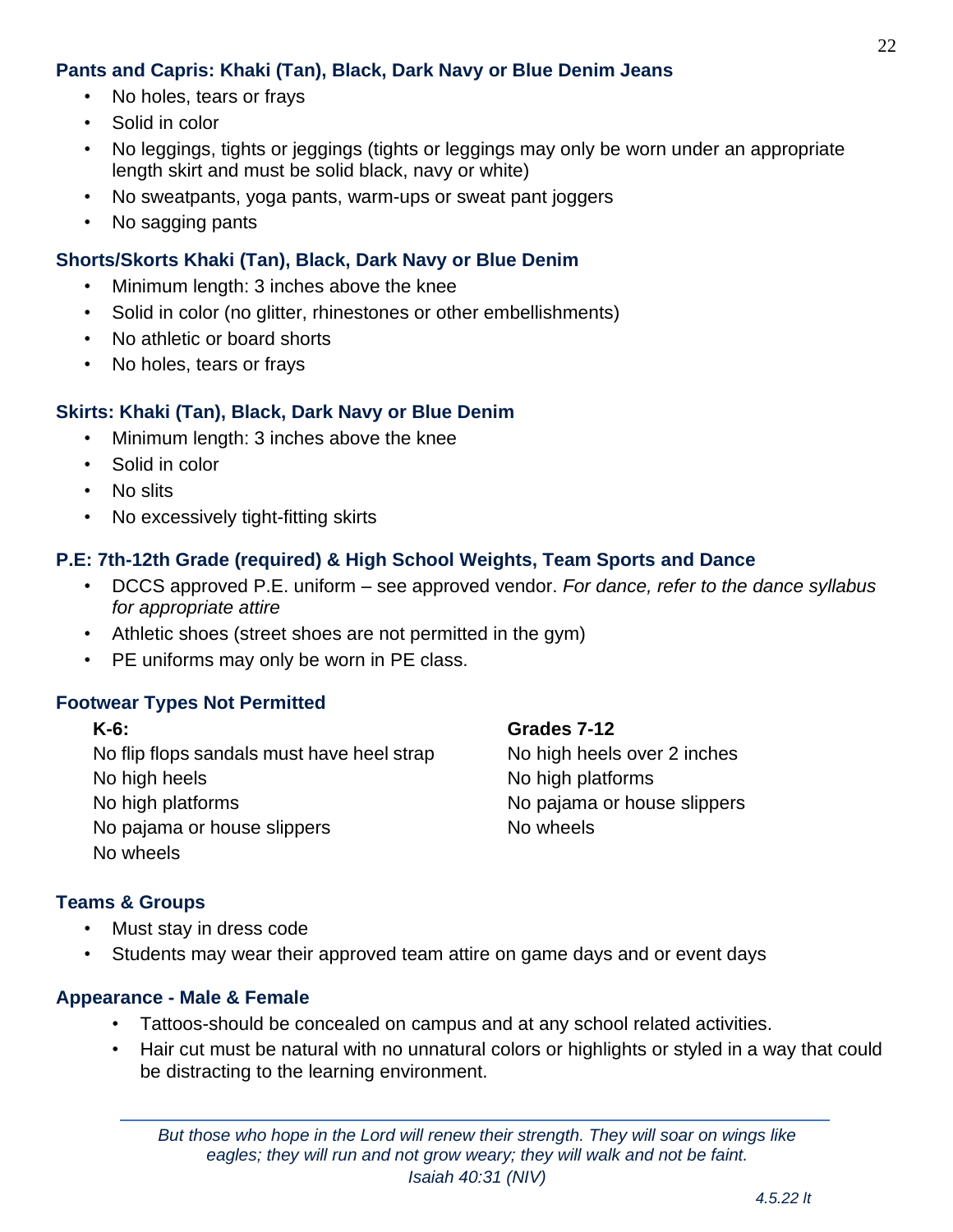#### **Pants and Capris: Khaki (Tan), Black, Dark Navy or Blue Denim Jeans**

- No holes, tears or frays
- Solid in color
- No leggings, tights or jeggings (tights or leggings may only be worn under an appropriate length skirt and must be solid black, navy or white)
- No sweatpants, yoga pants, warm-ups or sweat pant joggers
- No sagging pants

#### **Shorts/Skorts Khaki (Tan), Black, Dark Navy or Blue Denim**

- Minimum length: 3 inches above the knee
- Solid in color (no glitter, rhinestones or other embellishments)
- No athletic or board shorts
- No holes, tears or frays

#### **Skirts: Khaki (Tan), Black, Dark Navy or Blue Denim**

- Minimum length: 3 inches above the knee
- Solid in color
- No slits
- No excessively tight-fitting skirts

#### **P.E: 7th-12th Grade (required) & High School Weights, Team Sports and Dance**

- DCCS approved P.E. uniform see approved vendor. *For dance, refer to the dance syllabus for appropriate attire*
- Athletic shoes (street shoes are not permitted in the gym)
- PE uniforms may only be worn in PE class.

#### **Footwear Types Not Permitted**

#### **K-6: Grades 7-12**

No flip flops sandals must have heel strap No high heels over 2 inches No high heels No high platforms No high platforms No pajama or house slippers No pajama or house slippers No wheels No wheels

#### **Teams & Groups**

- Must stay in dress code
- Students may wear their approved team attire on game days and or event days

#### **Appearance - Male & Female**

- Tattoos-should be concealed on campus and at any school related activities.
- Hair cut must be natural with no unnatural colors or highlights or styled in a way that could be distracting to the learning environment.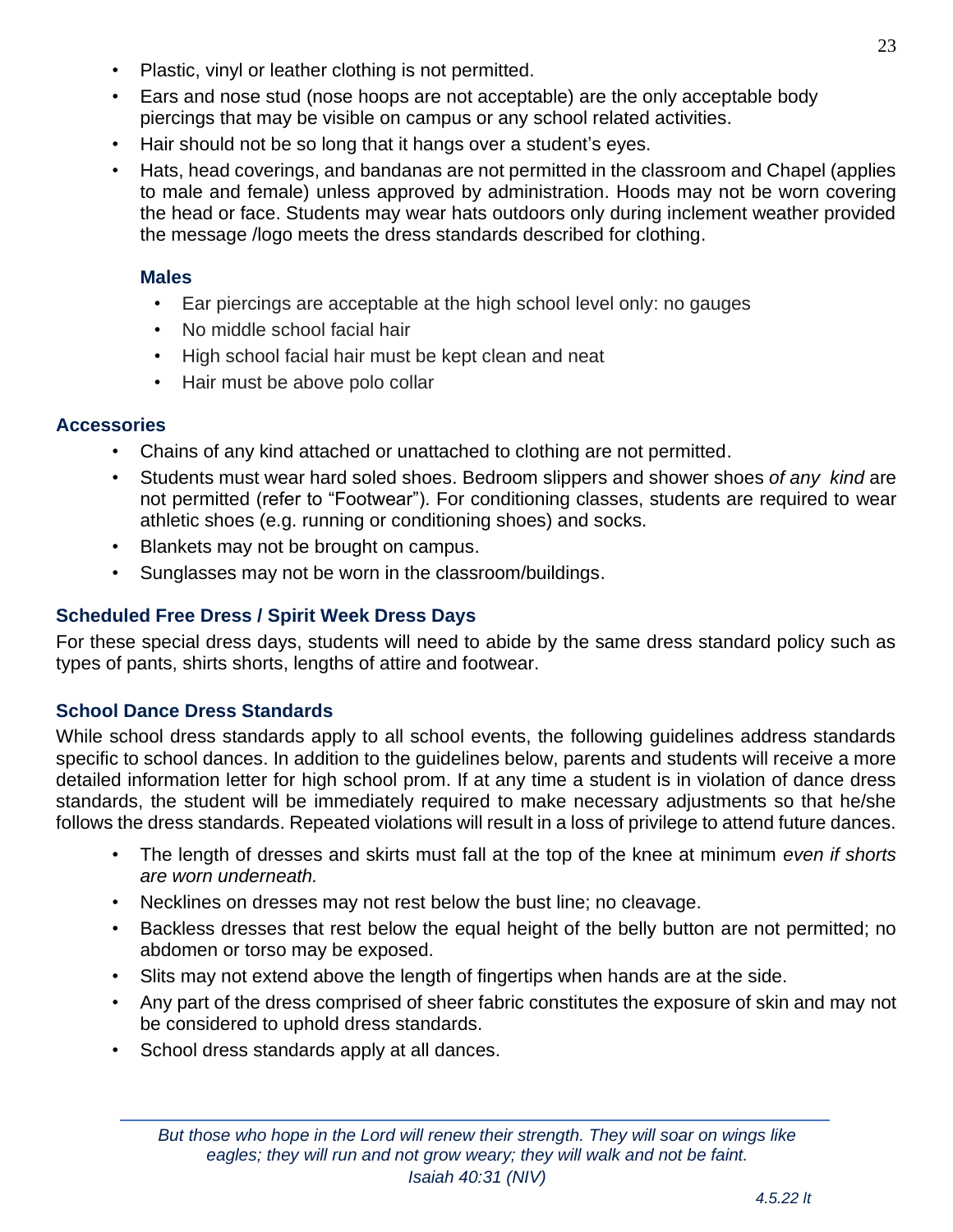- Plastic, vinyl or leather clothing is not permitted.
- Ears and nose stud (nose hoops are not acceptable) are the only acceptable body piercings that may be visible on campus or any school related activities.
- Hair should not be so long that it hangs over a student's eyes.
- Hats, head coverings, and bandanas are not permitted in the classroom and Chapel (applies to male and female) unless approved by administration. Hoods may not be worn covering the head or face. Students may wear hats outdoors only during inclement weather provided the message /logo meets the dress standards described for clothing.

#### **Males**

- Ear piercings are acceptable at the high school level only: no gauges
- No middle school facial hair
- High school facial hair must be kept clean and neat
- Hair must be above polo collar

#### **Accessories**

- Chains of any kind attached or unattached to clothing are not permitted.
- Students must wear hard soled shoes. Bedroom slippers and shower shoes *of any kind* are not permitted (refer to "Footwear"). For conditioning classes, students are required to wear athletic shoes (e.g. running or conditioning shoes) and socks.
- Blankets may not be brought on campus.
- Sunglasses may not be worn in the classroom/buildings.

#### **Scheduled Free Dress / Spirit Week Dress Days**

For these special dress days, students will need to abide by the same dress standard policy such as types of pants, shirts shorts, lengths of attire and footwear.

#### **School Dance Dress Standards**

While school dress standards apply to all school events, the following guidelines address standards specific to school dances. In addition to the guidelines below, parents and students will receive a more detailed information letter for high school prom. If at any time a student is in violation of dance dress standards, the student will be immediately required to make necessary adjustments so that he/she follows the dress standards. Repeated violations will result in a loss of privilege to attend future dances.

- The length of dresses and skirts must fall at the top of the knee at minimum *even if shorts are worn underneath.*
- Necklines on dresses may not rest below the bust line; no cleavage.
- Backless dresses that rest below the equal height of the belly button are not permitted; no abdomen or torso may be exposed.
- Slits may not extend above the length of fingertips when hands are at the side.
- Any part of the dress comprised of sheer fabric constitutes the exposure of skin and may not be considered to uphold dress standards.
- School dress standards apply at all dances.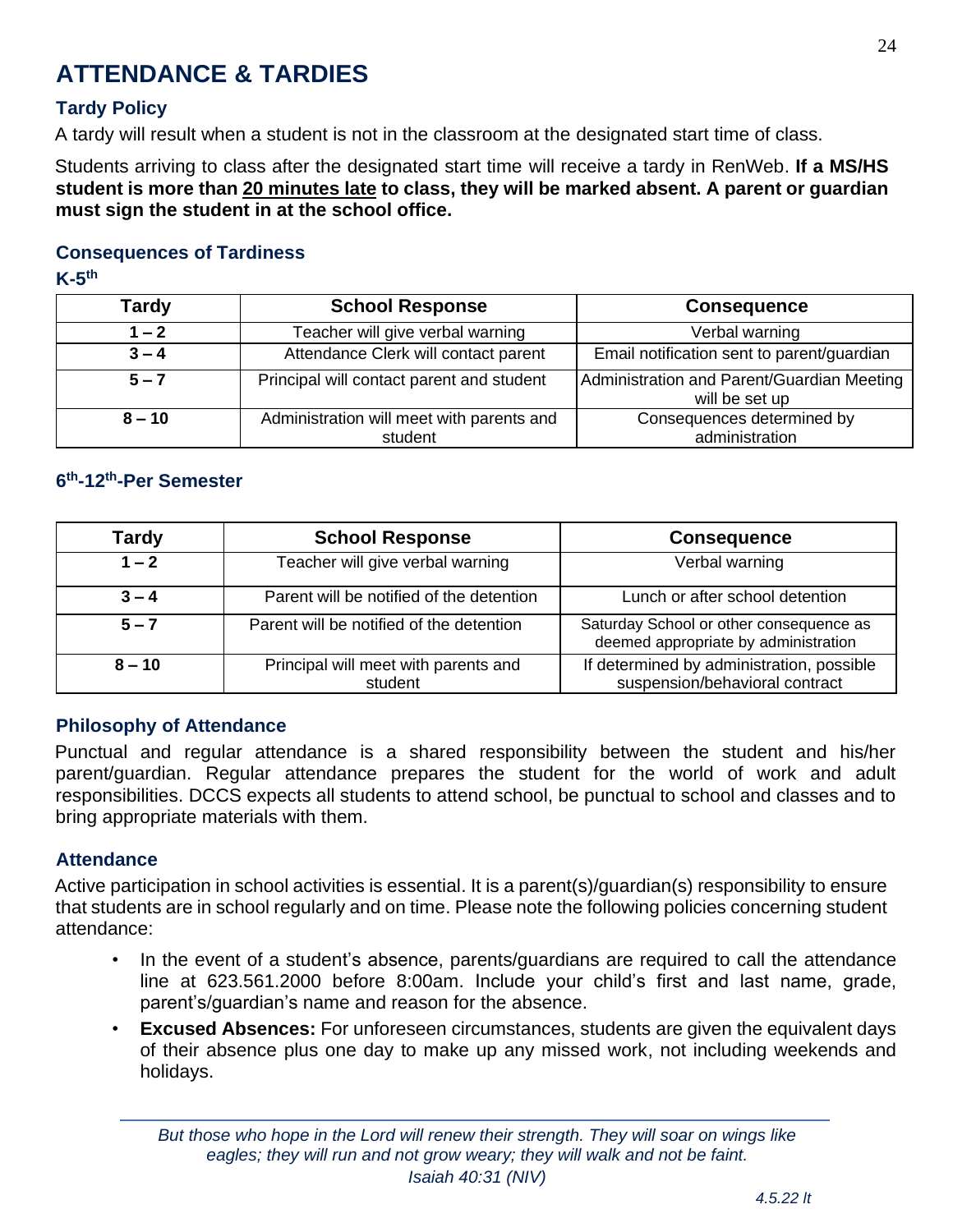## <span id="page-23-0"></span>**ATTENDANCE & TARDIES**

#### **Tardy Policy**

A tardy will result when a student is not in the classroom at the designated start time of class.

Students arriving to class after the designated start time will receive a tardy in RenWeb. **If a MS/HS student is more than 20 minutes late to class, they will be marked absent. A parent or guardian must sign the student in at the school office.**

#### **Consequences of Tardiness**

#### **K-5 th**

| <b>Tardy</b> | <b>School Response</b>                               | <b>Consequence</b>                                           |
|--------------|------------------------------------------------------|--------------------------------------------------------------|
| $1 - 2$      | Teacher will give verbal warning                     | Verbal warning                                               |
| $3 - 4$      | Attendance Clerk will contact parent                 | Email notification sent to parent/guardian                   |
| $5 - 7$      | Principal will contact parent and student            | Administration and Parent/Guardian Meeting<br>will be set up |
| $8 - 10$     | Administration will meet with parents and<br>student | Consequences determined by<br>administration                 |

#### **6 th-12th-Per Semester**

| <b>Tardy</b> | <b>School Response</b>                          | <b>Consequence</b>                                                              |
|--------------|-------------------------------------------------|---------------------------------------------------------------------------------|
| $1 - 2$      | Teacher will give verbal warning                | Verbal warning                                                                  |
| $3 - 4$      | Parent will be notified of the detention        | Lunch or after school detention                                                 |
| $5 - 7$      | Parent will be notified of the detention        | Saturday School or other consequence as<br>deemed appropriate by administration |
| $8 - 10$     | Principal will meet with parents and<br>student | If determined by administration, possible<br>suspension/behavioral contract     |

#### **Philosophy of Attendance**

Punctual and regular attendance is a shared responsibility between the student and his/her parent/guardian. Regular attendance prepares the student for the world of work and adult responsibilities. DCCS expects all students to attend school, be punctual to school and classes and to bring appropriate materials with them.

#### **Attendance**

Active participation in school activities is essential. It is a parent(s)/guardian(s) responsibility to ensure that students are in school regularly and on time. Please note the following policies concerning student attendance:

- In the event of a student's absence, parents/guardians are required to call the attendance line at 623.561.2000 before 8:00am. Include your child's first and last name, grade, parent's/guardian's name and reason for the absence.
- **Excused Absences:** For unforeseen circumstances, students are given the equivalent days of their absence plus one day to make up any missed work, not including weekends and holidays.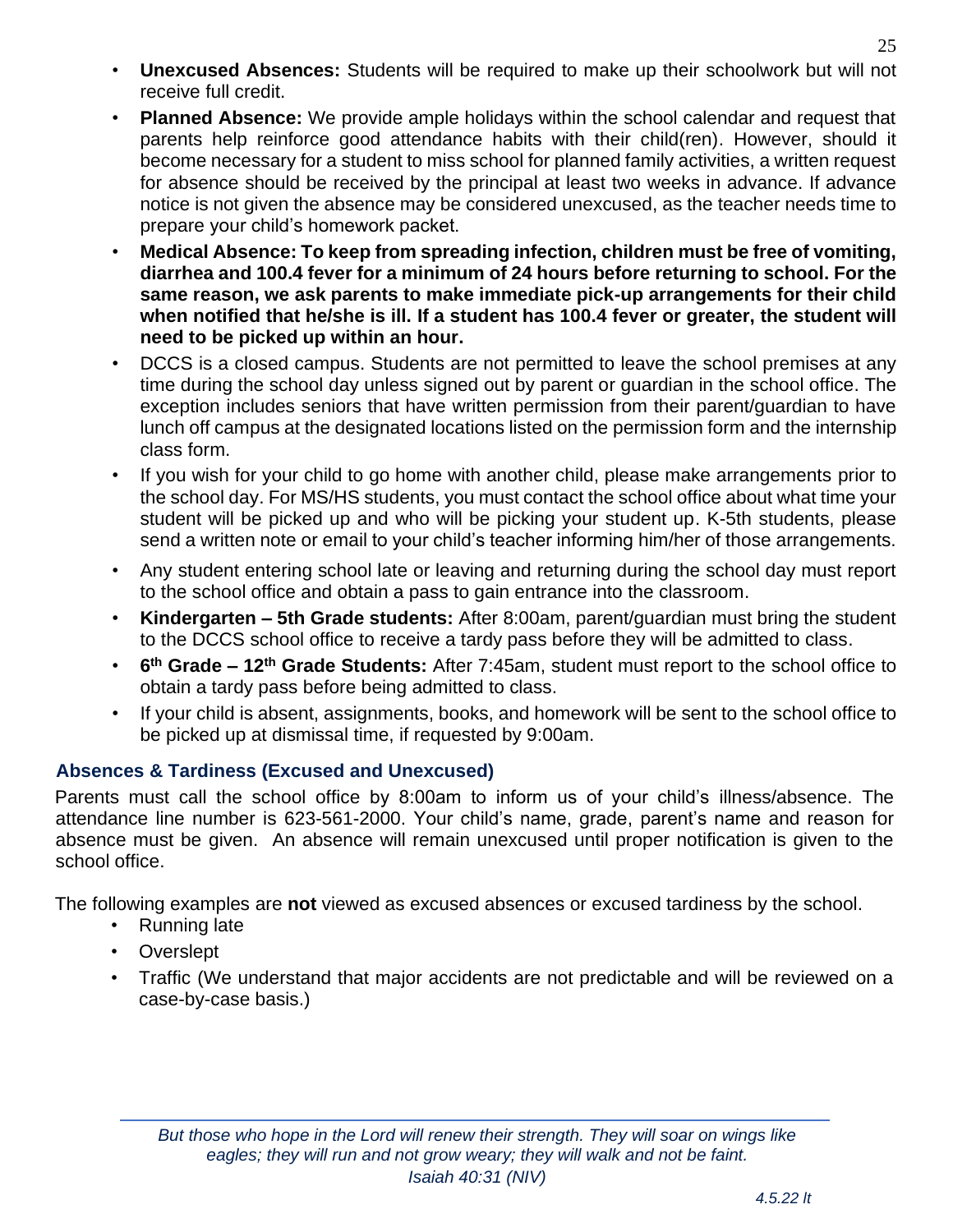- **Unexcused Absences:** Students will be required to make up their schoolwork but will not receive full credit.
- **Planned Absence:** We provide ample holidays within the school calendar and request that parents help reinforce good attendance habits with their child(ren). However, should it become necessary for a student to miss school for planned family activities, a written request for absence should be received by the principal at least two weeks in advance. If advance notice is not given the absence may be considered unexcused, as the teacher needs time to prepare your child's homework packet.
- **Medical Absence: To keep from spreading infection, children must be free of vomiting, diarrhea and 100.4 fever for a minimum of 24 hours before returning to school. For the same reason, we ask parents to make immediate pick-up arrangements for their child when notified that he/she is ill. If a student has 100.4 fever or greater, the student will need to be picked up within an hour.**
- DCCS is a closed campus. Students are not permitted to leave the school premises at any time during the school day unless signed out by parent or guardian in the school office. The exception includes seniors that have written permission from their parent/guardian to have lunch off campus at the designated locations listed on the permission form and the internship class form.
- If you wish for your child to go home with another child, please make arrangements prior to the school day. For MS/HS students, you must contact the school office about what time your student will be picked up and who will be picking your student up. K-5th students, please send a written note or email to your child's teacher informing him/her of those arrangements.
- Any student entering school late or leaving and returning during the school day must report to the school office and obtain a pass to gain entrance into the classroom.
- **Kindergarten – 5th Grade students:** After 8:00am, parent/guardian must bring the student to the DCCS school office to receive a tardy pass before they will be admitted to class.
- **6 th Grade – 12th Grade Students:** After 7:45am, student must report to the school office to obtain a tardy pass before being admitted to class.
- If your child is absent, assignments, books, and homework will be sent to the school office to be picked up at dismissal time, if requested by 9:00am.

#### **Absences & Tardiness (Excused and Unexcused)**

Parents must call the school office by 8:00am to inform us of your child's illness/absence. The attendance line number is 623-561-2000. Your child's name, grade, parent's name and reason for absence must be given.An absence will remain unexcused until proper notification is given to the school office.

The following examples are **not** viewed as excused absences or excused tardiness by the school.

- Running late
- **Overslept**
- Traffic (We understand that major accidents are not predictable and will be reviewed on a case-by-case basis.)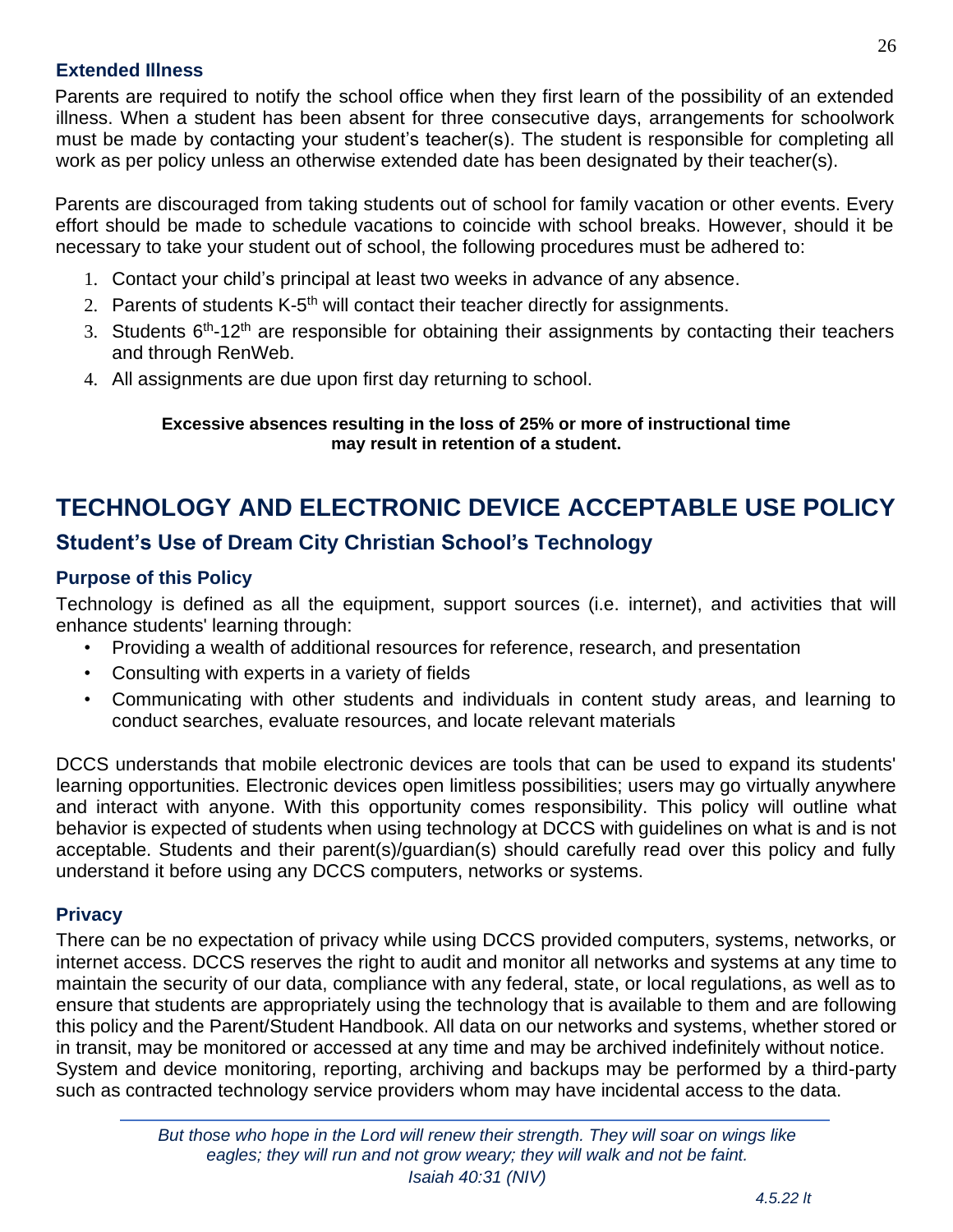#### **Extended Illness**

Parents are required to notify the school office when they first learn of the possibility of an extended illness. When a student has been absent for three consecutive days, arrangements for schoolwork must be made by contacting your student's teacher(s). The student is responsible for completing all work as per policy unless an otherwise extended date has been designated by their teacher(s).

Parents are discouraged from taking students out of school for family vacation or other events. Every effort should be made to schedule vacations to coincide with school breaks. However, should it be necessary to take your student out of school, the following procedures must be adhered to:

- 1. Contact your child's principal at least two weeks in advance of any absence.
- 2. Parents of students K-5<sup>th</sup> will contact their teacher directly for assignments.
- 3. Students 6<sup>th</sup>-12<sup>th</sup> are responsible for obtaining their assignments by contacting their teachers and through RenWeb.
- 4. All assignments are due upon first day returning to school.

#### **Excessive absences resulting in the loss of 25% or more of instructional time may result in retention of a student.**

## <span id="page-25-0"></span>**TECHNOLOGY AND ELECTRONIC DEVICE ACCEPTABLE USE POLICY**

#### **Student's Use of Dream City Christian School's Technology**

#### **Purpose of this Policy**

Technology is defined as all the equipment, support sources (i.e. internet), and activities that will enhance students' learning through:

- Providing a wealth of additional resources for reference, research, and presentation
- Consulting with experts in a variety of fields
- Communicating with other students and individuals in content study areas, and learning to conduct searches, evaluate resources, and locate relevant materials

DCCS understands that mobile electronic devices are tools that can be used to expand its students' learning opportunities. Electronic devices open limitless possibilities; users may go virtually anywhere and interact with anyone. With this opportunity comes responsibility. This policy will outline what behavior is expected of students when using technology at DCCS with guidelines on what is and is not acceptable. Students and their parent(s)/guardian(s) should carefully read over this policy and fully understand it before using any DCCS computers, networks or systems.

#### **Privacy**

There can be no expectation of privacy while using DCCS provided computers, systems, networks, or internet access. DCCS reserves the right to audit and monitor all networks and systems at any time to maintain the security of our data, compliance with any federal, state, or local regulations, as well as to ensure that students are appropriately using the technology that is available to them and are following this policy and the Parent/Student Handbook. All data on our networks and systems, whether stored or in transit, may be monitored or accessed at any time and may be archived indefinitely without notice. System and device monitoring, reporting, archiving and backups may be performed by a third-party such as contracted technology service providers whom may have incidental access to the data.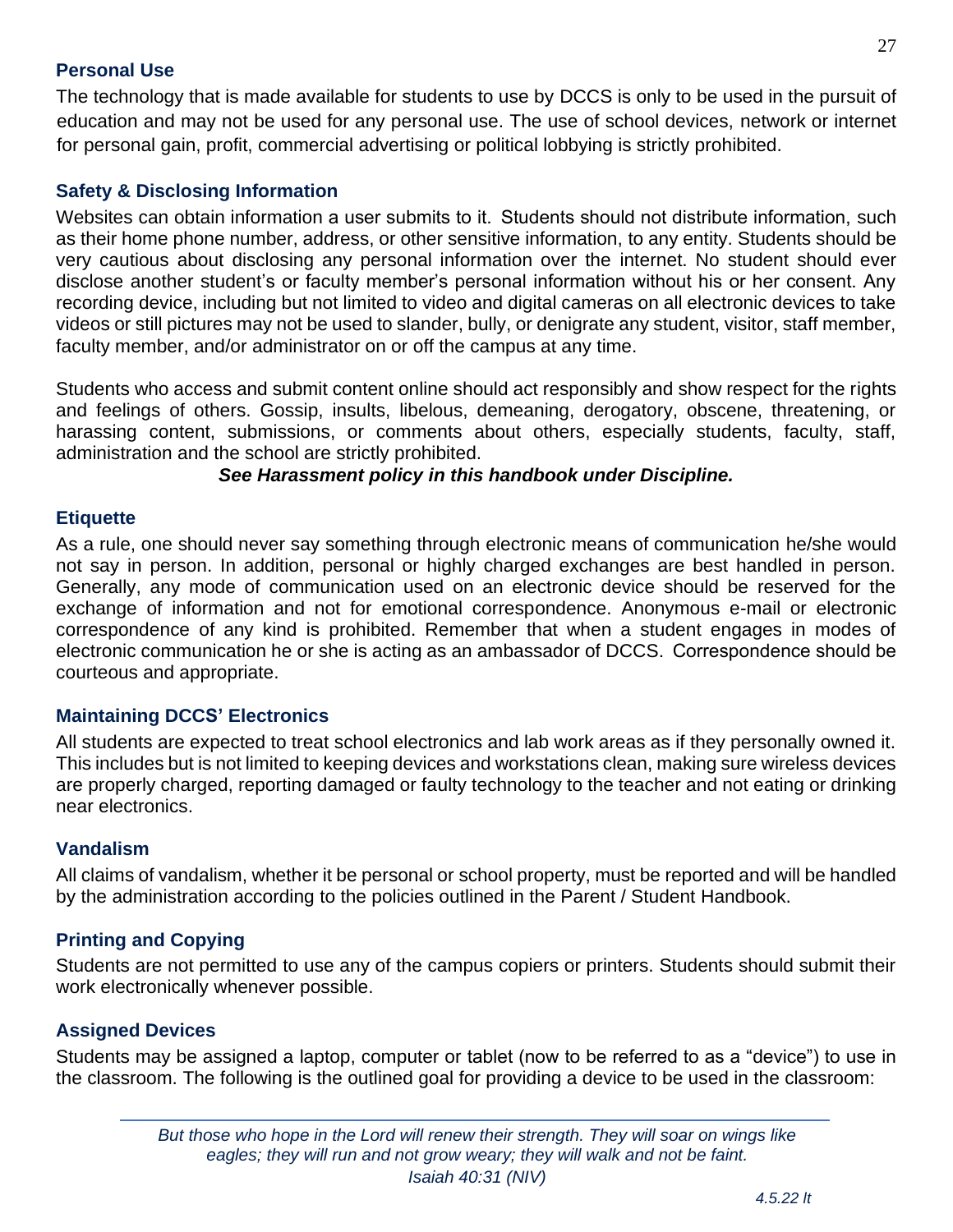#### **Personal Use**

The technology that is made available for students to use by DCCS is only to be used in the pursuit of education and may not be used for any personal use. The use of school devices, network or internet for personal gain, profit, commercial advertising or political lobbying is strictly prohibited.

#### **Safety & Disclosing Information**

Websites can obtain information a user submits to it.  Students should not distribute information, such as their home phone number, address, or other sensitive information, to any entity. Students should be very cautious about disclosing any personal information over the internet. No student should ever disclose another student's or faculty member's personal information without his or her consent. Any recording device, including but not limited to video and digital cameras on all electronic devices to take videos or still pictures may not be used to slander, bully, or denigrate any student, visitor, staff member, faculty member, and/or administrator on or off the campus at any time.

Students who access and submit content online should act responsibly and show respect for the rights and feelings of others. Gossip, insults, libelous, demeaning, derogatory, obscene, threatening, or harassing content, submissions, or comments about others, especially students, faculty, staff, administration and the school are strictly prohibited.

*See Harassment policy in this handbook under Discipline.*

#### **Etiquette**

As a rule, one should never say something through electronic means of communication he/she would not say in person. In addition, personal or highly charged exchanges are best handled in person. Generally, any mode of communication used on an electronic device should be reserved for the exchange of information and not for emotional correspondence. Anonymous e-mail or electronic correspondence of any kind is prohibited. Remember that when a student engages in modes of electronic communication he or she is acting as an ambassador of DCCS.  Correspondence should be courteous and appropriate.

#### **Maintaining DCCS' Electronics**

All students are expected to treat school electronics and lab work areas as if they personally owned it. This includes but is not limited to keeping devices and workstations clean, making sure wireless devices are properly charged, reporting damaged or faulty technology to the teacher and not eating or drinking near electronics.

#### **Vandalism**

All claims of vandalism, whether it be personal or school property, must be reported and will be handled by the administration according to the policies outlined in the Parent / Student Handbook.

#### **Printing and Copying**

Students are not permitted to use any of the campus copiers or printers. Students should submit their work electronically whenever possible.

#### **Assigned Devices**

Students may be assigned a laptop, computer or tablet (now to be referred to as a "device") to use in the classroom. The following is the outlined goal for providing a device to be used in the classroom: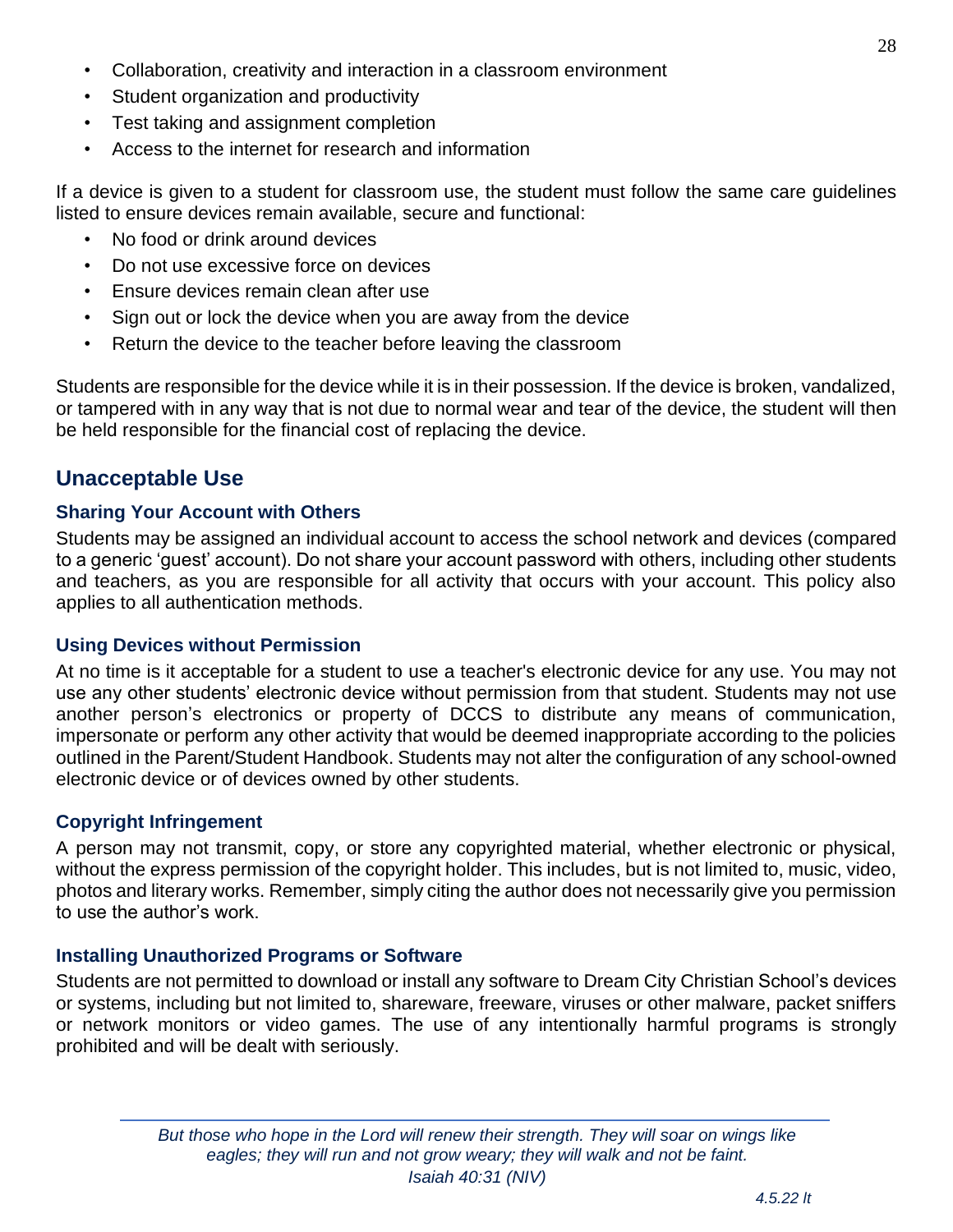- Collaboration, creativity and interaction in a classroom environment
- Student organization and productivity
- Test taking and assignment completion
- Access to the internet for research and information

If a device is given to a student for classroom use, the student must follow the same care guidelines listed to ensure devices remain available, secure and functional:

- No food or drink around devices
- Do not use excessive force on devices
- Ensure devices remain clean after use
- Sign out or lock the device when you are away from the device
- Return the device to the teacher before leaving the classroom

Students are responsible for the device while it is in their possession. If the device is broken, vandalized, or tampered with in any way that is not due to normal wear and tear of the device, the student will then be held responsible for the financial cost of replacing the device.

#### **Unacceptable Use**

#### **Sharing Your Account with Others**

Students may be assigned an individual account to access the school network and devices (compared to a generic 'guest' account). Do not share your account password with others, including other students and teachers, as you are responsible for all activity that occurs with your account. This policy also applies to all authentication methods.

#### **Using Devices without Permission**

At no time is it acceptable for a student to use a teacher's electronic device for any use. You may not use any other students' electronic device without permission from that student. Students may not use another person's electronics or property of DCCS to distribute any means of communication, impersonate or perform any other activity that would be deemed inappropriate according to the policies outlined in the Parent/Student Handbook. Students may not alter the configuration of any school-owned electronic device or of devices owned by other students.

#### **Copyright Infringement**

A person may not transmit, copy, or store any copyrighted material, whether electronic or physical, without the express permission of the copyright holder. This includes, but is not limited to, music, video, photos and literary works. Remember, simply citing the author does not necessarily give you permission to use the author's work.

#### **Installing Unauthorized Programs or Software**

Students are not permitted to download or install any software to Dream City Christian School's devices or systems, including but not limited to, shareware, freeware, viruses or other malware, packet sniffers or network monitors or video games. The use of any intentionally harmful programs is strongly prohibited and will be dealt with seriously.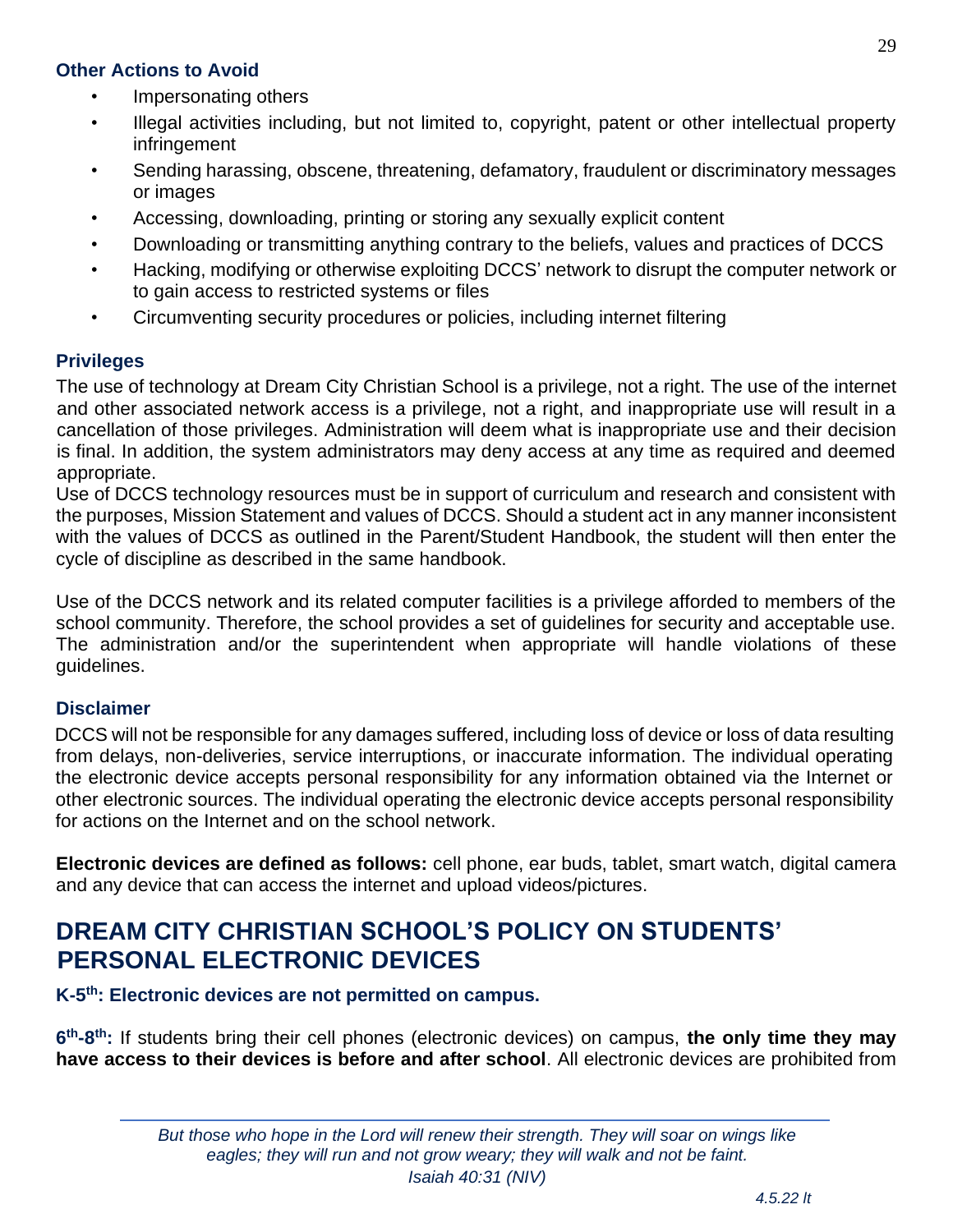#### **Other Actions to Avoid**

- Impersonating others
- Illegal activities including, but not limited to, copyright, patent or other intellectual property infringement
- Sending harassing, obscene, threatening, defamatory, fraudulent or discriminatory messages or images
- Accessing, downloading, printing or storing any sexually explicit content
- Downloading or transmitting anything contrary to the beliefs, values and practices of DCCS
- Hacking, modifying or otherwise exploiting DCCS' network to disrupt the computer network or to gain access to restricted systems or files
- Circumventing security procedures or policies, including internet filtering

#### **Privileges**

The use of technology at Dream City Christian School is a privilege, not a right. The use of the internet and other associated network access is a privilege, not a right, and inappropriate use will result in a cancellation of those privileges. Administration will deem what is inappropriate use and their decision is final. In addition, the system administrators may deny access at any time as required and deemed appropriate.

Use of DCCS technology resources must be in support of curriculum and research and consistent with the purposes, Mission Statement and values of DCCS. Should a student act in any manner inconsistent with the values of DCCS as outlined in the Parent/Student Handbook, the student will then enter the cycle of discipline as described in the same handbook.

Use of the DCCS network and its related computer facilities is a privilege afforded to members of the school community. Therefore, the school provides a set of guidelines for security and acceptable use. The administration and/or the superintendent when appropriate will handle violations of these guidelines.

#### **Disclaimer**

DCCS will not be responsible for any damages suffered, including loss of device or loss of data resulting from delays, non-deliveries, service interruptions, or inaccurate information. The individual operating the electronic device accepts personal responsibility for any information obtained via the Internet or other electronic sources. The individual operating the electronic device accepts personal responsibility for actions on the Internet and on the school network.

**Electronic devices are defined as follows:** cell phone, ear buds, tablet, smart watch, digital camera and any device that can access the internet and upload videos/pictures.

## <span id="page-28-0"></span>**DREAM CITY CHRISTIAN SCHOOL'S POLICY ON STUDENTS' PERSONAL ELECTRONIC DEVICES**

#### K-5<sup>th</sup>: Electronic devices are not permitted on campus.

**6 th-8 th:** If students bring their cell phones (electronic devices) on campus, **the only time they may have access to their devices is before and after school**. All electronic devices are prohibited from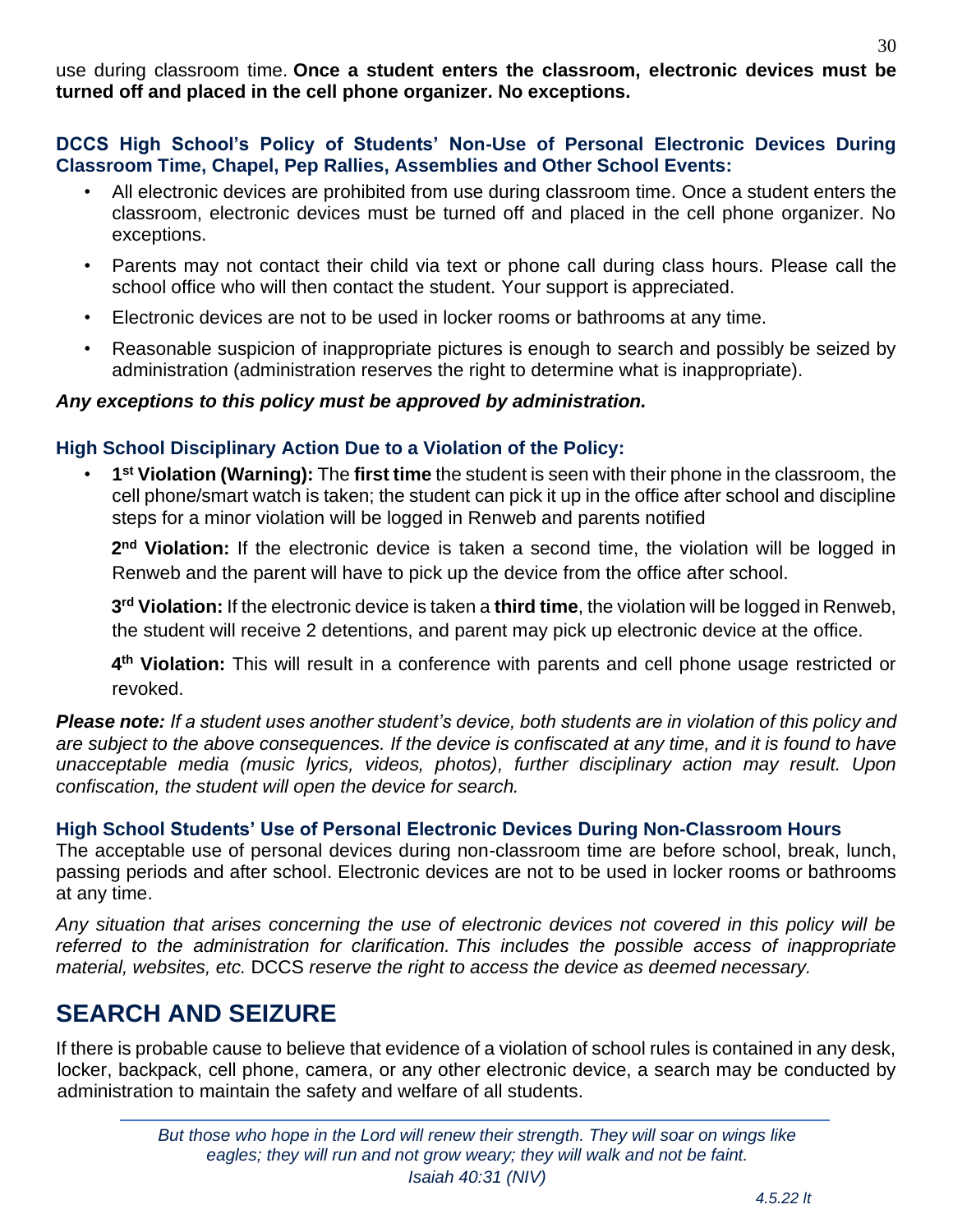*But those who hope in the Lord will renew their strength. They will soar on wings like eagles; they will run and not grow weary; they will walk and not be faint. Isaiah 40:31 (NIV)*

#### *4.5.22 lt*

use during classroom time. **Once a student enters the classroom, electronic devices must be turned off and placed in the cell phone organizer. No exceptions.** 

#### **DCCS High School's Policy of Students' Non-Use of Personal Electronic Devices During Classroom Time, Chapel, Pep Rallies, Assemblies and Other School Events:**

- All electronic devices are prohibited from use during classroom time. Once a student enters the classroom, electronic devices must be turned off and placed in the cell phone organizer. No exceptions.
- Parents may not contact their child via text or phone call during class hours. Please call the school office who will then contact the student. Your support is appreciated.
- Electronic devices are not to be used in locker rooms or bathrooms at any time.
- Reasonable suspicion of inappropriate pictures is enough to search and possibly be seized by administration (administration reserves the right to determine what is inappropriate).

#### *Any exceptions to this policy must be approved by administration.*

#### **High School Disciplinary Action Due to a Violation of the Policy:**

• **1 st Violation (Warning):** The **first time** the student is seen with their phone in the classroom, the cell phone/smart watch is taken; the student can pick it up in the office after school and discipline steps for a minor violation will be logged in Renweb and parents notified

2<sup>nd</sup> Violation: If the electronic device is taken a second time, the violation will be logged in Renweb and the parent will have to pick up the device from the office after school.

**3 rd Violation:** If the electronic device is taken a **third time**, the violation will be logged in Renweb, the student will receive 2 detentions, and parent may pick up electronic device at the office.

**4 th Violation:** This will result in a conference with parents and cell phone usage restricted or revoked.

*Please note: If a student uses another student's device, both students are in violation of this policy and are subject to the above consequences. If the device is confiscated at any time, and it is found to have unacceptable media (music lyrics, videos, photos), further disciplinary action may result. Upon confiscation, the student will open the device for search.*

#### **High School Students' Use of Personal Electronic Devices During Non-Classroom Hours**

The acceptable use of personal devices during non-classroom time are before school, break, lunch, passing periods and after school. Electronic devices are not to be used in locker rooms or bathrooms at any time.

*Any situation that arises concerning the use of electronic devices not covered in this policy will be referred to the administration for clarification. This includes the possible access of inappropriate material, websites, etc.* DCCS *reserve the right to access the device as deemed necessary.*

## <span id="page-29-0"></span>**SEARCH AND SEIZURE**

If there is probable cause to believe that evidence of a violation of school rules is contained in any desk, locker, backpack, cell phone, camera, or any other electronic device, a search may be conducted by administration to maintain the safety and welfare of all students.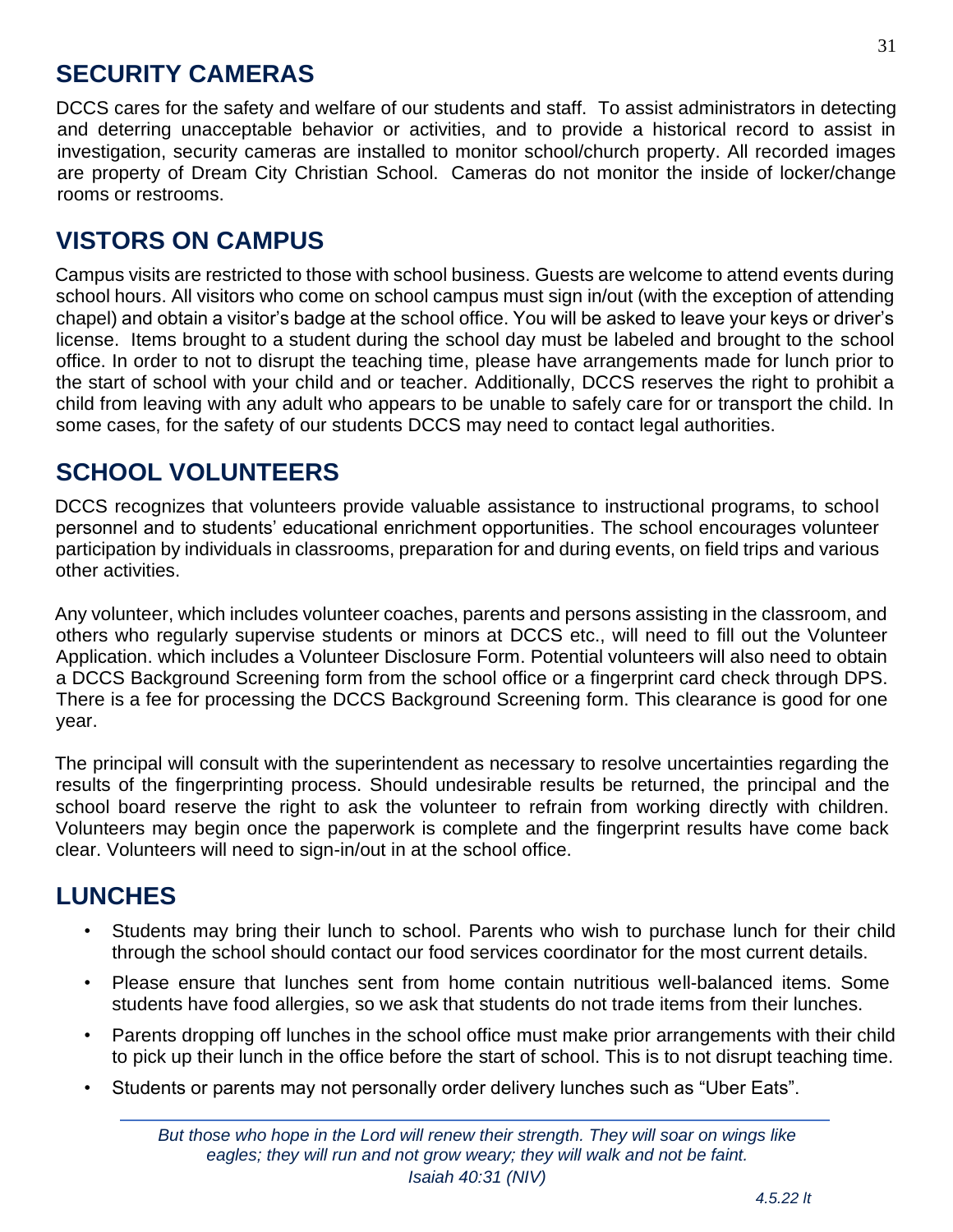## <span id="page-30-0"></span>**SECURITY CAMERAS**

DCCS cares for the safety and welfare of our students and staff. To assist administrators in detecting and deterring unacceptable behavior or activities, and to provide a historical record to assist in investigation, security cameras are installed to monitor school/church property. All recorded images are property of Dream City Christian School. Cameras do not monitor the inside of locker/change rooms or restrooms.

## <span id="page-30-1"></span>**VISTORS ON CAMPUS**

Campus visits are restricted to those with school business. Guests are welcome to attend events during school hours. All visitors who come on school campus must sign in/out (with the exception of attending chapel) and obtain a visitor's badge at the school office. You will be asked to leave your keys or driver's license. Items brought to a student during the school day must be labeled and brought to the school office. In order to not to disrupt the teaching time, please have arrangements made for lunch prior to the start of school with your child and or teacher. Additionally, DCCS reserves the right to prohibit a child from leaving with any adult who appears to be unable to safely care for or transport the child. In some cases, for the safety of our students DCCS may need to contact legal authorities.

## <span id="page-30-2"></span>**SCHOOL VOLUNTEERS**

DCCS recognizes that volunteers provide valuable assistance to instructional programs, to school personnel and to students' educational enrichment opportunities. The school encourages volunteer participation by individuals in classrooms, preparation for and during events, on field trips and various other activities.

Any volunteer, which includes volunteer coaches, parents and persons assisting in the classroom, and others who regularly supervise students or minors at DCCS etc., will need to fill out the Volunteer Application. which includes a Volunteer Disclosure Form. Potential volunteers will also need to obtain a DCCS Background Screening form from the school office or a fingerprint card check through DPS. There is a fee for processing the DCCS Background Screening form. This clearance is good for one year.

The principal will consult with the superintendent as necessary to resolve uncertainties regarding the results of the fingerprinting process. Should undesirable results be returned, the principal and the school board reserve the right to ask the volunteer to refrain from working directly with children. Volunteers may begin once the paperwork is complete and the fingerprint results have come back clear. Volunteers will need to sign-in/out in at the school office.

## <span id="page-30-3"></span>**LUNCHES**

- Students may bring their lunch to school. Parents who wish to purchase lunch for their child through the school should contact our food services coordinator for the most current details.
- Please ensure that lunches sent from home contain nutritious well-balanced items. Some students have food allergies, so we ask that students do not trade items from their lunches.
- Parents dropping off lunches in the school office must make prior arrangements with their child to pick up their lunch in the office before the start of school. This is to not disrupt teaching time.
- Students or parents may not personally order delivery lunches such as "Uber Eats".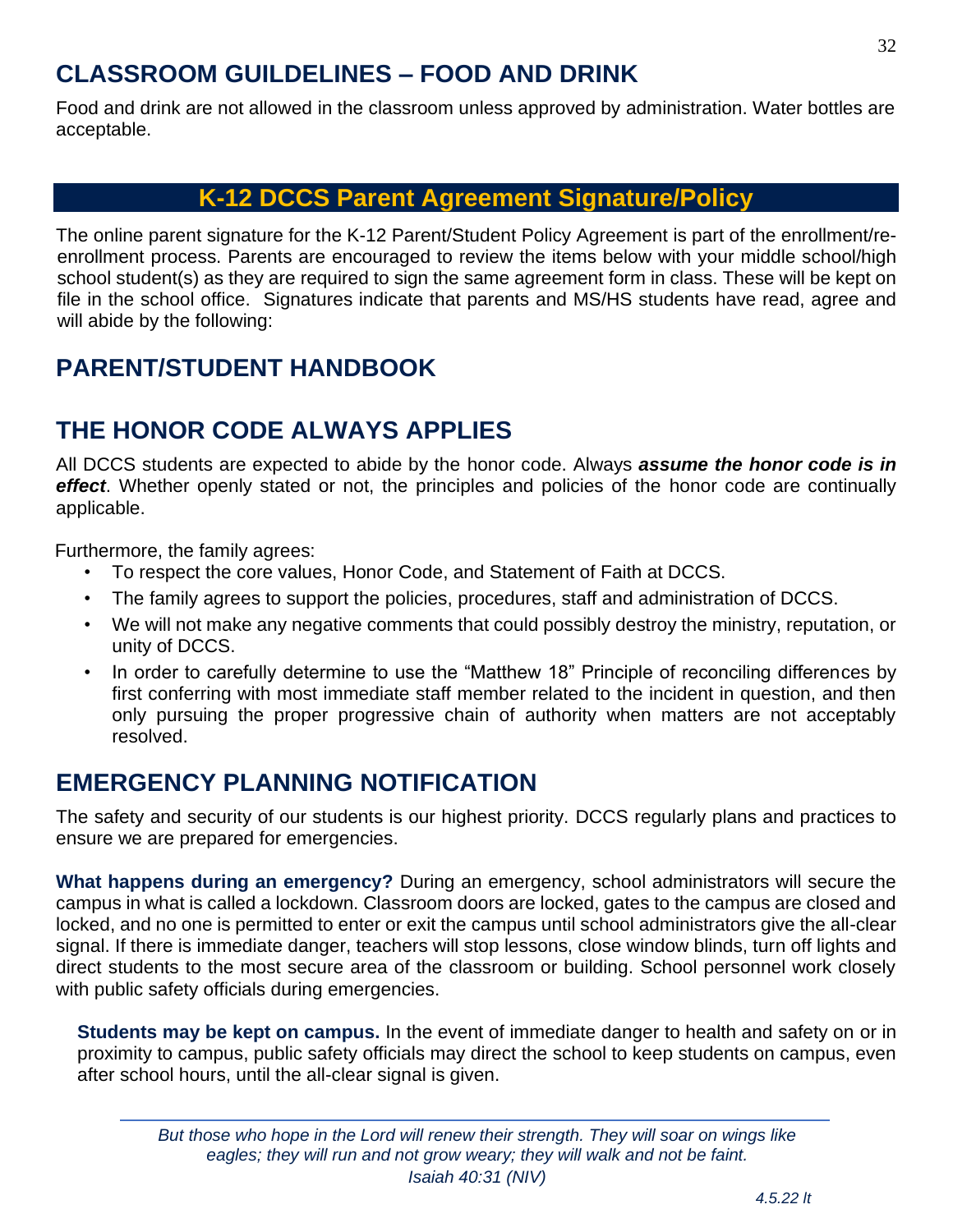## <span id="page-31-0"></span>**CLASSROOM GUILDELINES – FOOD AND DRINK**

Food and drink are not allowed in the classroom unless approved by administration. Water bottles are acceptable.

### **K-12 DCCS Parent Agreement Signature/Policy**

<span id="page-31-1"></span>The online parent signature for the K-12 Parent/Student Policy Agreement is part of the enrollment/reenrollment process. Parents are encouraged to review the items below with your middle school/high school student(s) as they are required to sign the same agreement form in class. These will be kept on file in the school office. Signatures indicate that parents and MS/HS students have read, agree and will abide by the following:

## <span id="page-31-2"></span>**PARENT/STUDENT HANDBOOK**

## <span id="page-31-3"></span>**THE HONOR CODE ALWAYS APPLIES**

All DCCS students are expected to abide by the honor code. Always *assume the honor code is in effect*. Whether openly stated or not, the principles and policies of the honor code are continually applicable.

Furthermore, the family agrees:

- To respect the core values, Honor Code, and Statement of Faith at DCCS.
- The family agrees to support the policies, procedures, staff and administration of DCCS.
- We will not make any negative comments that could possibly destroy the ministry, reputation, or unity of DCCS.
- In order to carefully determine to use the "Matthew 18" Principle of reconciling differences by first conferring with most immediate staff member related to the incident in question, and then only pursuing the proper progressive chain of authority when matters are not acceptably resolved.

## <span id="page-31-4"></span>**EMERGENCY PLANNING NOTIFICATION**

The safety and security of our students is our highest priority. DCCS regularly plans and practices to ensure we are prepared for emergencies.

**What happens during an emergency?** During an emergency, school administrators will secure the campus in what is called a lockdown. Classroom doors are locked, gates to the campus are closed and locked, and no one is permitted to enter or exit the campus until school administrators give the all-clear signal. If there is immediate danger, teachers will stop lessons, close window blinds, turn off lights and direct students to the most secure area of the classroom or building. School personnel work closely with public safety officials during emergencies.

**Students may be kept on campus.** In the event of immediate danger to health and safety on or in proximity to campus, public safety officials may direct the school to keep students on campus, even after school hours, until the all-clear signal is given.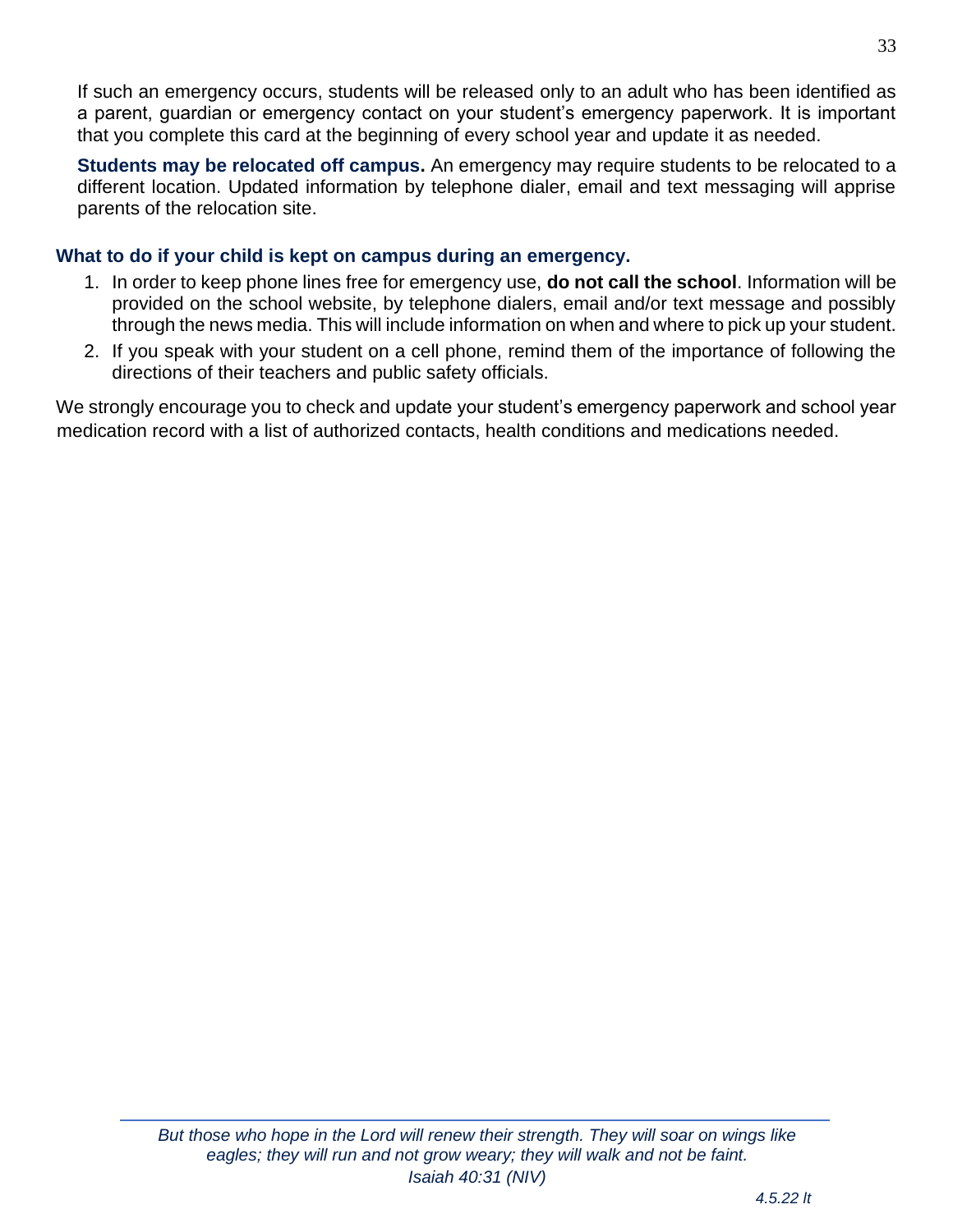If such an emergency occurs, students will be released only to an adult who has been identified as a parent, guardian or emergency contact on your student's emergency paperwork. It is important that you complete this card at the beginning of every school year and update it as needed.

**Students may be relocated off campus.** An emergency may require students to be relocated to a different location. Updated information by telephone dialer, email and text messaging will apprise parents of the relocation site.

#### **What to do if your child is kept on campus during an emergency.**

- 1. In order to keep phone lines free for emergency use, **do not call the school**. Information will be provided on the school website, by telephone dialers, email and/or text message and possibly through the news media. This will include information on when and where to pick up your student.
- 2. If you speak with your student on a cell phone, remind them of the importance of following the directions of their teachers and public safety officials.

We strongly encourage you to check and update your student's emergency paperwork and school year medication record with a list of authorized contacts, health conditions and medications needed.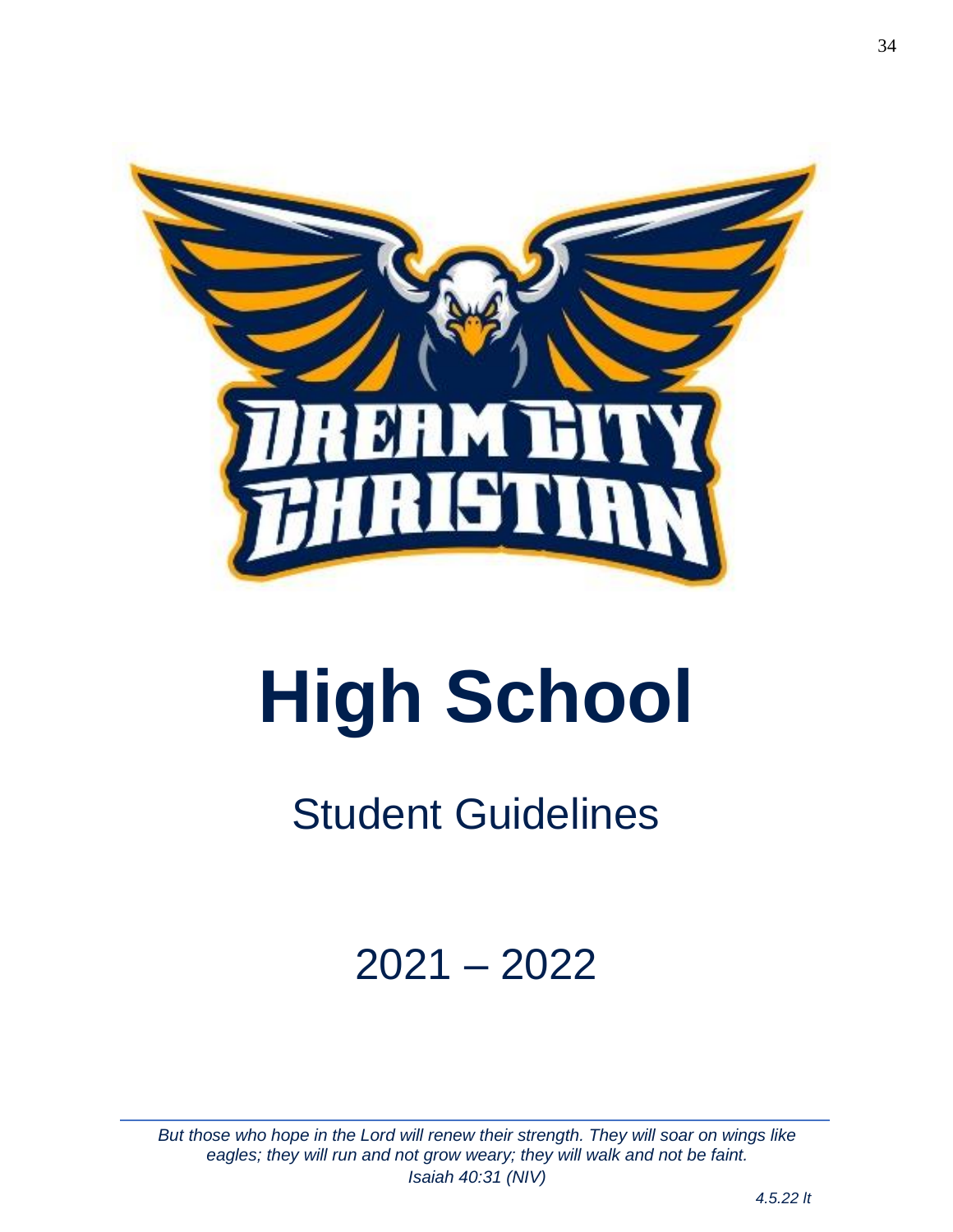

# **High School**

## Student Guidelines

## 2021 – 2022

*But those who hope in the Lord will renew their strength. They will soar on wings like eagles; they will run and not grow weary; they will walk and not be faint. Isaiah 40:31 (NIV)*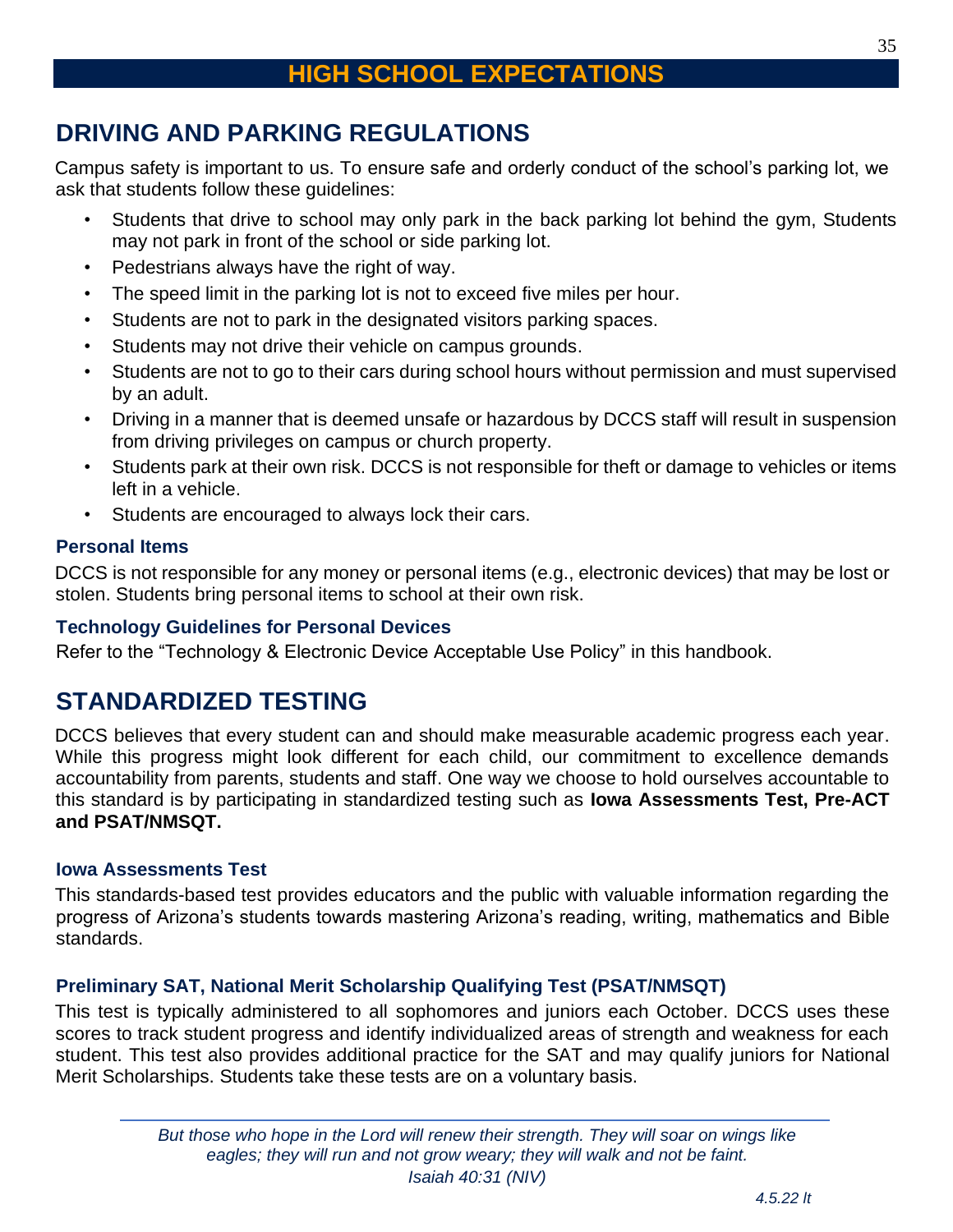## <span id="page-34-1"></span><span id="page-34-0"></span>**DRIVING AND PARKING REGULATIONS**

Campus safety is important to us. To ensure safe and orderly conduct of the school's parking lot, we ask that students follow these guidelines:

- Students that drive to school may only park in the back parking lot behind the gym, Students may not park in front of the school or side parking lot.
- Pedestrians always have the right of way.
- The speed limit in the parking lot is not to exceed five miles per hour.
- Students are not to park in the designated visitors parking spaces.
- Students may not drive their vehicle on campus grounds.
- Students are not to go to their cars during school hours without permission and must supervised by an adult.
- Driving in a manner that is deemed unsafe or hazardous by DCCS staff will result in suspension from driving privileges on campus or church property.
- Students park at their own risk. DCCS is not responsible for theft or damage to vehicles or items left in a vehicle.
- Students are encouraged to always lock their cars.

#### **Personal Items**

DCCS is not responsible for any money or personal items (e.g., electronic devices) that may be lost or stolen. Students bring personal items to school at their own risk.

#### **Technology Guidelines for Personal Devices**

Refer to the "Technology & Electronic Device Acceptable Use Policy" in this handbook.

## <span id="page-34-2"></span>**STANDARDIZED TESTING**

DCCS believes that every student can and should make measurable academic progress each year. While this progress might look different for each child, our commitment to excellence demands accountability from parents, students and staff. One way we choose to hold ourselves accountable to this standard is by participating in standardized testing such as **Iowa Assessments Test, Pre-ACT and PSAT/NMSQT.**

#### **Iowa Assessments Test**

This standards-based test provides educators and the public with valuable information regarding the progress of Arizona's students towards mastering Arizona's reading, writing, mathematics and Bible standards.

#### **Preliminary SAT, National Merit Scholarship Qualifying Test (PSAT/NMSQT)**

This test is typically administered to all sophomores and juniors each October. DCCS uses these scores to track student progress and identify individualized areas of strength and weakness for each student. This test also provides additional practice for the SAT and may qualify juniors for National Merit Scholarships. Students take these tests are on a voluntary basis.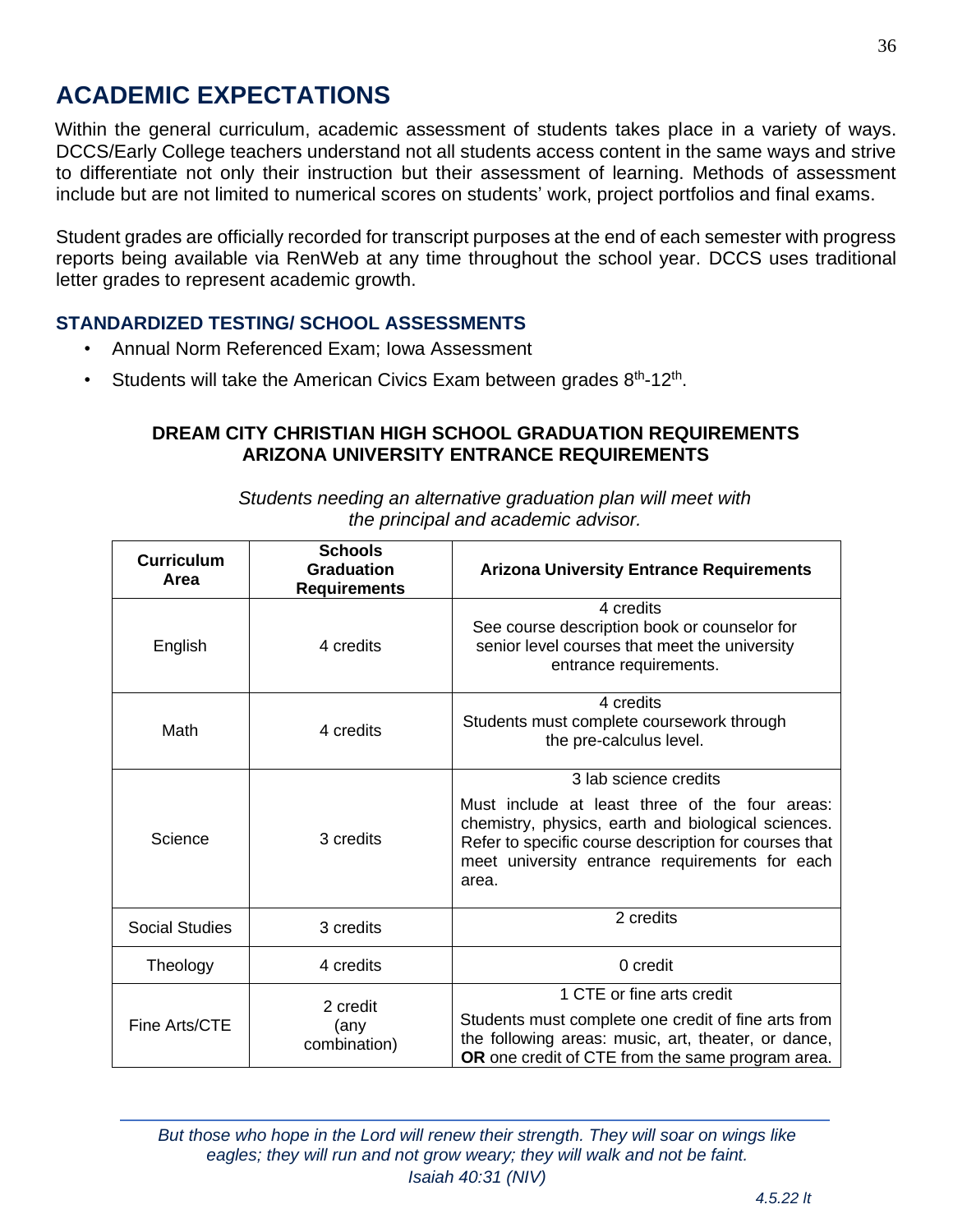## <span id="page-35-0"></span>**ACADEMIC EXPECTATIONS**

Within the general curriculum, academic assessment of students takes place in a variety of ways. DCCS/Early College teachers understand not all students access content in the same ways and strive to differentiate not only their instruction but their assessment of learning. Methods of assessment include but are not limited to numerical scores on students' work, project portfolios and final exams.

Student grades are officially recorded for transcript purposes at the end of each semester with progress reports being available via RenWeb at any time throughout the school year. DCCS uses traditional letter grades to represent academic growth.

#### **STANDARDIZED TESTING/ SCHOOL ASSESSMENTS**

- Annual Norm Referenced Exam; Iowa Assessment
- Students will take the American Civics Exam between grades  $8<sup>th</sup>$ -12<sup>th</sup>.

#### **DREAM CITY CHRISTIAN HIGH SCHOOL GRADUATION REQUIREMENTS ARIZONA UNIVERSITY ENTRANCE REQUIREMENTS**

| <b>Curriculum</b><br>Area | <b>Schools</b><br><b>Graduation</b><br><b>Requirements</b> | <b>Arizona University Entrance Requirements</b>                                                                                                                                                                                                   |
|---------------------------|------------------------------------------------------------|---------------------------------------------------------------------------------------------------------------------------------------------------------------------------------------------------------------------------------------------------|
| English                   | 4 credits                                                  | 4 credits<br>See course description book or counselor for<br>senior level courses that meet the university<br>entrance requirements.                                                                                                              |
| Math                      | 4 credits                                                  | 4 credits<br>Students must complete coursework through<br>the pre-calculus level.                                                                                                                                                                 |
| Science                   | 3 credits                                                  | 3 lab science credits<br>Must include at least three of the four areas:<br>chemistry, physics, earth and biological sciences.<br>Refer to specific course description for courses that<br>meet university entrance requirements for each<br>area. |
| <b>Social Studies</b>     | 3 credits                                                  | 2 credits                                                                                                                                                                                                                                         |
| Theology                  | 4 credits                                                  | 0 credit                                                                                                                                                                                                                                          |
| Fine Arts/CTE             | 2 credit<br>(any<br>combination)                           | 1 CTE or fine arts credit<br>Students must complete one credit of fine arts from<br>the following areas: music, art, theater, or dance,<br><b>OR</b> one credit of CTE from the same program area.                                                |

*Students needing an alternative graduation plan will meet with the principal and academic advisor.*

*But those who hope in the Lord will renew their strength. They will soar on wings like eagles; they will run and not grow weary; they will walk and not be faint. Isaiah 40:31 (NIV)*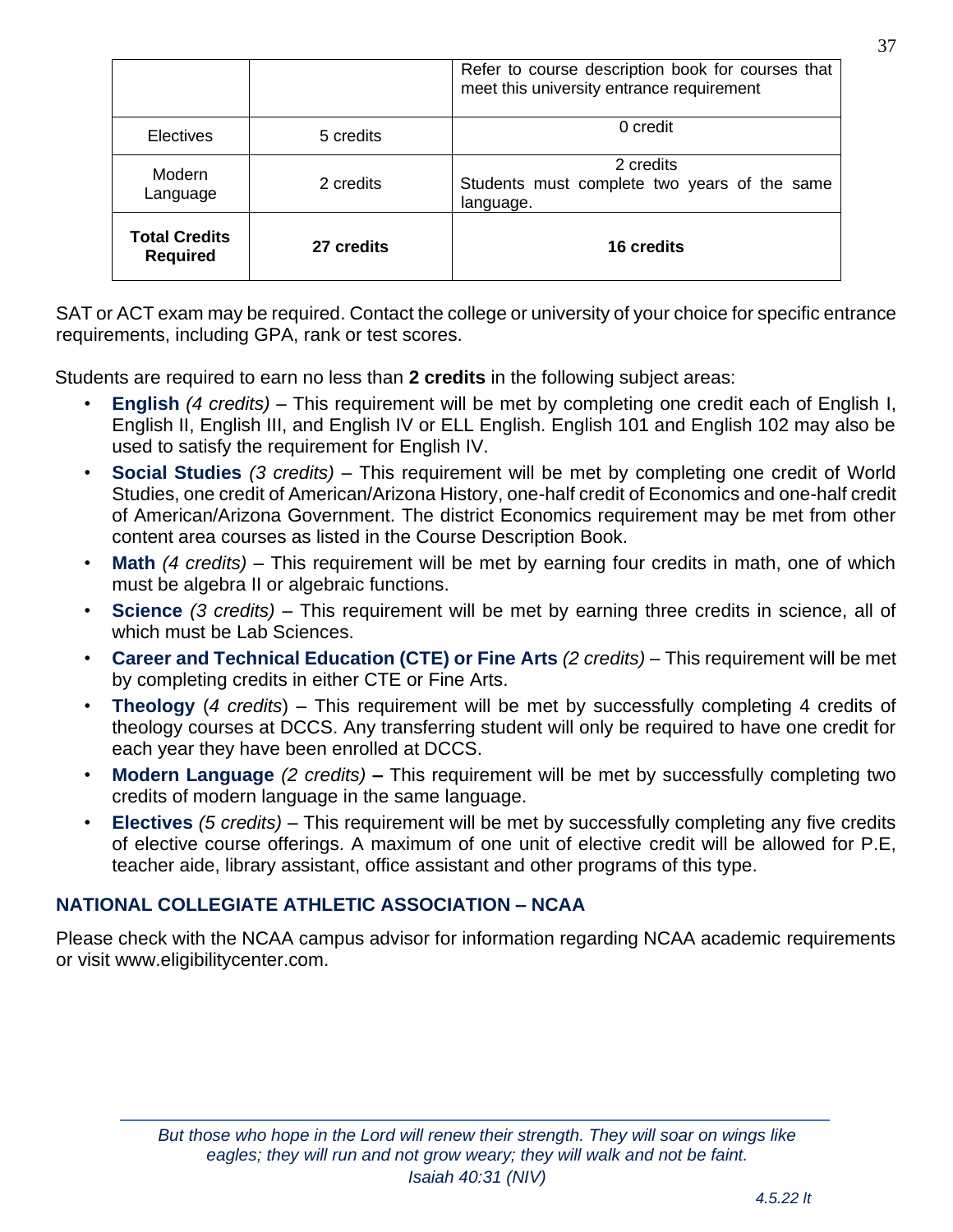|                                         |            | Refer to course description book for courses that<br>meet this university entrance requirement |
|-----------------------------------------|------------|------------------------------------------------------------------------------------------------|
| <b>Electives</b>                        | 5 credits  | 0 credit                                                                                       |
| Modern<br>Language                      | 2 credits  | 2 credits<br>Students must complete two years of the same<br>language.                         |
| <b>Total Credits</b><br><b>Required</b> | 27 credits | 16 credits                                                                                     |

SAT or ACT exam may be required. Contact the college or university of your choice for specific entrance requirements, including GPA, rank or test scores.

Students are required to earn no less than **2 credits** in the following subject areas:

- **English** *(4 credits)* This requirement will be met by completing one credit each of English I, English II, English III, and English IV or ELL English. English 101 and English 102 may also be used to satisfy the requirement for English IV.
- **Social Studies** *(3 credits)* This requirement will be met by completing one credit of World Studies, one credit of American/Arizona History, one-half credit of Economics and one-half credit of American/Arizona Government. The district Economics requirement may be met from other content area courses as listed in the Course Description Book.
- **Math** *(4 credits)* This requirement will be met by earning four credits in math, one of which must be algebra II or algebraic functions.
- **Science** *(3 credits)* This requirement will be met by earning three credits in science, all of which must be Lab Sciences.
- **Career and Technical Education (CTE) or Fine Arts** *(2 credits)* This requirement will be met by completing credits in either CTE or Fine Arts.
- **Theology** (*4 credits*) This requirement will be met by successfully completing 4 credits of theology courses at DCCS. Any transferring student will only be required to have one credit for each year they have been enrolled at DCCS.
- **Modern Language** *(2 credits)* **–** This requirement will be met by successfully completing two credits of modern language in the same language.
- **Electives** *(5 credits)* This requirement will be met by successfully completing any five credits of elective course offerings. A maximum of one unit of elective credit will be allowed for P.E, teacher aide, library assistant, office assistant and other programs of this type.

#### **NATIONAL COLLEGIATE ATHLETIC ASSOCIATION – NCAA**

Please check with the NCAA campus advisor for information regarding NCAA academic requirements or visit [www.eligibilitycenter.com.](http://www.eligibilitycenter.com/)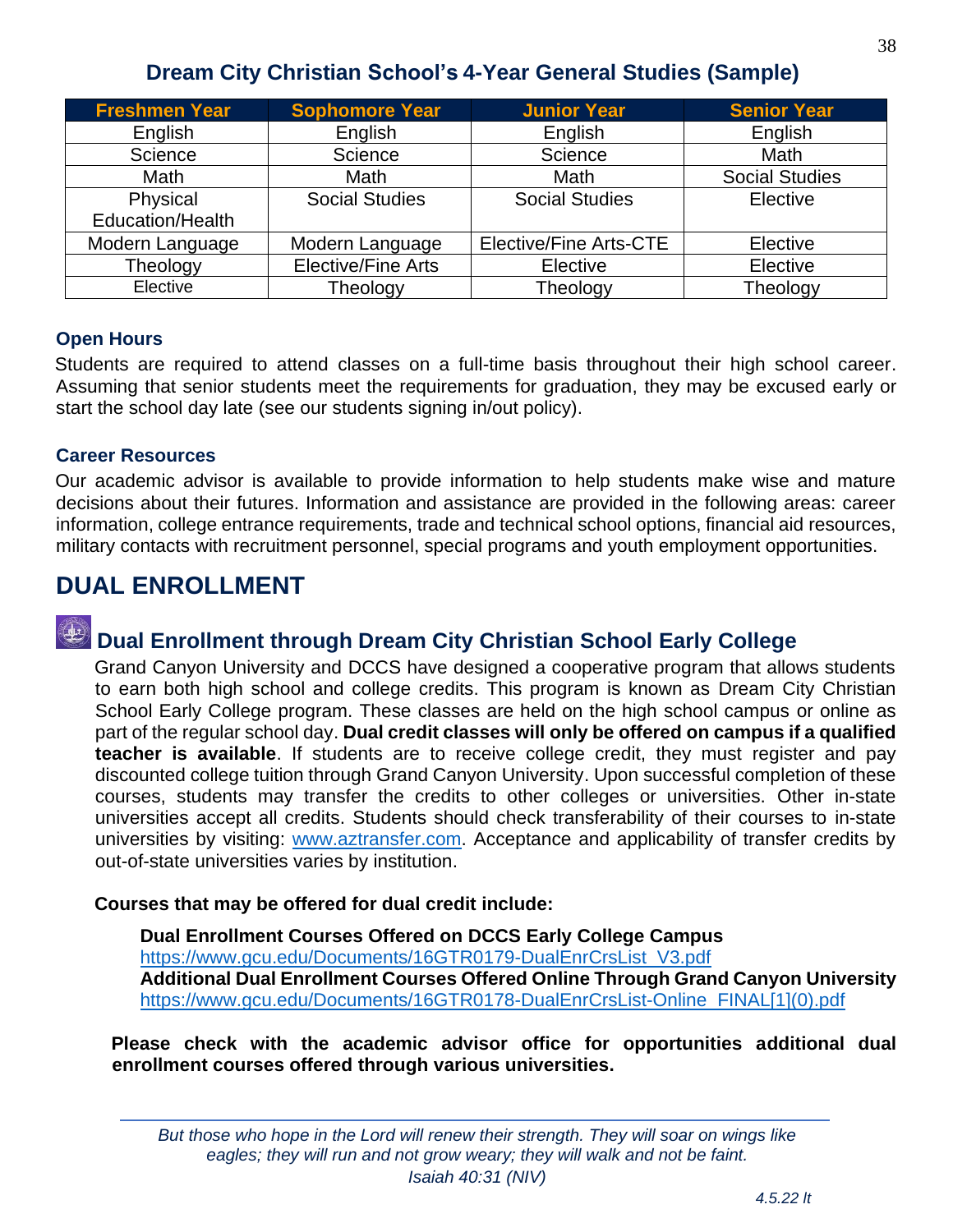### **Dream City Christian School's 4-Year General Studies (Sample)**

| <b>Freshmen Year</b> | <b>Sophomore Year</b>     | <b>Junior Year</b>            | <b>Senior Year</b>    |
|----------------------|---------------------------|-------------------------------|-----------------------|
| English              | English                   | English                       | English               |
| Science              | Science                   | Science                       | <b>Math</b>           |
| Math                 | <b>Math</b>               | Math                          | <b>Social Studies</b> |
| Physical             | <b>Social Studies</b>     | <b>Social Studies</b>         | Elective              |
| Education/Health     |                           |                               |                       |
| Modern Language      | Modern Language           | <b>Elective/Fine Arts-CTE</b> | Elective              |
| Theology             | <b>Elective/Fine Arts</b> | Elective                      | Elective              |
| Elective             | Theology                  | Theology                      | Theology              |

#### **Open Hours**

Students are required to attend classes on a full-time basis throughout their high school career. Assuming that senior students meet the requirements for graduation, they may be excused early or start the school day late (see our students signing in/out policy).

#### **Career Resources**

Our academic advisor is available to provide information to help students make wise and mature decisions about their futures. Information and assistance are provided in the following areas: career information, college entrance requirements, trade and technical school options, financial aid resources, military contacts with recruitment personnel, special programs and youth employment opportunities.

## <span id="page-37-0"></span>**DUAL ENROLLMENT**

## **Dual Enrollment through Dream City Christian School Early College**

Grand Canyon University and DCCS have designed a cooperative program that allows students to earn both high school and college credits. This program is known as Dream City Christian School Early College program. These classes are held on the high school campus or online as part of the regular school day. **Dual credit classes will only be offered on campus if a qualified teacher is available**. If students are to receive college credit, they must register and pay discounted college tuition through Grand Canyon University. Upon successful completion of these courses, students may transfer the credits to other colleges or universities. Other in-state universities accept all credits. Students should check transferability of their courses to in-state universities by visiting: [www.aztransfer.com.](http://www.aztransfer.com/) Acceptance and applicability of transfer credits by out-of-state universities varies by institution.

#### **Courses that may be offered for dual credit include:**

**Dual Enrollment Courses Offered on DCCS Early College Campus** [https://www.gcu.edu/Documents/16GTR0179-DualEnrCrsList\\_V3.pdf](https://www.gcu.edu/Documents/16GTR0179-DualEnrCrsList_V3.pdf) **Additional Dual Enrollment Courses Offered Online Through Grand Canyon University** [https://www.gcu.edu/Documents/16GTR0178-DualEnrCrsList-Online\\_FINAL\[1\]\(0\).pdf](https://www.gcu.edu/Documents/16GTR0178-DualEnrCrsList-Online_FINAL%5b1%5d(0).pdf)

**Please check with the academic advisor office for opportunities additional dual enrollment courses offered through various universities.**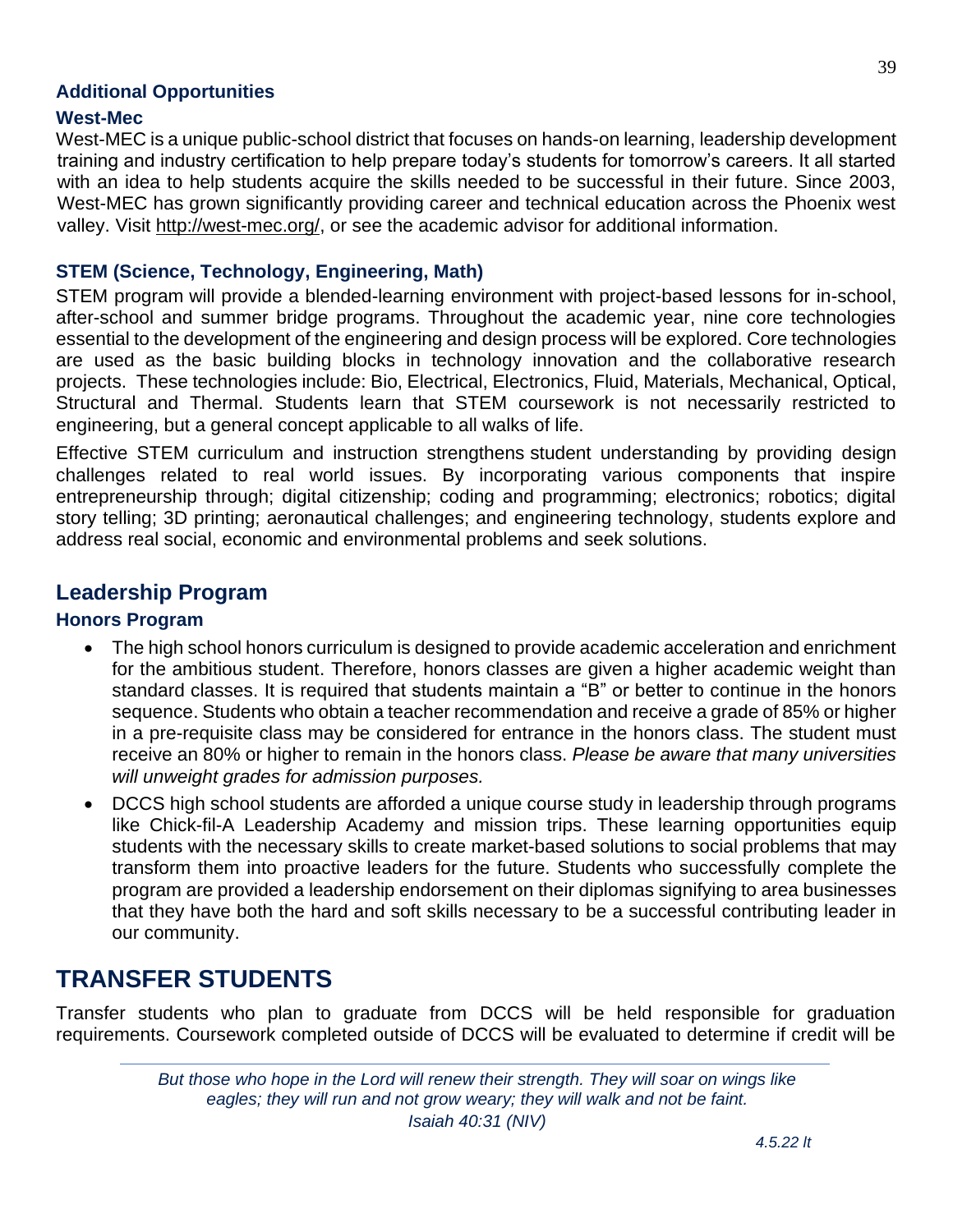#### **Additional Opportunities**

#### **West-Mec**

West-MEC is a unique public-school district that focuses on hands-on learning, leadership development training and industry certification to help prepare today's students for tomorrow's careers. It all started with an idea to help students acquire the skills needed to be successful in their future. Since 2003, West-MEC has grown significantly providing career and technical education across the Phoenix west valley. Visit [http://west-mec.org/,](http://west-mec.org/) or see the academic advisor for additional information.

#### **STEM (Science, Technology, Engineering, Math)**

STEM program will provide a blended-learning environment with project-based lessons for in-school, after-school and summer bridge programs. Throughout the academic year, nine core technologies essential to the development of the engineering and design process will be explored. Core technologies are used as the basic building blocks in technology innovation and the collaborative research projects. These technologies include: Bio, Electrical, Electronics, Fluid, Materials, Mechanical, Optical, Structural and Thermal. Students learn that STEM coursework is not necessarily restricted to engineering, but a general concept applicable to all walks of life.

Effective STEM curriculum and instruction strengthens student understanding by providing design challenges related to real world issues. By incorporating various components that inspire entrepreneurship through; digital citizenship; coding and programming; electronics; robotics; digital story telling; 3D printing; aeronautical challenges; and engineering technology, students explore and address real social, economic and environmental problems and seek solutions.

#### **Leadership Program**

#### **Honors Program**

- The high school honors curriculum is designed to provide academic acceleration and enrichment for the ambitious student. Therefore, honors classes are given a higher academic weight than standard classes. It is required that students maintain a "B" or better to continue in the honors sequence. Students who obtain a teacher recommendation and receive a grade of 85% or higher in a pre-requisite class may be considered for entrance in the honors class. The student must receive an 80% or higher to remain in the honors class. *Please be aware that many universities will unweight grades for admission purposes.*
- DCCS high school students are afforded a unique course study in leadership through programs like Chick-fil-A Leadership Academy and mission trips. These learning opportunities equip students with the necessary skills to create market-based solutions to social problems that may transform them into proactive leaders for the future. Students who successfully complete the program are provided a leadership endorsement on their diplomas signifying to area businesses that they have both the hard and soft skills necessary to be a successful contributing leader in our community.

## <span id="page-38-0"></span>**TRANSFER STUDENTS**

Transfer students who plan to graduate from DCCS will be held responsible for graduation requirements. Coursework completed outside of DCCS will be evaluated to determine if credit will be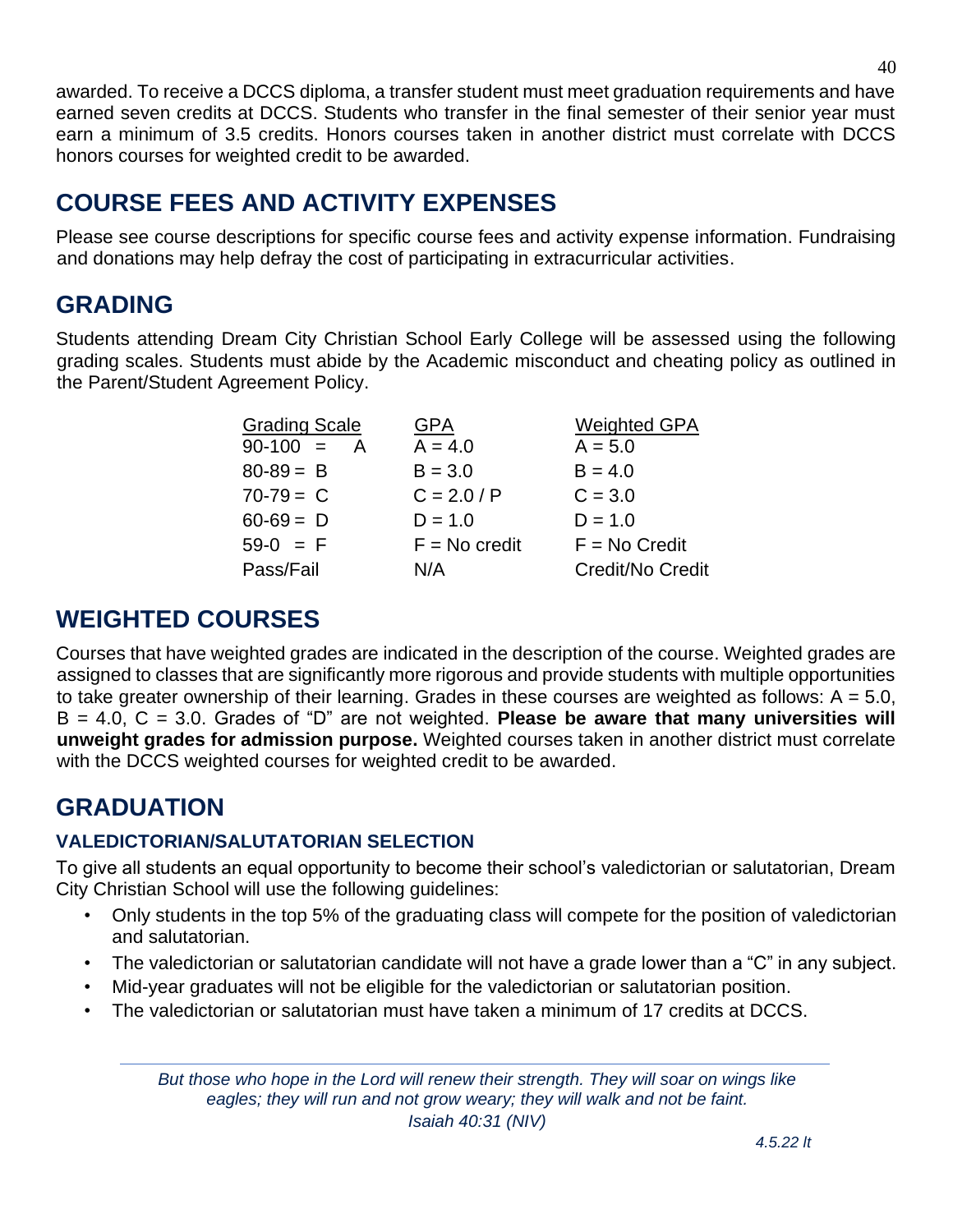awarded. To receive a DCCS diploma, a transfer student must meet graduation requirements and have earned seven credits at DCCS. Students who transfer in the final semester of their senior year must earn a minimum of 3.5 credits. Honors courses taken in another district must correlate with DCCS honors courses for weighted credit to be awarded.

## <span id="page-39-0"></span>**COURSE FEES AND ACTIVITY EXPENSES**

Please see course descriptions for specific course fees and activity expense information. Fundraising and donations may help defray the cost of participating in extracurricular activities.

## <span id="page-39-1"></span>**GRADING**

Students attending Dream City Christian School Early College will be assessed using the following grading scales. Students must abide by the Academic misconduct and cheating policy as outlined in the Parent/Student Agreement Policy.

| <b>Grading Scale</b> | GPA             | <b>Weighted GPA</b> |
|----------------------|-----------------|---------------------|
| $90-100 = A$         | $A = 4.0$       | $A = 5.0$           |
| $80-89 = B$          | $B = 3.0$       | $B = 4.0$           |
| $70-79 = C$          | $C = 2.0 / P$   | $C = 3.0$           |
| $60-69 = D$          | $D = 1.0$       | $D = 1.0$           |
| $59-0 = F$           | $F = No credit$ | $F = No Credit$     |
| Pass/Fail            | N/A             | Credit/No Credit    |
|                      |                 |                     |

## <span id="page-39-2"></span>**WEIGHTED COURSES**

Courses that have weighted grades are indicated in the description of the course. Weighted grades are assigned to classes that are significantly more rigorous and provide students with multiple opportunities to take greater ownership of their learning. Grades in these courses are weighted as follows:  $A = 5.0$ , B = 4.0, C = 3.0. Grades of "D" are not weighted. **Please be aware that many universities will unweight grades for admission purpose.** Weighted courses taken in another district must correlate with the DCCS weighted courses for weighted credit to be awarded.

## <span id="page-39-3"></span>**GRADUATION**

#### **VALEDICTORIAN/SALUTATORIAN SELECTION**

To give all students an equal opportunity to become their school's valedictorian or salutatorian, Dream City Christian School will use the following guidelines:

- Only students in the top 5% of the graduating class will compete for the position of valedictorian and salutatorian.
- The valedictorian or salutatorian candidate will not have a grade lower than a "C" in any subject.
- Mid-year graduates will not be eligible for the valedictorian or salutatorian position.
- The valedictorian or salutatorian must have taken a minimum of 17 credits at DCCS.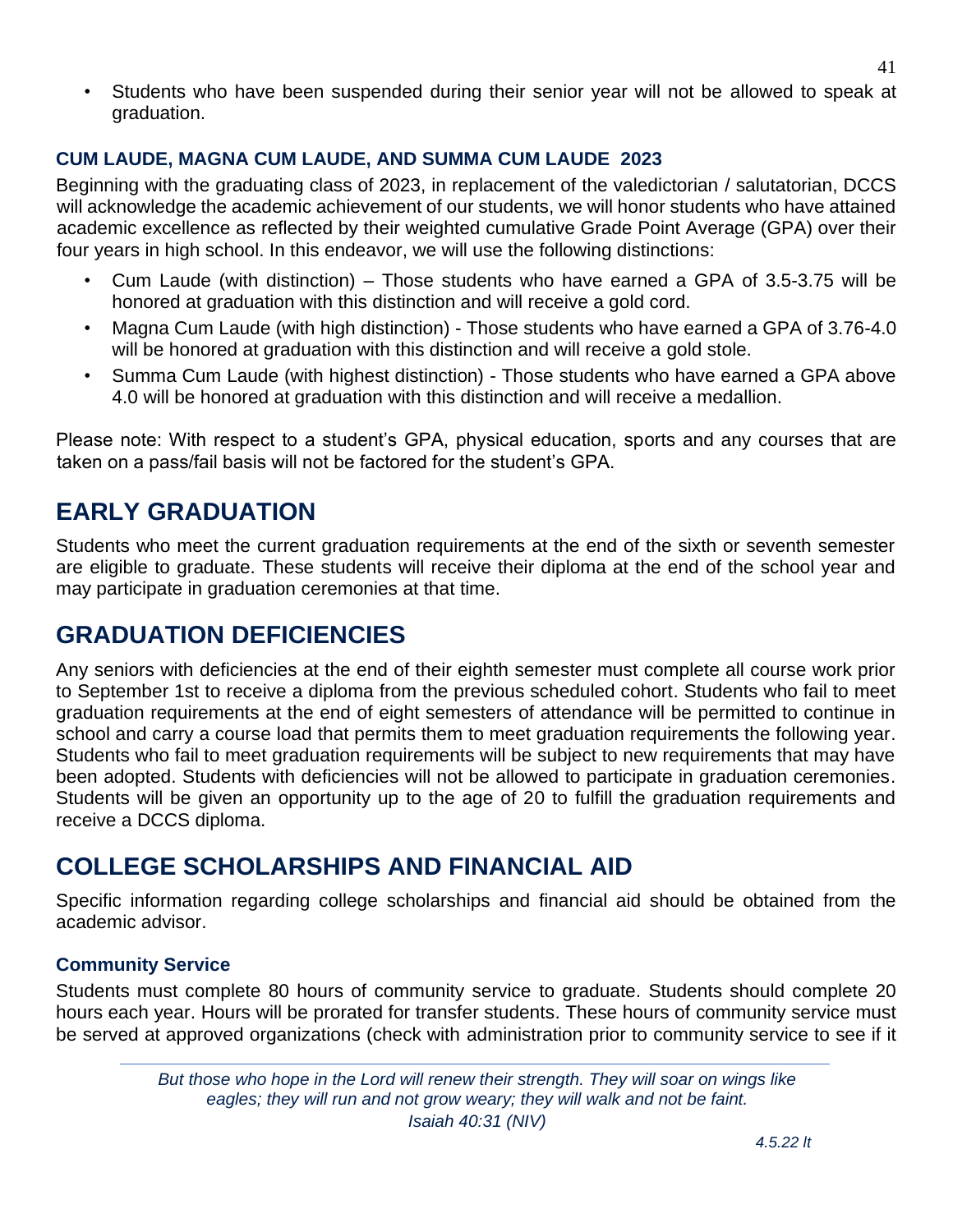• Students who have been suspended during their senior year will not be allowed to speak at graduation.

#### **CUM LAUDE, MAGNA CUM LAUDE, AND SUMMA CUM LAUDE 2023**

Beginning with the graduating class of 2023, in replacement of the valedictorian / salutatorian, DCCS will acknowledge the academic achievement of our students, we will honor students who have attained academic excellence as reflected by their weighted cumulative Grade Point Average (GPA) over their four years in high school. In this endeavor, we will use the following distinctions:

- Cum Laude (with distinction) Those students who have earned a GPA of 3.5-3.75 will be honored at graduation with this distinction and will receive a gold cord.
- Magna Cum Laude (with high distinction) Those students who have earned a GPA of 3.76-4.0 will be honored at graduation with this distinction and will receive a gold stole.
- Summa Cum Laude (with highest distinction) Those students who have earned a GPA above 4.0 will be honored at graduation with this distinction and will receive a medallion.

Please note: With respect to a student's GPA, physical education, sports and any courses that are taken on a pass/fail basis will not be factored for the student's GPA.

## <span id="page-40-0"></span>**EARLY GRADUATION**

Students who meet the current graduation requirements at the end of the sixth or seventh semester are eligible to graduate. These students will receive their diploma at the end of the school year and may participate in graduation ceremonies at that time.

## <span id="page-40-1"></span>**GRADUATION DEFICIENCIES**

Any seniors with deficiencies at the end of their eighth semester must complete all course work prior to September 1st to receive a diploma from the previous scheduled cohort. Students who fail to meet graduation requirements at the end of eight semesters of attendance will be permitted to continue in school and carry a course load that permits them to meet graduation requirements the following year. Students who fail to meet graduation requirements will be subject to new requirements that may have been adopted. Students with deficiencies will not be allowed to participate in graduation ceremonies. Students will be given an opportunity up to the age of 20 to fulfill the graduation requirements and receive a DCCS diploma.

## <span id="page-40-2"></span>**COLLEGE SCHOLARSHIPS AND FINANCIAL AID**

Specific information regarding college scholarships and financial aid should be obtained from the academic advisor.

#### **Community Service**

Students must complete 80 hours of community service to graduate. Students should complete 20 hours each year. Hours will be prorated for transfer students. These hours of community service must be served at approved organizations (check with administration prior to community service to see if it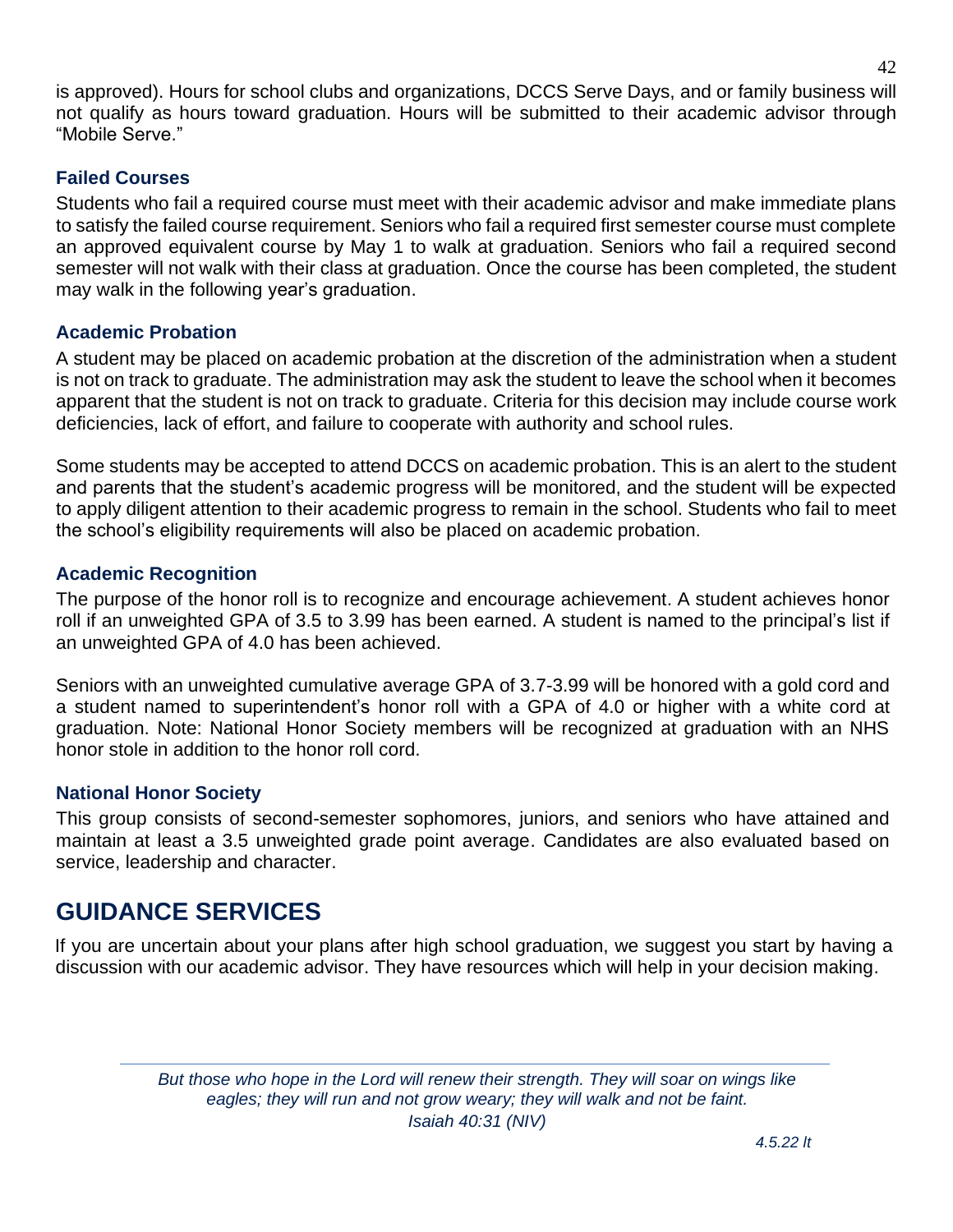is approved). Hours for school clubs and organizations, DCCS Serve Days, and or family business will not qualify as hours toward graduation. Hours will be submitted to their academic advisor through "Mobile Serve."

#### **Failed Courses**

Students who fail a required course must meet with their academic advisor and make immediate plans to satisfy the failed course requirement. Seniors who fail a required first semester course must complete an approved equivalent course by May 1 to walk at graduation. Seniors who fail a required second semester will not walk with their class at graduation. Once the course has been completed, the student may walk in the following year's graduation.

#### **Academic Probation**

A student may be placed on academic probation at the discretion of the administration when a student is not on track to graduate. The administration may ask the student to leave the school when it becomes apparent that the student is not on track to graduate. Criteria for this decision may include course work deficiencies, lack of effort, and failure to cooperate with authority and school rules.

Some students may be accepted to attend DCCS on academic probation. This is an alert to the student and parents that the student's academic progress will be monitored, and the student will be expected to apply diligent attention to their academic progress to remain in the school. Students who fail to meet the school's eligibility requirements will also be placed on academic probation.

#### **Academic Recognition**

The purpose of the honor roll is to recognize and encourage achievement. A student achieves honor roll if an unweighted GPA of 3.5 to 3.99 has been earned. A student is named to the principal's list if an unweighted GPA of 4.0 has been achieved.

Seniors with an unweighted cumulative average GPA of 3.7-3.99 will be honored with a gold cord and a student named to superintendent's honor roll with a GPA of 4.0 or higher with a white cord at graduation. Note: National Honor Society members will be recognized at graduation with an NHS honor stole in addition to the honor roll cord.

#### **National Honor Society**

This group consists of second-semester sophomores, juniors, and seniors who have attained and maintain at least a 3.5 unweighted grade point average. Candidates are also evaluated based on service, leadership and character.

## <span id="page-41-0"></span>**GUIDANCE SERVICES**

If you are uncertain about your plans after high school graduation, we suggest you start by having a discussion with our academic advisor. They have resources which will help in your decision making.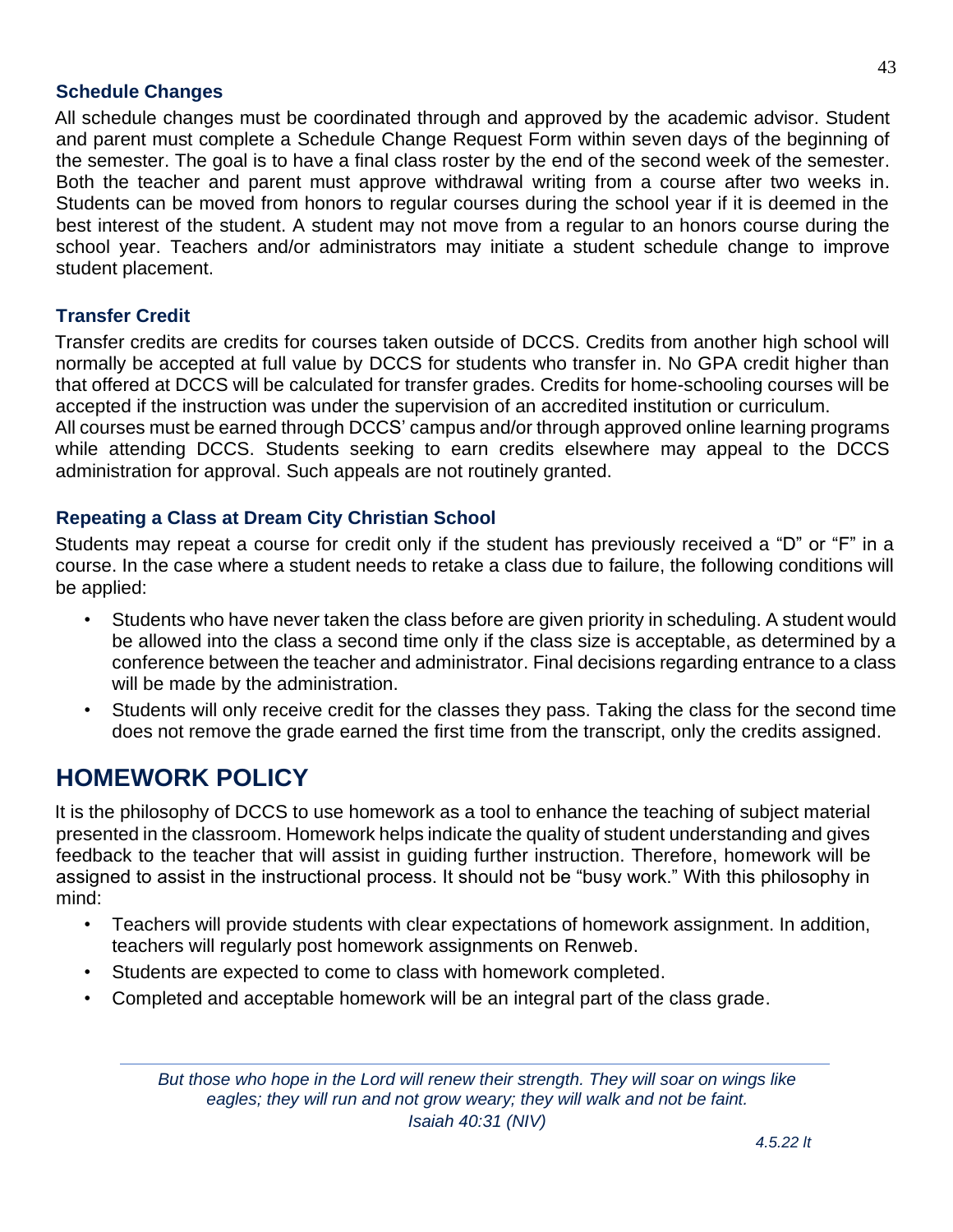#### **Schedule Changes**

All schedule changes must be coordinated through and approved by the academic advisor. Student and parent must complete a Schedule Change Request Form within seven days of the beginning of the semester. The goal is to have a final class roster by the end of the second week of the semester. Both the teacher and parent must approve withdrawal writing from a course after two weeks in. Students can be moved from honors to regular courses during the school year if it is deemed in the best interest of the student. A student may not move from a regular to an honors course during the school year. Teachers and/or administrators may initiate a student schedule change to improve student placement.

#### **Transfer Credit**

Transfer credits are credits for courses taken outside of DCCS. Credits from another high school will normally be accepted at full value by DCCS for students who transfer in. No GPA credit higher than that offered at DCCS will be calculated for transfer grades. Credits for home-schooling courses will be accepted if the instruction was under the supervision of an accredited institution or curriculum. All courses must be earned through DCCS' campus and/or through approved online learning programs

while attending DCCS. Students seeking to earn credits elsewhere may appeal to the DCCS administration for approval. Such appeals are not routinely granted.

#### **Repeating a Class at Dream City Christian School**

Students may repeat a course for credit only if the student has previously received a "D" or "F" in a course. In the case where a student needs to retake a class due to failure, the following conditions will be applied:

- Students who have never taken the class before are given priority in scheduling. A student would be allowed into the class a second time only if the class size is acceptable, as determined by a conference between the teacher and administrator. Final decisions regarding entrance to a class will be made by the administration.
- Students will only receive credit for the classes they pass. Taking the class for the second time does not remove the grade earned the first time from the transcript, only the credits assigned.

## <span id="page-42-0"></span>**HOMEWORK POLICY**

It is the philosophy of DCCS to use homework as a tool to enhance the teaching of subject material presented in the classroom. Homework helps indicate the quality of student understanding and gives feedback to the teacher that will assist in guiding further instruction. Therefore, homework will be assigned to assist in the instructional process. It should not be "busy work." With this philosophy in mind:

- Teachers will provide students with clear expectations of homework assignment. In addition, teachers will regularly post homework assignments on Renweb.
- Students are expected to come to class with homework completed.
- Completed and acceptable homework will be an integral part of the class grade.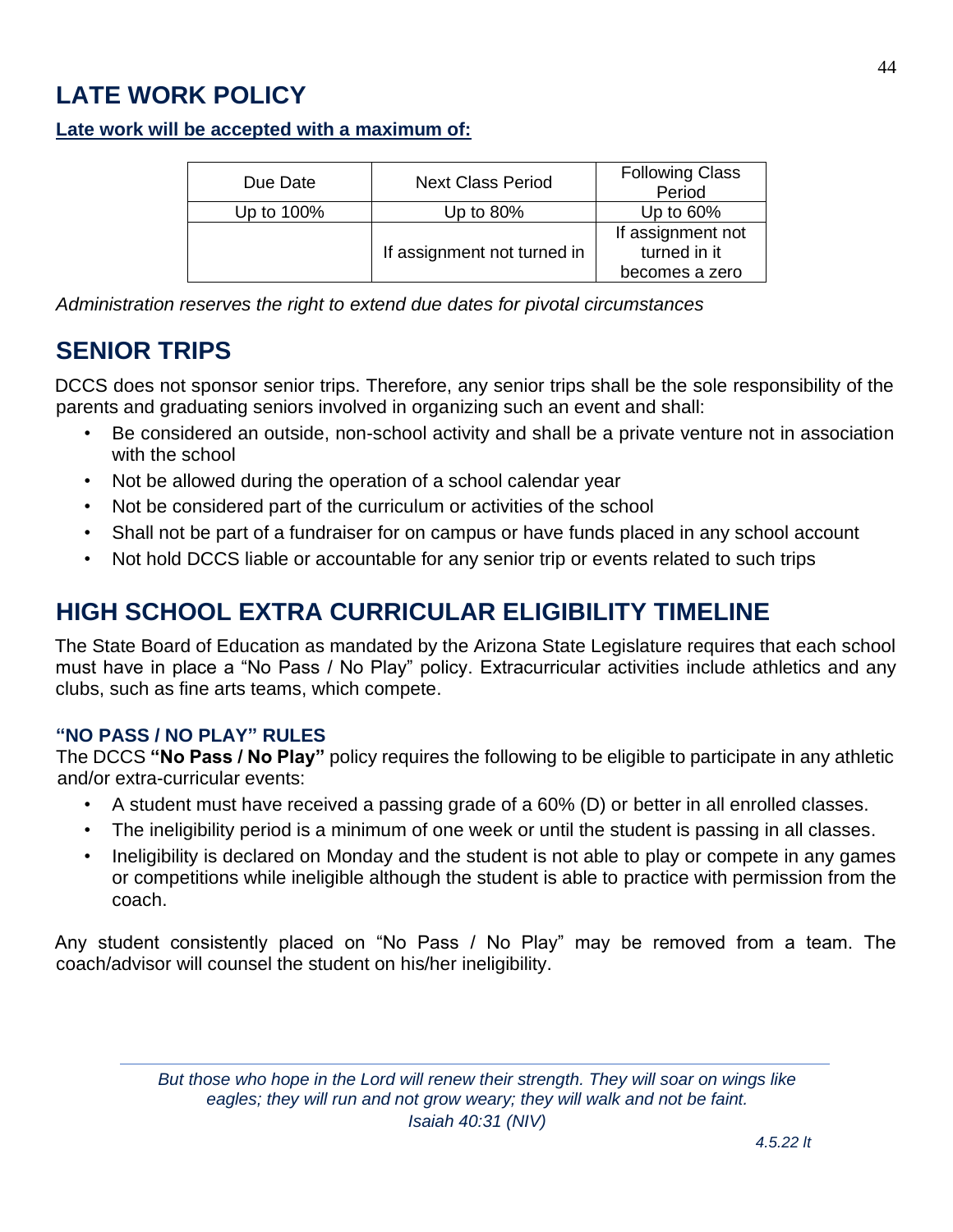## <span id="page-43-0"></span>**LATE WORK POLICY**

#### **Late work will be accepted with a maximum of:**

| Due Date   | <b>Next Class Period</b>    | <b>Following Class</b><br>Period  |
|------------|-----------------------------|-----------------------------------|
| Up to 100% | Up to 80%                   | Up to $60\%$                      |
|            | If assignment not turned in | If assignment not<br>turned in it |
|            |                             | becomes a zero                    |

*Administration reserves the right to extend due dates for pivotal circumstances*

## <span id="page-43-1"></span>**SENIOR TRIPS**

DCCS does not sponsor senior trips. Therefore, any senior trips shall be the sole responsibility of the parents and graduating seniors involved in organizing such an event and shall:

- Be considered an outside, non-school activity and shall be a private venture not in association with the school
- Not be allowed during the operation of a school calendar year
- Not be considered part of the curriculum or activities of the school
- Shall not be part of a fundraiser for on campus or have funds placed in any school account
- Not hold DCCS liable or accountable for any senior trip or events related to such trips

## <span id="page-43-2"></span>**HIGH SCHOOL EXTRA CURRICULAR ELIGIBILITY TIMELINE**

The State Board of Education as mandated by the Arizona State Legislature requires that each school must have in place a "No Pass / No Play" policy. Extracurricular activities include athletics and any clubs, such as fine arts teams, which compete.

#### **"NO PASS / NO PLAY" RULES**

The DCCS **"No Pass / No Play"** policy requires the following to be eligible to participate in any athletic and/or extra-curricular events:

- A student must have received a passing grade of a 60% (D) or better in all enrolled classes.
- The ineligibility period is a minimum of one week or until the student is passing in all classes.
- Ineligibility is declared on Monday and the student is not able to play or compete in any games or competitions while ineligible although the student is able to practice with permission from the coach.

Any student consistently placed on "No Pass / No Play" may be removed from a team. The coach/advisor will counsel the student on his/her ineligibility.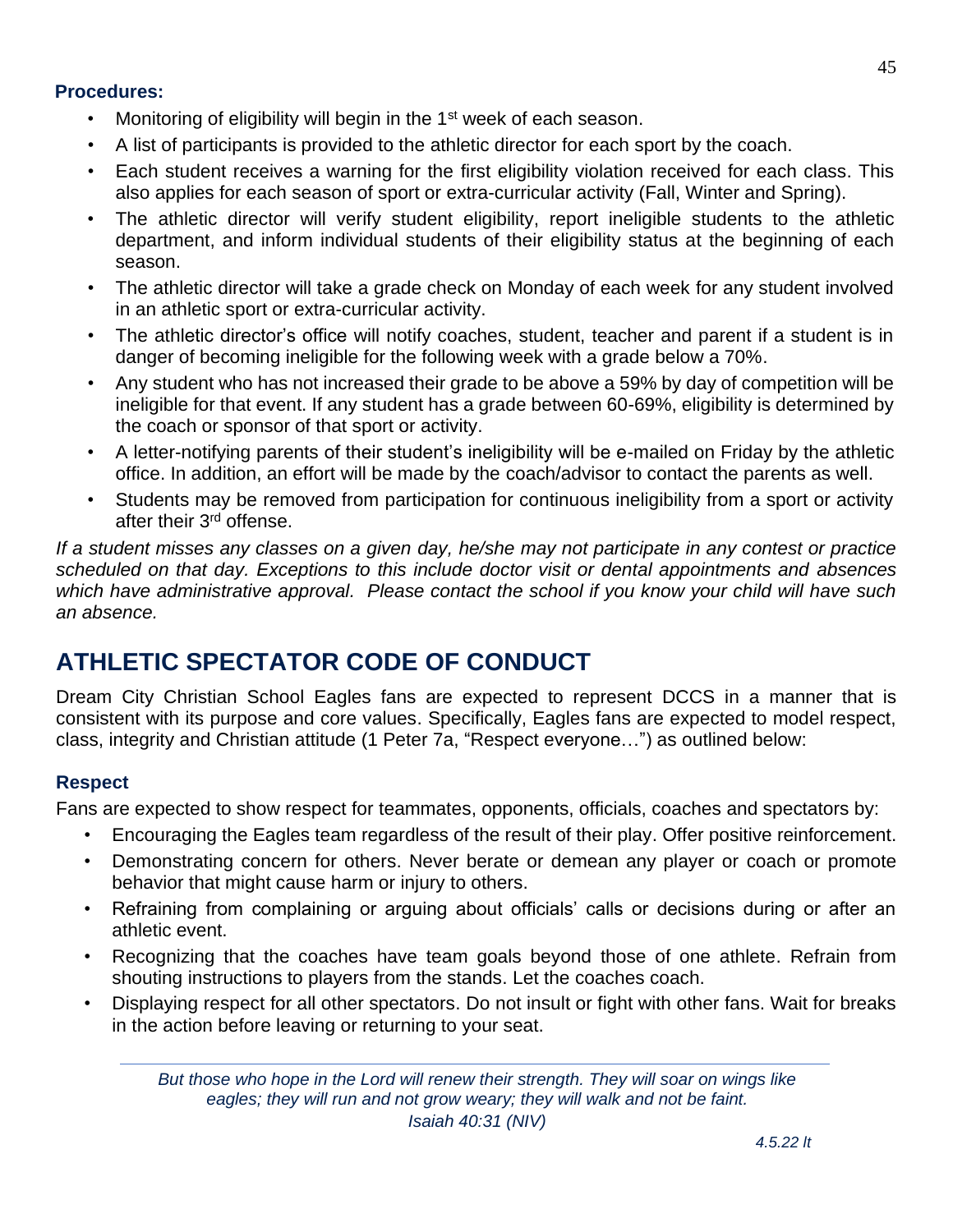#### **Procedures:**

- Monitoring of eligibility will begin in the 1<sup>st</sup> week of each season.
- A list of participants is provided to the athletic director for each sport by the coach.
- Each student receives a warning for the first eligibility violation received for each class. This also applies for each season of sport or extra-curricular activity (Fall, Winter and Spring).
- The athletic director will verify student eligibility, report ineligible students to the athletic department, and inform individual students of their eligibility status at the beginning of each season.
- The athletic director will take a grade check on Monday of each week for any student involved in an athletic sport or extra-curricular activity.
- The athletic director's office will notify coaches, student, teacher and parent if a student is in danger of becoming ineligible for the following week with a grade below a 70%.
- Any student who has not increased their grade to be above a 59% by day of competition will be ineligible for that event. If any student has a grade between 60-69%, eligibility is determined by the coach or sponsor of that sport or activity.
- A letter-notifying parents of their student's ineligibility will be e-mailed on Friday by the athletic office. In addition, an effort will be made by the coach/advisor to contact the parents as well.
- Students may be removed from participation for continuous ineligibility from a sport or activity after their 3rd offense.

*If a student misses any classes on a given day, he/she may not participate in any contest or practice scheduled on that day. Exceptions to this include doctor visit or dental appointments and absences which have administrative approval. Please contact the school if you know your child will have such an absence.*

## <span id="page-44-0"></span>**ATHLETIC SPECTATOR CODE OF CONDUCT**

Dream City Christian School Eagles fans are expected to represent DCCS in a manner that is consistent with its purpose and core values. Specifically, Eagles fans are expected to model respect, class, integrity and Christian attitude (1 Peter 7a, "Respect everyone…") as outlined below:

#### **Respect**

Fans are expected to show respect for teammates, opponents, officials, coaches and spectators by:

- Encouraging the Eagles team regardless of the result of their play. Offer positive reinforcement.
- Demonstrating concern for others. Never berate or demean any player or coach or promote behavior that might cause harm or injury to others.
- Refraining from complaining or arguing about officials' calls or decisions during or after an athletic event.
- Recognizing that the coaches have team goals beyond those of one athlete. Refrain from shouting instructions to players from the stands. Let the coaches coach.
- Displaying respect for all other spectators. Do not insult or fight with other fans. Wait for breaks in the action before leaving or returning to your seat.

*But those who hope in the Lord will renew their strength. They will soar on wings like eagles; they will run and not grow weary; they will walk and not be faint. Isaiah 40:31 (NIV)*

45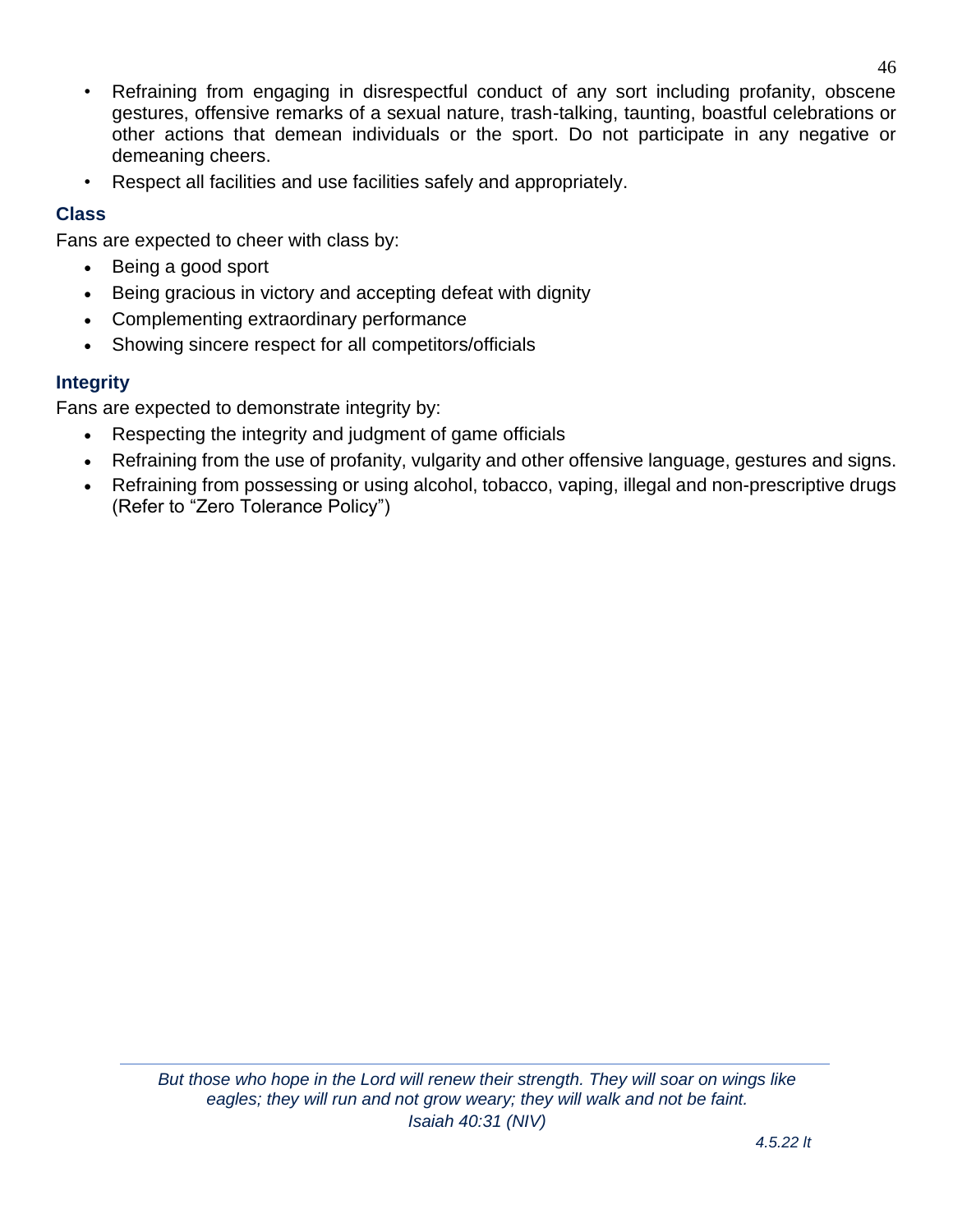- Refraining from engaging in disrespectful conduct of any sort including profanity, obscene gestures, offensive remarks of a sexual nature, trash-talking, taunting, boastful celebrations or other actions that demean individuals or the sport. Do not participate in any negative or demeaning cheers.
- Respect all facilities and use facilities safely and appropriately.

#### **Class**

Fans are expected to cheer with class by:

- Being a good sport
- Being gracious in victory and accepting defeat with dignity
- Complementing extraordinary performance
- Showing sincere respect for all competitors/officials

### **Integrity**

Fans are expected to demonstrate integrity by:

- Respecting the integrity and judgment of game officials
- Refraining from the use of profanity, vulgarity and other offensive language, gestures and signs.
- Refraining from possessing or using alcohol, tobacco, vaping, illegal and non-prescriptive drugs (Refer to "Zero Tolerance Policy")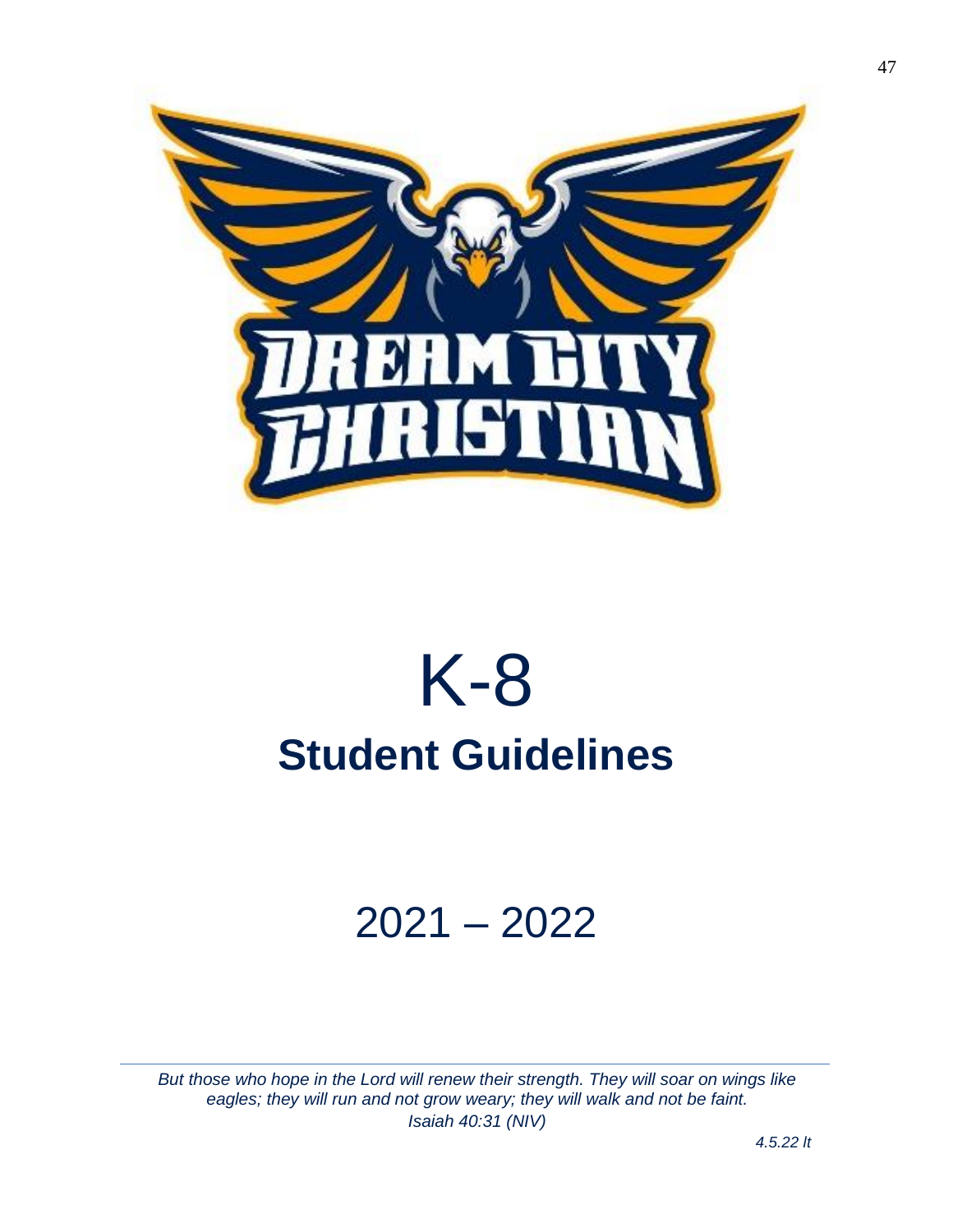

## K-8 **Student Guidelines**

## 2021 – 2022

*But those who hope in the Lord will renew their strength. They will soar on wings like eagles; they will run and not grow weary; they will walk and not be faint. Isaiah 40:31 (NIV)*

*4.5.22 lt*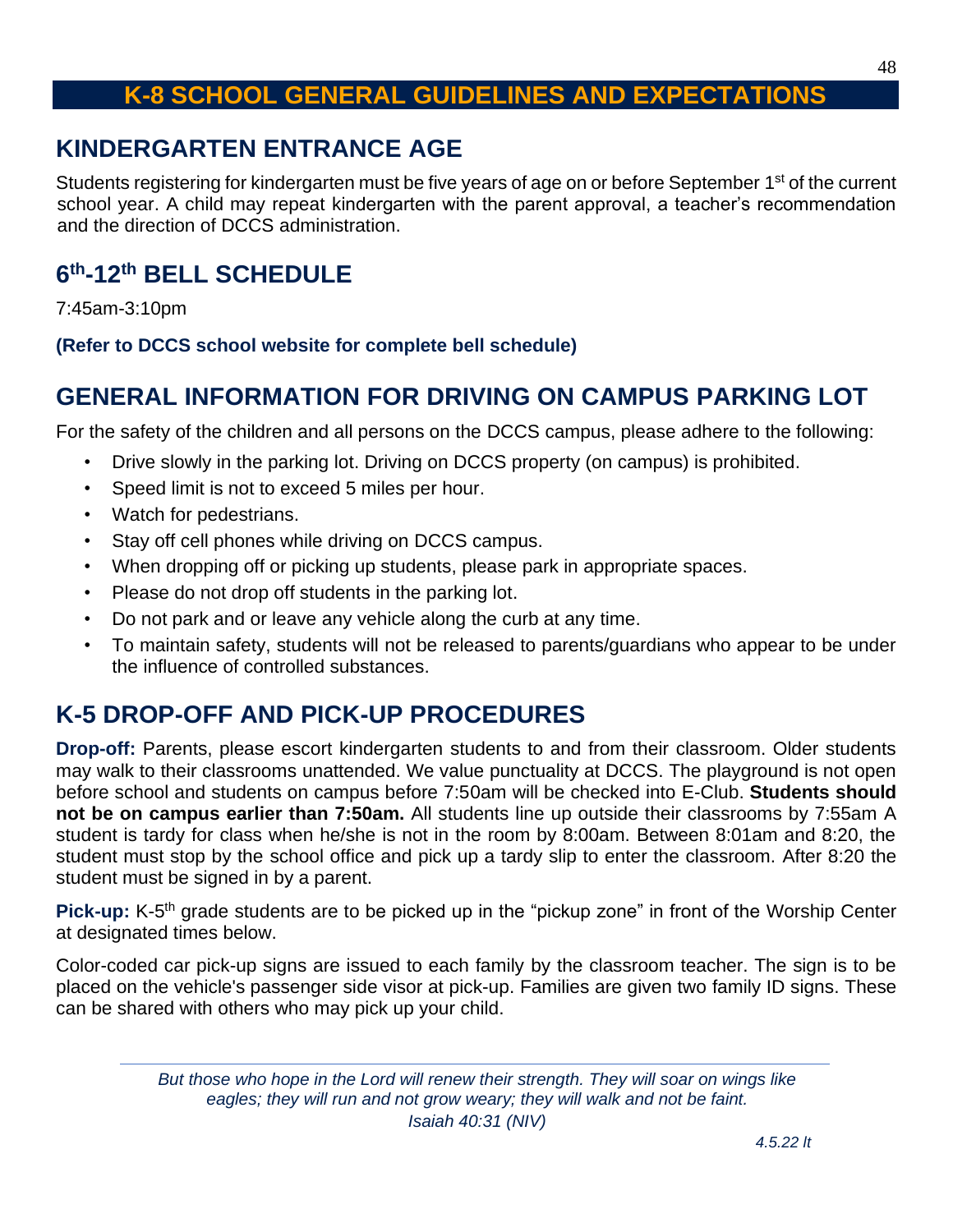## **K-8 SCHOOL GENERAL GUIDELINES AND EXPECTATIONS**

## <span id="page-47-1"></span><span id="page-47-0"></span>**KINDERGARTEN ENTRANCE AGE**

Students registering for kindergarten must be five years of age on or before September 1<sup>st</sup> of the current school year. A child may repeat kindergarten with the parent approval, a teacher's recommendation and the direction of DCCS administration.

## <span id="page-47-2"></span>**6 th-12th BELL SCHEDULE**

7:45am-3:10pm

#### **(Refer to DCCS school website for complete bell schedule)**

## <span id="page-47-3"></span>**GENERAL INFORMATION FOR DRIVING ON CAMPUS PARKING LOT**

For the safety of the children and all persons on the DCCS campus, please adhere to the following:

- Drive slowly in the parking lot. Driving on DCCS property (on campus) is prohibited.
- Speed limit is not to exceed 5 miles per hour.
- Watch for pedestrians.
- Stay off cell phones while driving on DCCS campus.
- When dropping off or picking up students, please park in appropriate spaces.
- Please do not drop off students in the parking lot.
- Do not park and or leave any vehicle along the curb at any time.
- To maintain safety, students will not be released to parents/guardians who appear to be under the influence of controlled substances.

## <span id="page-47-4"></span>**K-5 DROP-OFF AND PICK-UP PROCEDURES**

**Drop-off:** Parents, please escort kindergarten students to and from their classroom. Older students may walk to their classrooms unattended. We value punctuality at DCCS. The playground is not open before school and students on campus before 7:50am will be checked into E-Club. **Students should not be on campus earlier than 7:50am.** All students line up outside their classrooms by 7:55am A student is tardy for class when he/she is not in the room by 8:00am. Between 8:01am and 8:20, the student must stop by the school office and pick up a tardy slip to enter the classroom. After 8:20 the student must be signed in by a parent.

Pick-up: K-5<sup>th</sup> grade students are to be picked up in the "pickup zone" in front of the Worship Center at designated times below.

Color-coded car pick-up signs are issued to each family by the classroom teacher. The sign is to be placed on the vehicle's passenger side visor at pick-up. Families are given two family ID signs. These can be shared with others who may pick up your child.

> *But those who hope in the Lord will renew their strength. They will soar on wings like eagles; they will run and not grow weary; they will walk and not be faint. Isaiah 40:31 (NIV)*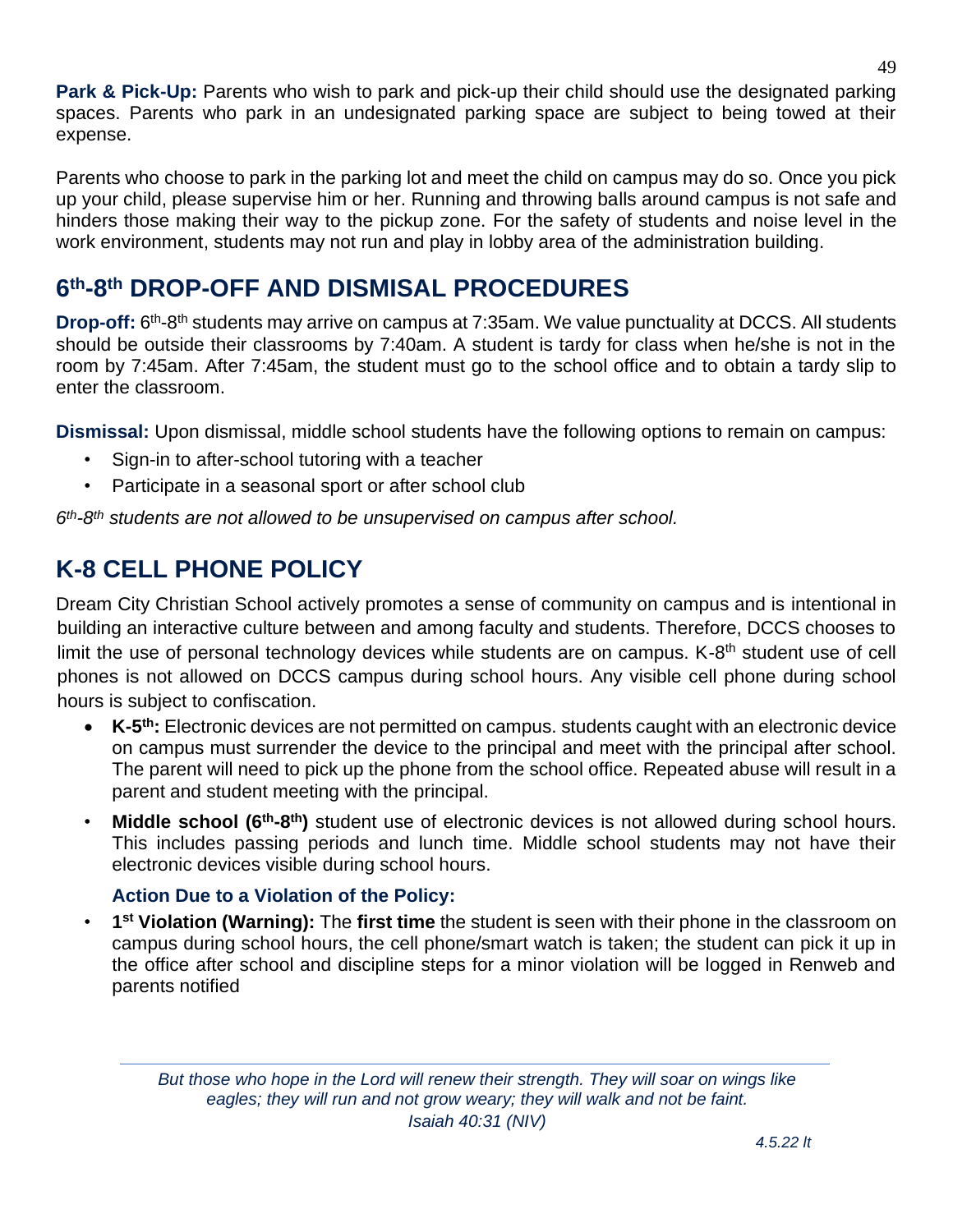**Park & Pick-Up:** Parents who wish to park and pick-up their child should use the designated parking spaces. Parents who park in an undesignated parking space are subject to being towed at their expense.

Parents who choose to park in the parking lot and meet the child on campus may do so. Once you pick up your child, please supervise him or her. Running and throwing balls around campus is not safe and hinders those making their way to the pickup zone. For the safety of students and noise level in the work environment, students may not run and play in lobby area of the administration building.

## <span id="page-48-0"></span>**6 th-8 th DROP-OFF AND DISMISAL PROCEDURES**

Drop-off: 6<sup>th</sup>-8<sup>th</sup> students may arrive on campus at 7:35am. We value punctuality at DCCS. All students should be outside their classrooms by 7:40am. A student is tardy for class when he/she is not in the room by 7:45am. After 7:45am, the student must go to the school office and to obtain a tardy slip to enter the classroom.

**Dismissal:** Upon dismissal, middle school students have the following options to remain on campus:

- Sign-in to after-school tutoring with a teacher
- Participate in a seasonal sport or after school club

*6 th-8 th students are not allowed to be unsupervised on campus after school.* 

## <span id="page-48-1"></span>**K-8 CELL PHONE POLICY**

Dream City Christian School actively promotes a sense of community on campus and is intentional in building an interactive culture between and among faculty and students. Therefore, DCCS chooses to limit the use of personal technology devices while students are on campus. K-8<sup>th</sup> student use of cell phones is not allowed on DCCS campus during school hours. Any visible cell phone during school hours is subject to confiscation.

- K-5<sup>th</sup>: Electronic devices are not permitted on campus. students caught with an electronic device on campus must surrender the device to the principal and meet with the principal after school. The parent will need to pick up the phone from the school office. Repeated abuse will result in a parent and student meeting with the principal.
- **Middle school (6<sup>th</sup>-8<sup>th</sup>)** student use of electronic devices is not allowed during school hours. This includes passing periods and lunch time. Middle school students may not have their electronic devices visible during school hours.

#### **Action Due to a Violation of the Policy:**

• **1 st Violation (Warning):** The **first time** the student is seen with their phone in the classroom on campus during school hours, the cell phone/smart watch is taken; the student can pick it up in the office after school and discipline steps for a minor violation will be logged in Renweb and parents notified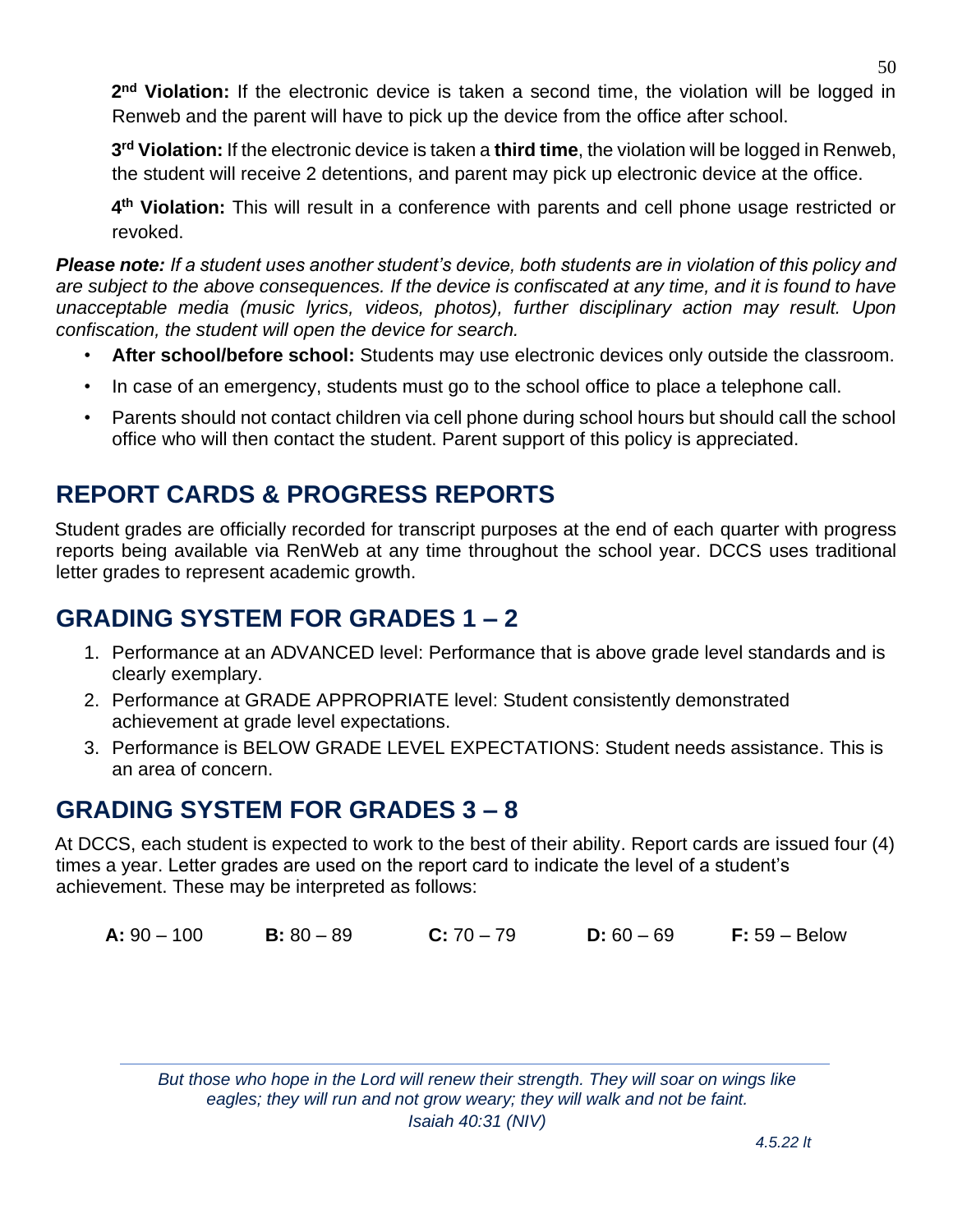2<sup>nd</sup> Violation: If the electronic device is taken a second time, the violation will be logged in Renweb and the parent will have to pick up the device from the office after school.

**3 rd Violation:** If the electronic device is taken a **third time**, the violation will be logged in Renweb, the student will receive 2 detentions, and parent may pick up electronic device at the office.

**4 th Violation:** This will result in a conference with parents and cell phone usage restricted or revoked.

*Please note: If a student uses another student's device, both students are in violation of this policy and are subject to the above consequences. If the device is confiscated at any time, and it is found to have unacceptable media (music lyrics, videos, photos), further disciplinary action may result. Upon confiscation, the student will open the device for search.*

- **After school/before school:** Students may use electronic devices only outside the classroom.
- In case of an emergency, students must go to the school office to place a telephone call.
- Parents should not contact children via cell phone during school hours but should call the school office who will then contact the student. Parent support of this policy is appreciated.

## <span id="page-49-0"></span>**REPORT CARDS & PROGRESS REPORTS**

Student grades are officially recorded for transcript purposes at the end of each quarter with progress reports being available via RenWeb at any time throughout the school year. DCCS uses traditional letter grades to represent academic growth.

## <span id="page-49-1"></span>**GRADING SYSTEM FOR GRADES 1 – 2**

- 1. Performance at an ADVANCED level: Performance that is above grade level standards and is clearly exemplary.
- 2. Performance at GRADE APPROPRIATE level: Student consistently demonstrated achievement at grade level expectations.
- 3. Performance is BELOW GRADE LEVEL EXPECTATIONS: Student needs assistance. This is an area of concern.

## <span id="page-49-2"></span>**GRADING SYSTEM FOR GRADES 3 – 8**

At DCCS, each student is expected to work to the best of their ability. Report cards are issued four (4) times a year. Letter grades are used on the report card to indicate the level of a student's achievement. These may be interpreted as follows:

**A:** 90 – 100 **B:** 80 – 89 **C:** 70 – 79 **D:** 60 – 69 **F:** 59 – Below

*But those who hope in the Lord will renew their strength. They will soar on wings like eagles; they will run and not grow weary; they will walk and not be faint. Isaiah 40:31 (NIV)*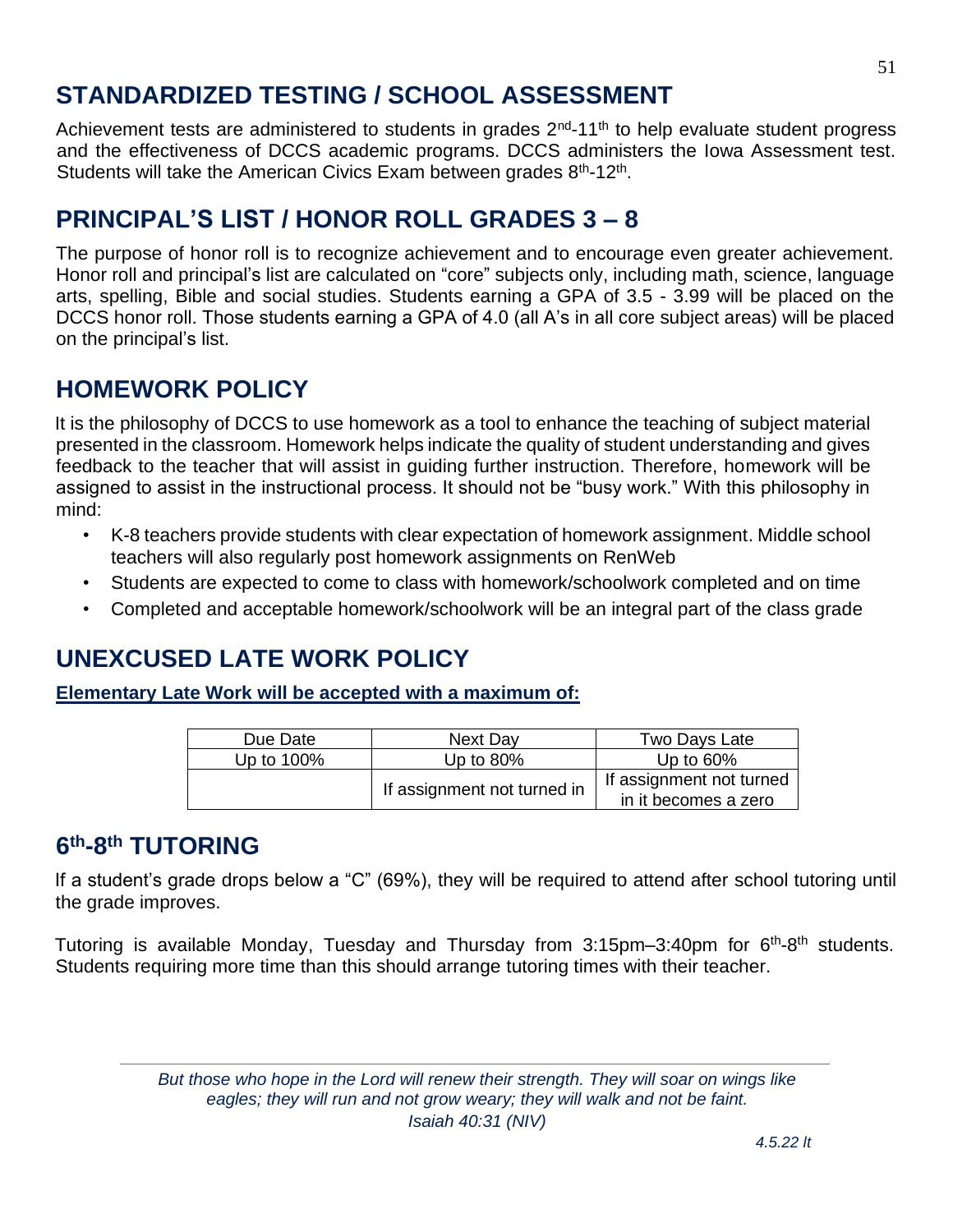## the grade improves.

Tutoring is available Monday, Tuesday and Thursday from 3:15pm-3:40pm for 6<sup>th</sup>-8<sup>th</sup> students. Students requiring more time than this should arrange tutoring times with their teacher.

If a student's grade drops below a "C" (69%), they will be required to attend after school tutoring until

#### *4.5.22 lt*

## <span id="page-50-0"></span>**STANDARDIZED TESTING / SCHOOL ASSESSMENT**

Achievement tests are administered to students in grades 2<sup>nd</sup>-11<sup>th</sup> to help evaluate student progress and the effectiveness of DCCS academic programs. DCCS administers the Iowa Assessment test. Students will take the American Civics Exam between grades  $8<sup>th</sup>$ -12<sup>th</sup>.

## <span id="page-50-1"></span>**PRINCIPAL'S LIST / HONOR ROLL GRADES 3 – 8**

The purpose of honor roll is to recognize achievement and to encourage even greater achievement. Honor roll and principal's list are calculated on "core" subjects only, including math, science, language arts, spelling, Bible and social studies. Students earning a GPA of 3.5 - 3.99 will be placed on the DCCS honor roll. Those students earning a GPA of 4.0 (all A's in all core subject areas) will be placed on the principal's list.

## <span id="page-50-2"></span>**HOMEWORK POLICY**

It is the philosophy of DCCS to use homework as a tool to enhance the teaching of subject material presented in the classroom. Homework helps indicate the quality of student understanding and gives feedback to the teacher that will assist in guiding further instruction. Therefore, homework will be assigned to assist in the instructional process. It should not be "busy work." With this philosophy in mind:

- K-8 teachers provide students with clear expectation of homework assignment. Middle school teachers will also regularly post homework assignments on RenWeb
- Students are expected to come to class with homework/schoolwork completed and on time
- Completed and acceptable homework/schoolwork will be an integral part of the class grade

## <span id="page-50-3"></span>**UNEXCUSED LATE WORK POLICY**

**Elementary Late Work will be accepted with a maximum of:**

| Due Date   | Next Day                    | Two Days Late            |
|------------|-----------------------------|--------------------------|
|            |                             |                          |
| Up to 100% | Up to $80\%$                | Up to $60\%$             |
|            | If assignment not turned in | If assignment not turned |
|            |                             | in it becomes a zero     |

## <span id="page-50-4"></span>**6 th-8 th TUTORING**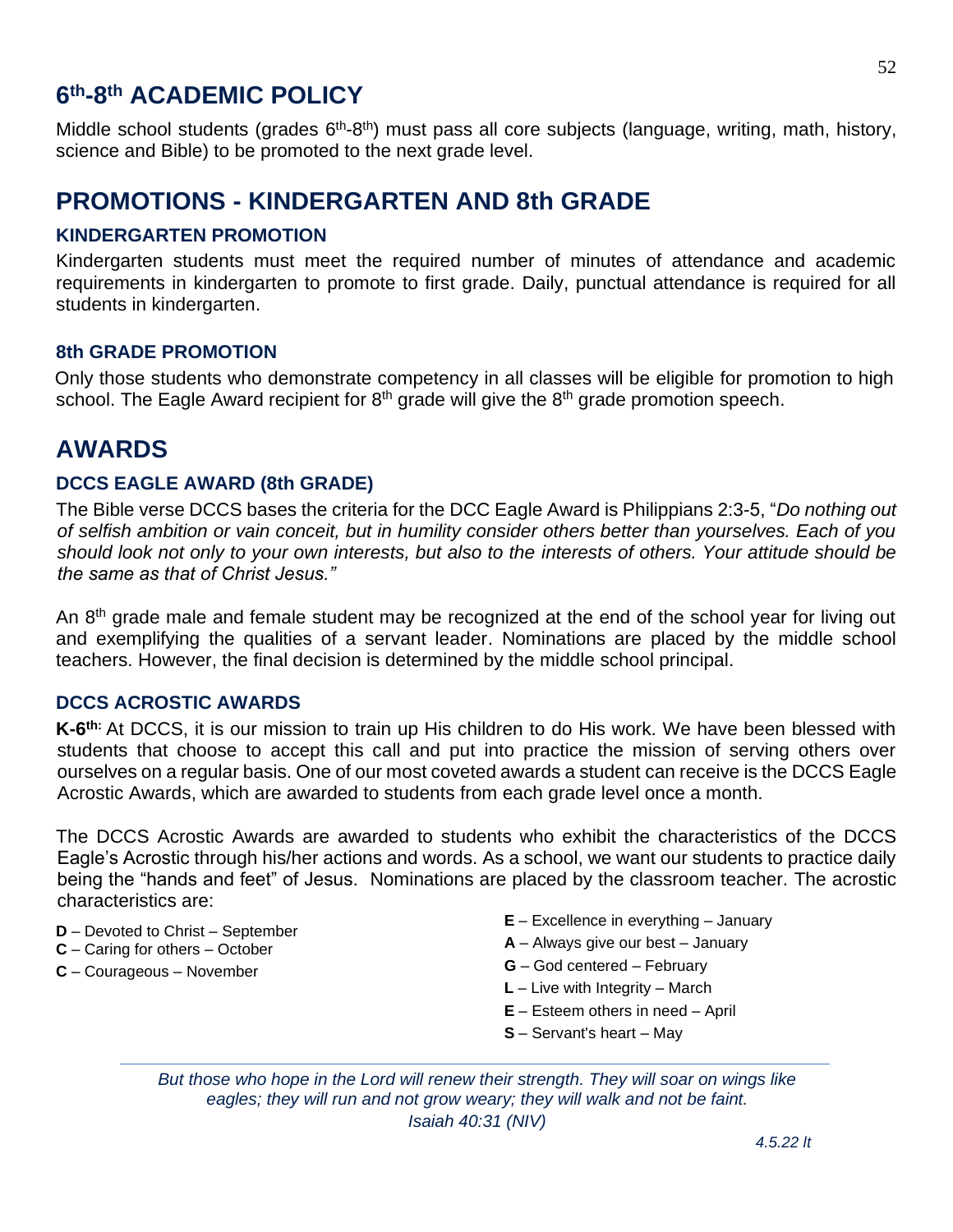## <span id="page-51-0"></span>**6 th-8 th ACADEMIC POLICY**

Middle school students (grades 6<sup>th</sup>-8<sup>th</sup>) must pass all core subjects (language, writing, math, history, science and Bible) to be promoted to the next grade level.

## <span id="page-51-1"></span>**PROMOTIONS - KINDERGARTEN AND 8th GRADE**

#### **KINDERGARTEN PROMOTION**

Kindergarten students must meet the required number of minutes of attendance and academic requirements in kindergarten to promote to first grade. Daily, punctual attendance is required for all students in kindergarten.

#### **8th GRADE PROMOTION**

Only those students who demonstrate competency in all classes will be eligible for promotion to high school. The Eagle Award recipient for  $8<sup>th</sup>$  grade will give the  $8<sup>th</sup>$  grade promotion speech.

## <span id="page-51-2"></span>**AWARDS**

#### **DCCS EAGLE AWARD (8th GRADE)**

The Bible verse DCCS bases the criteria for the DCC Eagle Award is Philippians 2:3-5, "*Do nothing out of selfish ambition or vain conceit, but in humility consider others better than yourselves. Each of you should look not only to your own interests, but also to the interests of others. Your attitude should be the same as that of Christ Jesus."*

An 8<sup>th</sup> grade male and female student may be recognized at the end of the school year for living out and exemplifying the qualities of a servant leader. Nominations are placed by the middle school teachers. However, the final decision is determined by the middle school principal.

#### **DCCS ACROSTIC AWARDS**

K-6<sup>th:</sup> At DCCS, it is our mission to train up His children to do His work. We have been blessed with students that choose to accept this call and put into practice the mission of serving others over ourselves on a regular basis. One of our most coveted awards a student can receive is the DCCS Eagle Acrostic Awards, which are awarded to students from each grade level once a month.

The DCCS Acrostic Awards are awarded to students who exhibit the characteristics of the DCCS Eagle's Acrostic through his/her actions and words. As a school, we want our students to practice daily being the "hands and feet" of Jesus. Nominations are placed by the classroom teacher. The acrostic characteristics are:

- **D** Devoted to Christ September
- **C** Caring for others October
- **C**  Courageous November
- **E** Excellence in everything January
- **A**  Always give our best January
- **G**  God centered February
- **L**  Live with Integrity March
- **E**  Esteem others in need April
- **S** Servant's heart May

*But those who hope in the Lord will renew their strength. They will soar on wings like eagles; they will run and not grow weary; they will walk and not be faint. Isaiah 40:31 (NIV)*